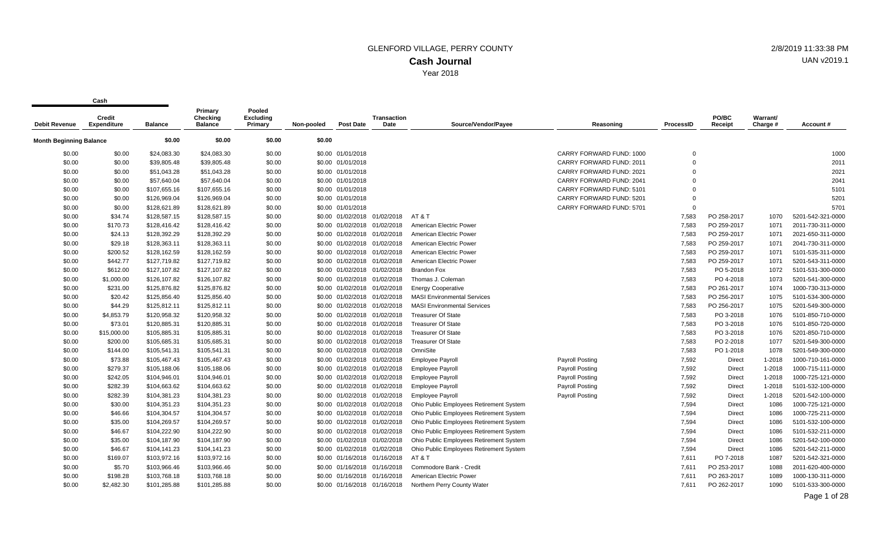Year 2018

**Cash**

| <b>Debit Revenue</b>           | <b>Credit</b><br><b>Expenditure</b> | <b>Balance</b> | Primary<br>Checking<br><b>Balance</b> | Pooled<br><b>Excluding</b><br>Primary | Non-pooled | <b>Post Date</b>  | <b>Transaction</b><br>Date   | Source/Vendor/Payee                     | Reasoning                | ProcessID   | PO/BC<br>Receipt | Warrant/<br>Charge # | Account#          |
|--------------------------------|-------------------------------------|----------------|---------------------------------------|---------------------------------------|------------|-------------------|------------------------------|-----------------------------------------|--------------------------|-------------|------------------|----------------------|-------------------|
| <b>Month Beginning Balance</b> |                                     | \$0.00         | \$0.00                                | \$0.00                                | \$0.00     |                   |                              |                                         |                          |             |                  |                      |                   |
| \$0.00                         | \$0.00                              | \$24,083.30    | \$24,083.30                           | \$0.00                                |            | \$0.00 01/01/2018 |                              |                                         | CARRY FORWARD FUND: 1000 | $\mathbf 0$ |                  |                      | 1000              |
| \$0.00                         | \$0.00                              | \$39,805.48    | \$39,805.48                           | \$0.00                                |            | \$0.00 01/01/2018 |                              |                                         | CARRY FORWARD FUND: 2011 | $\mathbf 0$ |                  |                      | 2011              |
| \$0.00                         | \$0.00                              | \$51,043.28    | \$51,043.28                           | \$0.00                                |            | \$0.00 01/01/2018 |                              |                                         | CARRY FORWARD FUND: 2021 | $\Omega$    |                  |                      | 2021              |
| \$0.00                         | \$0.00                              | \$57,640.04    | \$57,640.04                           | \$0.00                                |            | \$0.00 01/01/2018 |                              |                                         | CARRY FORWARD FUND: 2041 | $\Omega$    |                  |                      | 2041              |
| \$0.00                         | \$0.00                              | \$107,655.16   | \$107,655.16                          | \$0.00                                |            | \$0.00 01/01/2018 |                              |                                         | CARRY FORWARD FUND: 5101 | $\Omega$    |                  |                      | 5101              |
| \$0.00                         | \$0.00                              | \$126,969.04   | \$126,969.04                          | \$0.00                                |            | \$0.00 01/01/2018 |                              |                                         | CARRY FORWARD FUND: 5201 | $\Omega$    |                  |                      | 5201              |
| \$0.00                         | \$0.00                              | \$128,621.89   | \$128,621.89                          | \$0.00                                |            | \$0.00 01/01/2018 |                              |                                         | CARRY FORWARD FUND: 5701 | $\Omega$    |                  |                      | 5701              |
| \$0.00                         | \$34.74                             | \$128,587.15   | \$128,587.15                          | \$0.00                                |            |                   | \$0.00 01/02/2018 01/02/2018 | AT&T                                    |                          | 7,583       | PO 258-2017      | 1070                 | 5201-542-321-0000 |
| \$0.00                         | \$170.73                            | \$128,416.42   | \$128,416.42                          | \$0.00                                |            |                   | \$0.00 01/02/2018 01/02/2018 | American Electric Power                 |                          | 7,583       | PO 259-2017      | 1071                 | 2011-730-311-0000 |
| \$0.00                         | \$24.13                             | \$128,392.29   | \$128,392.29                          | \$0.00                                |            |                   | \$0.00 01/02/2018 01/02/2018 | American Electric Power                 |                          | 7,583       | PO 259-2017      | 1071                 | 2021-650-311-0000 |
| \$0.00                         | \$29.18                             | \$128,363.11   | \$128,363.11                          | \$0.00                                |            |                   | \$0.00 01/02/2018 01/02/2018 | American Electric Power                 |                          | 7,583       | PO 259-2017      | 1071                 | 2041-730-311-0000 |
| \$0.00                         | \$200.52                            | \$128,162.59   | \$128,162.59                          | \$0.00                                |            |                   | \$0.00 01/02/2018 01/02/2018 | American Electric Power                 |                          | 7,583       | PO 259-2017      | 1071                 | 5101-535-311-0000 |
| \$0.00                         | \$442.77                            | \$127,719.82   | \$127,719.82                          | \$0.00                                |            |                   | \$0.00 01/02/2018 01/02/2018 | American Electric Power                 |                          | 7,583       | PO 259-2017      | 1071                 | 5201-543-311-0000 |
| \$0.00                         | \$612.00                            | \$127,107.82   | \$127,107.82                          | \$0.00                                |            |                   | \$0.00 01/02/2018 01/02/2018 | <b>Brandon Fox</b>                      |                          | 7,583       | PO 5-2018        | 1072                 | 5101-531-300-0000 |
| \$0.00                         | \$1,000.00                          | \$126,107.82   | \$126,107.82                          | \$0.00                                |            |                   | \$0.00 01/02/2018 01/02/2018 | Thomas J. Coleman                       |                          | 7,583       | PO 4-2018        | 1073                 | 5201-541-300-0000 |
| \$0.00                         | \$231.00                            | \$125,876.82   | \$125,876.82                          | \$0.00                                |            |                   | \$0.00 01/02/2018 01/02/2018 | <b>Energy Cooperative</b>               |                          | 7,583       | PO 261-2017      | 1074                 | 1000-730-313-0000 |
| \$0.00                         | \$20.42                             | \$125,856.40   | \$125,856.40                          | \$0.00                                |            |                   | \$0.00 01/02/2018 01/02/2018 | <b>MASI Environmental Services</b>      |                          | 7,583       | PO 256-2017      | 1075                 | 5101-534-300-0000 |
| \$0.00                         | \$44.29                             | \$125,812.11   | \$125,812.11                          | \$0.00                                |            |                   | \$0.00 01/02/2018 01/02/2018 | <b>MASI Environmental Services</b>      |                          | 7,583       | PO 256-2017      | 1075                 | 5201-549-300-0000 |
| \$0.00                         | \$4,853.79                          | \$120,958.32   | \$120,958.32                          | \$0.00                                |            |                   | \$0.00 01/02/2018 01/02/2018 | <b>Treasurer Of State</b>               |                          | 7,583       | PO 3-2018        | 1076                 | 5101-850-710-0000 |
| \$0.00                         | \$73.01                             | \$120,885.31   | \$120,885.31                          | \$0.00                                |            |                   | \$0.00 01/02/2018 01/02/2018 | <b>Treasurer Of State</b>               |                          | 7,583       | PO 3-2018        | 1076                 | 5101-850-720-0000 |
| \$0.00                         | \$15,000.00                         | \$105,885.31   | \$105,885.31                          | \$0.00                                |            |                   | \$0.00 01/02/2018 01/02/2018 | <b>Treasurer Of State</b>               |                          | 7,583       | PO 3-2018        | 1076                 | 5201-850-710-0000 |
| \$0.00                         | \$200.00                            | \$105,685.31   | \$105,685.31                          | \$0.00                                |            |                   | \$0.00 01/02/2018 01/02/2018 | <b>Treasurer Of State</b>               |                          | 7,583       | PO 2-2018        | 1077                 | 5201-549-300-0000 |
| \$0.00                         | \$144.00                            | \$105,541.31   | \$105,541.31                          | \$0.00                                |            |                   | \$0.00 01/02/2018 01/02/2018 | OmniSite                                |                          | 7,583       | PO 1-2018        | 1078                 | 5201-549-300-0000 |
| \$0.00                         | \$73.88                             | \$105,467.43   | \$105,467.43                          | \$0.00                                |            |                   | \$0.00 01/02/2018 01/02/2018 | <b>Employee Payroll</b>                 | Payroll Posting          | 7,592       | Direct           | 1-2018               | 1000-710-161-0000 |
| \$0.00                         | \$279.37                            | \$105,188.06   | \$105,188.06                          | \$0.00                                |            |                   | \$0.00 01/02/2018 01/02/2018 | <b>Employee Payroll</b>                 | <b>Payroll Posting</b>   | 7,592       | Direct           | 1-2018               | 1000-715-111-0000 |
| \$0.00                         | \$242.05                            | \$104,946.01   | \$104,946.01                          | \$0.00                                |            |                   | \$0.00 01/02/2018 01/02/2018 | <b>Employee Payroll</b>                 | <b>Payroll Posting</b>   | 7,592       | Direct           | 1-2018               | 1000-725-121-0000 |
| \$0.00                         | \$282.39                            | \$104,663.62   | \$104,663.62                          | \$0.00                                |            |                   | \$0.00 01/02/2018 01/02/2018 | <b>Employee Payroll</b>                 | <b>Payroll Posting</b>   | 7,592       | Direct           | 1-2018               | 5101-532-100-0000 |
| \$0.00                         | \$282.39                            | \$104,381.23   | \$104,381.23                          | \$0.00                                |            |                   | \$0.00 01/02/2018 01/02/2018 | <b>Employee Payroll</b>                 | <b>Payroll Posting</b>   | 7,592       | Direct           | 1-2018               | 5201-542-100-0000 |
| \$0.00                         | \$30.00                             | \$104,351.23   | \$104,351.23                          | \$0.00                                |            |                   | \$0.00 01/02/2018 01/02/2018 | Ohio Public Employees Retirement System |                          | 7,594       | <b>Direct</b>    | 1086                 | 1000-725-121-0000 |
| \$0.00                         | \$46.66                             | \$104,304.57   | \$104,304.57                          | \$0.00                                |            |                   | \$0.00 01/02/2018 01/02/2018 | Ohio Public Employees Retirement System |                          | 7,594       | Direct           | 1086                 | 1000-725-211-0000 |
| \$0.00                         | \$35.00                             | \$104,269.57   | \$104,269.57                          | \$0.00                                |            |                   | \$0.00 01/02/2018 01/02/2018 | Ohio Public Employees Retirement System |                          | 7,594       | Direct           | 1086                 | 5101-532-100-0000 |
| \$0.00                         | \$46.67                             | \$104,222.90   | \$104,222.90                          | \$0.00                                |            |                   | \$0.00 01/02/2018 01/02/2018 | Ohio Public Employees Retirement System |                          | 7,594       | Direct           | 1086                 | 5101-532-211-0000 |
| \$0.00                         | \$35.00                             | \$104,187.90   | \$104,187.90                          | \$0.00                                |            |                   | \$0.00 01/02/2018 01/02/2018 | Ohio Public Employees Retirement System |                          | 7,594       | Direct           | 1086                 | 5201-542-100-0000 |
| \$0.00                         | \$46.67                             | \$104,141.23   | \$104,141.23                          | \$0.00                                |            |                   | \$0.00 01/02/2018 01/02/2018 | Ohio Public Employees Retirement System |                          | 7,594       | Direct           | 1086                 | 5201-542-211-0000 |
| \$0.00                         | \$169.07                            | \$103,972.16   | \$103,972.16                          | \$0.00                                |            |                   | \$0.00 01/16/2018 01/16/2018 | AT&T                                    |                          | 7,611       | PO 7-2018        | 1087                 | 5201-542-321-0000 |
| \$0.00                         | \$5.70                              | \$103,966.46   | \$103,966.46                          | \$0.00                                |            |                   | \$0.00 01/16/2018 01/16/2018 | Commodore Bank - Credit                 |                          | 7,611       | PO 253-2017      | 1088                 | 2011-620-400-0000 |
| \$0.00                         | \$198.28                            | \$103,768.18   | \$103,768.18                          | \$0.00                                |            |                   | \$0.00 01/16/2018 01/16/2018 | American Electric Power                 |                          | 7,611       | PO 263-2017      | 1089                 | 1000-130-311-0000 |
| \$0.00                         | \$2,482.30                          | \$101,285.88   | \$101,285.88                          | \$0.00                                |            |                   | \$0.00 01/16/2018 01/16/2018 | Northern Perry County Water             |                          | 7,611       | PO 262-2017      | 1090                 | 5101-533-300-0000 |
|                                |                                     |                |                                       |                                       |            |                   |                              |                                         |                          |             |                  |                      |                   |

UAN v2019.1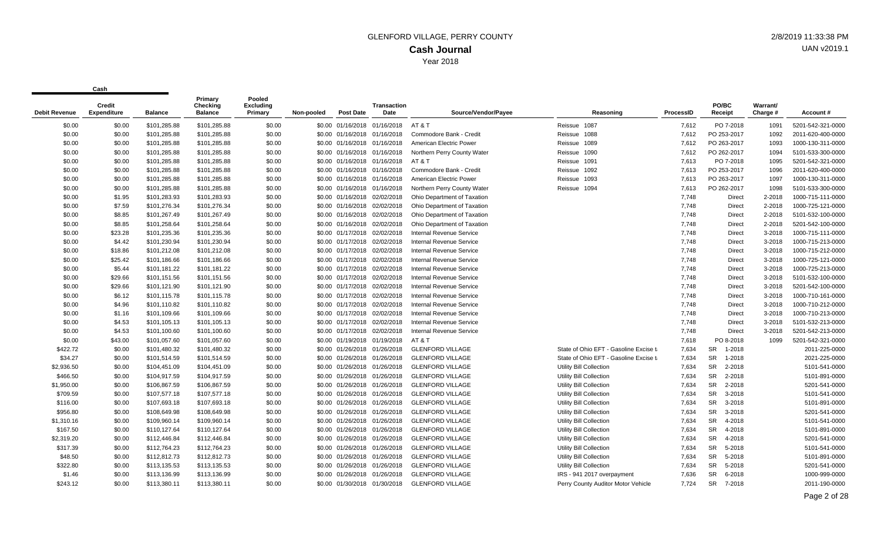| <b>Debit Revenue</b> | <b>Credit</b><br><b>Expenditure</b> | <b>Balance</b> | Primary<br>Checking<br><b>Balance</b> | Pooled<br><b>Excluding</b><br>Primary | Non-pooled | <b>Post Date</b>             | <b>Transaction</b><br>Date | Source/Vendor/Payee             | Reasoning                              | ProcessID | PO/BC<br>Receipt    | Warrant/<br>Charge # | Account#          |
|----------------------|-------------------------------------|----------------|---------------------------------------|---------------------------------------|------------|------------------------------|----------------------------|---------------------------------|----------------------------------------|-----------|---------------------|----------------------|-------------------|
| \$0.00               | \$0.00                              | \$101,285.88   | \$101,285.88                          | \$0.00                                |            | \$0.00 01/16/2018 01/16/2018 |                            | AT & T                          | Reissue 1087                           | 7,612     | PO 7-2018           | 1091                 | 5201-542-321-0000 |
| \$0.00               | \$0.00                              | \$101,285.88   | \$101,285.88                          | \$0.00                                |            | \$0.00 01/16/2018 01/16/2018 |                            | Commodore Bank - Credit         | Reissue<br>1088                        | 7,612     | PO 253-2017         | 1092                 | 2011-620-400-0000 |
| \$0.00               | \$0.00                              | \$101,285.88   | \$101,285.88                          | \$0.00                                |            | \$0.00 01/16/2018 01/16/2018 |                            | American Electric Power         | Reissue 1089                           | 7,612     | PO 263-2017         | 1093                 | 1000-130-311-0000 |
| \$0.00               | \$0.00                              | \$101,285.88   | \$101,285.88                          | \$0.00                                |            | \$0.00 01/16/2018 01/16/2018 |                            | Northern Perry County Water     | Reissue 1090                           | 7,612     | PO 262-2017         | 1094                 | 5101-533-300-0000 |
| \$0.00               | \$0.00                              | \$101,285.88   | \$101,285.88                          | \$0.00                                |            | \$0.00 01/16/2018 01/16/2018 |                            | AT & T                          | Reissue 1091                           | 7,613     | PO 7-2018           | 1095                 | 5201-542-321-0000 |
| \$0.00               | \$0.00                              | \$101,285.88   | \$101,285.88                          | \$0.00                                |            | \$0.00 01/16/2018 01/16/2018 |                            | Commodore Bank - Credit         | 1092<br>Reissue                        | 7,613     | PO 253-2017         | 1096                 | 2011-620-400-0000 |
| \$0.00               | \$0.00                              | \$101,285.88   | \$101,285.88                          | \$0.00                                |            | \$0.00 01/16/2018 01/16/2018 |                            | American Electric Power         | 1093<br>Reissue                        | 7,613     | PO 263-2017         | 1097                 | 1000-130-311-0000 |
| \$0.00               | \$0.00                              | \$101,285.88   | \$101,285.88                          | \$0.00                                |            | \$0.00 01/16/2018 01/16/2018 |                            | Northern Perry County Water     | 1094<br>Reissue                        | 7,613     | PO 262-2017         | 1098                 | 5101-533-300-0000 |
| \$0.00               | \$1.95                              | \$101,283.93   | \$101,283.93                          | \$0.00                                |            | \$0.00 01/16/2018 02/02/2018 |                            | Ohio Department of Taxation     |                                        | 7,748     | Direct              | 2-2018               | 1000-715-111-0000 |
| \$0.00               | \$7.59                              | \$101,276.34   | \$101,276.34                          | \$0.00                                |            | \$0.00 01/16/2018 02/02/2018 |                            | Ohio Department of Taxation     |                                        | 7,748     | Direct              | 2-2018               | 1000-725-121-0000 |
| \$0.00               | \$8.85                              | \$101,267.49   | \$101,267.49                          | \$0.00                                |            | \$0.00 01/16/2018 02/02/2018 |                            | Ohio Department of Taxation     |                                        | 7.748     | <b>Direct</b>       | 2-2018               | 5101-532-100-0000 |
| \$0.00               | \$8.85                              | \$101,258.64   | \$101,258.64                          | \$0.00                                |            | \$0.00 01/16/2018 02/02/2018 |                            | Ohio Department of Taxation     |                                        | 7,748     | Direct              | 2-2018               | 5201-542-100-0000 |
| \$0.00               | \$23.28                             | \$101,235.36   | \$101,235.36                          | \$0.00                                |            | \$0.00 01/17/2018 02/02/2018 |                            | <b>Internal Revenue Service</b> |                                        | 7,748     | Direct              | 3-2018               | 1000-715-111-0000 |
| \$0.00               | \$4.42                              | \$101,230.94   | \$101,230.94                          | \$0.00                                |            | \$0.00 01/17/2018            | 02/02/2018                 | <b>Internal Revenue Service</b> |                                        | 7,748     | Direct              | 3-2018               | 1000-715-213-0000 |
| \$0.00               | \$18.86                             | \$101,212.08   | \$101,212.08                          | \$0.00                                |            | \$0.00 01/17/2018 02/02/2018 |                            | <b>Internal Revenue Service</b> |                                        | 7,748     | Direct              | 3-2018               | 1000-715-212-0000 |
| \$0.00               | \$25.42                             | \$101,186.66   | \$101,186.66                          | \$0.00                                |            | \$0.00 01/17/2018 02/02/2018 |                            | <b>Internal Revenue Service</b> |                                        | 7,748     | Direct              | 3-2018               | 1000-725-121-0000 |
| \$0.00               | \$5.44                              | \$101,181.22   | \$101,181.22                          | \$0.00                                |            | \$0.00 01/17/2018 02/02/2018 |                            | Internal Revenue Service        |                                        | 7,748     | Direct              | 3-2018               | 1000-725-213-0000 |
| \$0.00               | \$29.66                             | \$101,151.56   | \$101,151.56                          | \$0.00                                |            | \$0.00 01/17/2018            | 02/02/2018                 | <b>Internal Revenue Service</b> |                                        | 7,748     | Direct              | 3-2018               | 5101-532-100-0000 |
| \$0.00               | \$29.66                             | \$101,121.90   | \$101,121.90                          | \$0.00                                |            | \$0.00 01/17/2018 02/02/2018 |                            | <b>Internal Revenue Service</b> |                                        | 7,748     | Direct              | 3-2018               | 5201-542-100-0000 |
| \$0.00               | \$6.12                              | \$101,115.78   | \$101,115.78                          | \$0.00                                |            | \$0.00 01/17/2018 02/02/2018 |                            | Internal Revenue Service        |                                        | 7,748     | Direct              | 3-2018               | 1000-710-161-0000 |
| \$0.00               | \$4.96                              | \$101,110.82   | \$101,110.82                          | \$0.00                                |            | \$0.00 01/17/2018            | 02/02/2018                 | <b>Internal Revenue Service</b> |                                        | 7,748     | Direct              | 3-2018               | 1000-710-212-0000 |
| \$0.00               | \$1.16                              | \$101,109.66   | \$101,109.66                          | \$0.00                                |            | \$0.00 01/17/2018 02/02/2018 |                            | <b>Internal Revenue Service</b> |                                        | 7,748     | Direct              | 3-2018               | 1000-710-213-0000 |
| \$0.00               | \$4.53                              | \$101,105.13   | \$101,105.13                          | \$0.00                                |            | \$0.00 01/17/2018 02/02/2018 |                            | <b>Internal Revenue Service</b> |                                        | 7,748     | Direct              | 3-2018               | 5101-532-213-0000 |
| \$0.00               | \$4.53                              | \$101,100.60   | \$101,100.60                          | \$0.00                                |            | \$0.00 01/17/2018 02/02/2018 |                            | Internal Revenue Service        |                                        | 7,748     | <b>Direct</b>       | 3-2018               | 5201-542-213-0000 |
| \$0.00               | \$43.00                             | \$101,057.60   | \$101,057.60                          | \$0.00                                |            | \$0.00 01/19/2018 01/19/2018 |                            | AT & T                          |                                        | 7,618     | PO 8-2018           | 1099                 | 5201-542-321-0000 |
| \$422.72             | \$0.00                              | \$101,480.32   | \$101,480.32                          | \$0.00                                |            | \$0.00 01/26/2018 01/26/2018 |                            | <b>GLENFORD VILLAGE</b>         | State of Ohio EFT - Gasoline Excise ta | 7,634     | <b>SR</b><br>1-2018 |                      | 2011-225-0000     |
| \$34.27              | \$0.00                              | \$101,514.59   | \$101,514.59                          | \$0.00                                |            | \$0.00 01/26/2018 01/26/2018 |                            | <b>GLENFORD VILLAGE</b>         | State of Ohio EFT - Gasoline Excise ta | 7,634     | <b>SR</b><br>1-2018 |                      | 2021-225-0000     |
| \$2,936.50           | \$0.00                              | \$104,451.09   | \$104,451.09                          | \$0.00                                |            | \$0.00 01/26/2018 01/26/2018 |                            | <b>GLENFORD VILLAGE</b>         | Utility Bill Collection                | 7,634     | SR<br>2-2018        |                      | 5101-541-0000     |
| \$466.50             | \$0.00                              | \$104,917.59   | \$104,917.59                          | \$0.00                                |            | \$0.00 01/26/2018 01/26/2018 |                            | <b>GLENFORD VILLAGE</b>         | Utility Bill Collection                | 7,634     | SR<br>2-2018        |                      | 5101-891-0000     |
| \$1,950.00           | \$0.00                              | \$106,867.59   | \$106,867.59                          | \$0.00                                |            | \$0.00 01/26/2018 01/26/2018 |                            | <b>GLENFORD VILLAGE</b>         | Utility Bill Collection                | 7,634     | SR<br>2-2018        |                      | 5201-541-0000     |
| \$709.59             | \$0.00                              | \$107,577.18   | \$107,577.18                          | \$0.00                                |            | \$0.00 01/26/2018 01/26/2018 |                            | <b>GLENFORD VILLAGE</b>         | Utility Bill Collection                | 7,634     | SR<br>3-2018        |                      | 5101-541-0000     |
| \$116.00             | \$0.00                              | \$107,693.18   | \$107,693.18                          | \$0.00                                |            | \$0.00 01/26/2018 01/26/2018 |                            | <b>GLENFORD VILLAGE</b>         | Utility Bill Collection                | 7,634     | SR<br>3-2018        |                      | 5101-891-0000     |
| \$956.80             | \$0.00                              | \$108,649.98   | \$108,649.98                          | \$0.00                                |            | \$0.00 01/26/2018 01/26/2018 |                            | <b>GLENFORD VILLAGE</b>         | <b>Utility Bill Collection</b>         | 7,634     | SR<br>3-2018        |                      | 5201-541-0000     |
| \$1,310.16           | \$0.00                              | \$109,960.14   | \$109,960.14                          | \$0.00                                |            | \$0.00 01/26/2018 01/26/2018 |                            | <b>GLENFORD VILLAGE</b>         | Utility Bill Collection                | 7,634     | <b>SR</b><br>4-2018 |                      | 5101-541-0000     |
| \$167.50             | \$0.00                              | \$110,127.64   | \$110,127.64                          | \$0.00                                |            | \$0.00 01/26/2018 01/26/2018 |                            | <b>GLENFORD VILLAGE</b>         | Utility Bill Collection                | 7,634     | <b>SR</b><br>4-2018 |                      | 5101-891-0000     |
| \$2,319.20           | \$0.00                              | \$112,446.84   | \$112,446.84                          | \$0.00                                |            | \$0.00 01/26/2018 01/26/2018 |                            | <b>GLENFORD VILLAGE</b>         | Utility Bill Collection                | 7,634     | <b>SR</b><br>4-2018 |                      | 5201-541-0000     |
| \$317.39             | \$0.00                              | \$112,764.23   | \$112,764.23                          | \$0.00                                |            | \$0.00 01/26/2018 01/26/2018 |                            | <b>GLENFORD VILLAGE</b>         | Utility Bill Collection                | 7,634     | <b>SR</b><br>5-2018 |                      | 5101-541-0000     |
| \$48.50              | \$0.00                              | \$112,812.73   | \$112,812.73                          | \$0.00                                |            | \$0.00 01/26/2018 01/26/2018 |                            | <b>GLENFORD VILLAGE</b>         | Utility Bill Collection                | 7,634     | SR<br>5-2018        |                      | 5101-891-0000     |
| \$322.80             | \$0.00                              | \$113,135.53   | \$113,135.53                          | \$0.00                                |            | \$0.00 01/26/2018 01/26/2018 |                            | <b>GLENFORD VILLAGE</b>         | Utility Bill Collection                | 7,634     | <b>SR</b><br>5-2018 |                      | 5201-541-0000     |
| \$1.46               | \$0.00                              | \$113,136.99   | \$113,136.99                          | \$0.00                                |            | \$0.00 01/26/2018 01/26/2018 |                            | <b>GLENFORD VILLAGE</b>         | IRS - 941 2017 overpayment             | 7,636     | <b>SR</b><br>6-2018 |                      | 1000-999-0000     |
| \$243.12             | \$0.00                              | \$113,380.11   | \$113,380.11                          | \$0.00                                |            | \$0.00 01/30/2018 01/30/2018 |                            | <b>GLENFORD VILLAGE</b>         | Perry County Auditor Motor Vehicle     | 7.724     | <b>SR</b><br>7-2018 |                      | 2011-190-0000     |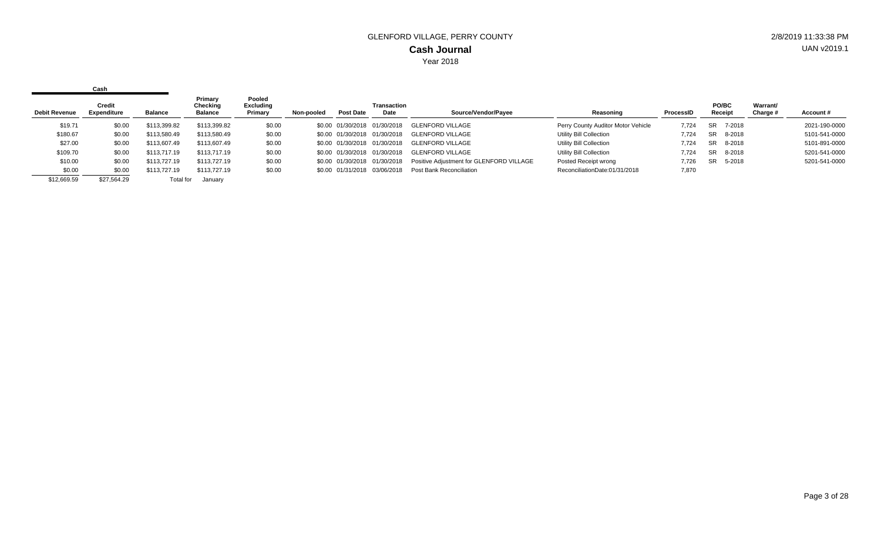|                      | Cash                         |                |                                       |                                       |            |                              |                              |                                          |                                    |                  |                  |                      |               |
|----------------------|------------------------------|----------------|---------------------------------------|---------------------------------------|------------|------------------------------|------------------------------|------------------------------------------|------------------------------------|------------------|------------------|----------------------|---------------|
| <b>Debit Revenue</b> | <b>Credit</b><br>Expenditure | <b>Balance</b> | Primary<br>Checking<br><b>Balance</b> | Pooled<br><b>Excluding</b><br>Primary | Non-pooled | <b>Post Date</b>             | Transaction<br>Date          | Source/Vendor/Payee                      | Reasoning                          | <b>ProcessID</b> | PO/BC<br>Receipt | Warrant/<br>Charge # | Account#      |
| \$19.71              | \$0.00                       | \$113,399.82   | \$113,399.82                          | \$0.00                                |            | \$0.00 01/30/2018 01/30/2018 |                              | <b>GLENFORD VILLAGE</b>                  | Perry County Auditor Motor Vehicle | 7.724            | 7-2018<br>SR.    |                      | 2021-190-0000 |
| \$180.67             | \$0.00                       | \$113,580.49   | \$113,580.49                          | \$0.00                                |            | \$0.00 01/30/2018 01/30/2018 |                              | GLENFORD VILLAGE                         | Utility Bill Collection            | 7.724            | 8-2018<br>SR     |                      | 5101-541-0000 |
| \$27.00              | \$0.00                       | \$113,607.49   | \$113,607.49                          | \$0.00                                |            | \$0.00 01/30/2018 01/30/2018 |                              | <b>GLENFORD VILLAGE</b>                  | Utility Bill Collection            | 7,724            | 8-2018<br>SR.    |                      | 5101-891-0000 |
| \$109.70             | \$0.00                       | \$113,717.19   | \$113,717.19                          | \$0.00                                |            |                              | \$0.00 01/30/2018 01/30/2018 | <b>GLENFORD VILLAGE</b>                  | Utility Bill Collection            | 7.724            | SR.<br>8-2018    |                      | 5201-541-0000 |
| \$10.00              | \$0.00                       | \$113,727.19   | \$113,727.19                          | \$0.00                                |            |                              | \$0.00 01/30/2018 01/30/2018 | Positive Adjustment for GLENFORD VILLAGE | Posted Receipt wrong               | 7.726            | SR 5-2018        |                      | 5201-541-0000 |
| \$0.00               | \$0.00                       | \$113,727.19   | \$113,727.19                          | \$0.00                                |            |                              | \$0.00 01/31/2018 03/06/2018 | Post Bank Reconciliation                 | ReconciliationDate:01/31/2018      | 7,870            |                  |                      |               |
| \$12,669.59          | \$27.564.29                  | Total for      | January                               |                                       |            |                              |                              |                                          |                                    |                  |                  |                      |               |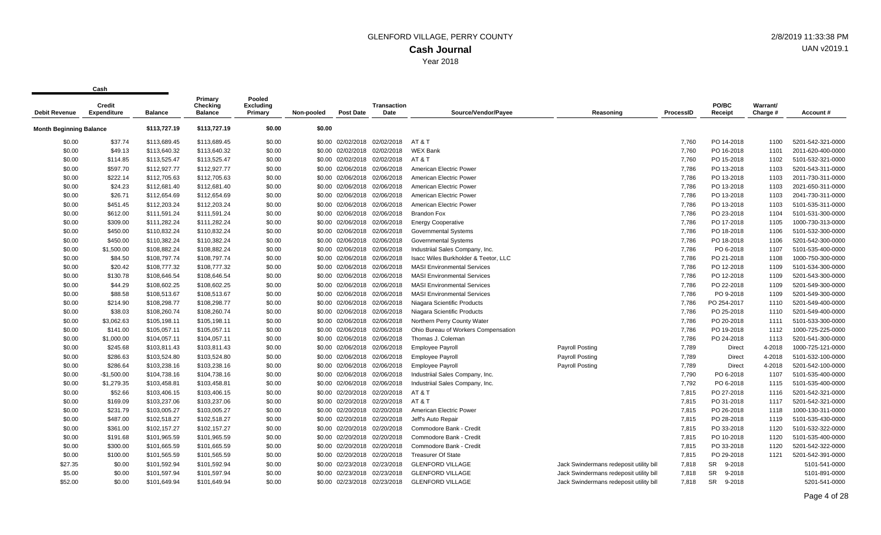| <b>Debit Revenue</b>           | <b>Credit</b><br><b>Expenditure</b> | <b>Balance</b> | Primary<br><b>Checking</b><br><b>Balance</b> | Pooled<br><b>Excluding</b><br>Primary | Non-pooled | <b>Post Date</b>  | <b>Transaction</b><br>Date   | Source/Vendor/Payee                  | Reasoning                               | ProcessID | PO/BC<br>Receipt    | Warrant/<br>Charge # | Account #         |
|--------------------------------|-------------------------------------|----------------|----------------------------------------------|---------------------------------------|------------|-------------------|------------------------------|--------------------------------------|-----------------------------------------|-----------|---------------------|----------------------|-------------------|
| <b>Month Beginning Balance</b> |                                     | \$113,727.19   | \$113,727.19                                 | \$0.00                                | \$0.00     |                   |                              |                                      |                                         |           |                     |                      |                   |
| \$0.00                         | \$37.74                             | \$113,689.45   | \$113,689.45                                 | \$0.00                                |            | \$0.00 02/02/2018 | 02/02/2018                   | AT & T                               |                                         | 7,760     | PO 14-2018          | 1100                 | 5201-542-321-0000 |
| \$0.00                         | \$49.13                             | \$113,640.32   | \$113,640.32                                 | \$0.00                                |            | \$0.00 02/02/2018 | 02/02/2018                   | <b>WEX Bank</b>                      |                                         | 7,760     | PO 16-2018          | 1101                 | 2011-620-400-0000 |
| \$0.00                         | \$114.85                            | \$113,525.47   | \$113,525.47                                 | \$0.00                                |            | \$0.00 02/02/2018 | 02/02/2018                   | AT&T                                 |                                         | 7,760     | PO 15-2018          | 1102                 | 5101-532-321-0000 |
| \$0.00                         | \$597.70                            | \$112,927.77   | \$112,927.77                                 | \$0.00                                |            |                   | \$0.00 02/06/2018 02/06/2018 | American Electric Power              |                                         | 7,786     | PO 13-2018          | 1103                 | 5201-543-311-0000 |
| \$0.00                         | \$222.14                            | \$112,705.63   | \$112,705.63                                 | \$0.00                                |            |                   | \$0.00 02/06/2018 02/06/2018 | American Electric Power              |                                         | 7,786     | PO 13-2018          | 1103                 | 2011-730-311-0000 |
| \$0.00                         | \$24.23                             | \$112,681.40   | \$112,681.40                                 | \$0.00                                | \$0.00     | 02/06/2018        | 02/06/2018                   | American Electric Power              |                                         | 7,786     | PO 13-2018          | 1103                 | 2021-650-311-0000 |
| \$0.00                         | \$26.71                             | \$112,654.69   | \$112,654.69                                 | \$0.00                                |            |                   | \$0.00 02/06/2018 02/06/2018 | American Electric Power              |                                         | 7,786     | PO 13-2018          | 1103                 | 2041-730-311-0000 |
| \$0.00                         | \$451.45                            | \$112,203.24   | \$112,203.24                                 | \$0.00                                |            | \$0.00 02/06/2018 | 02/06/2018                   | American Electric Power              |                                         | 7,786     | PO 13-2018          | 1103                 | 5101-535-311-0000 |
| \$0.00                         | \$612.00                            | \$111,591.24   | \$111,591.24                                 | \$0.00                                | \$0.00     | 02/06/2018        | 02/06/2018                   | <b>Brandon Fox</b>                   |                                         | 7,786     | PO 23-2018          | 1104                 | 5101-531-300-0000 |
| \$0.00                         | \$309.00                            | \$111,282.24   | \$111,282.24                                 | \$0.00                                |            |                   | \$0.00 02/06/2018 02/06/2018 | <b>Energy Cooperative</b>            |                                         | 7,786     | PO 17-2018          | 1105                 | 1000-730-313-0000 |
| \$0.00                         | \$450.00                            | \$110,832.24   | \$110,832.24                                 | \$0.00                                |            | \$0.00 02/06/2018 | 02/06/2018                   | <b>Governmental Systems</b>          |                                         | 7,786     | PO 18-2018          | 1106                 | 5101-532-300-0000 |
| \$0.00                         | \$450.00                            | \$110,382.24   | \$110,382.24                                 | \$0.00                                |            |                   | \$0.00 02/06/2018 02/06/2018 | <b>Governmental Systems</b>          |                                         | 7,786     | PO 18-2018          | 1106                 | 5201-542-300-0000 |
| \$0.00                         | \$1,500.00                          | \$108,882.24   | \$108,882.24                                 | \$0.00                                |            | \$0.00 02/06/2018 | 02/06/2018                   | Industriial Sales Company, Inc.      |                                         | 7,786     | PO 6-2018           | 1107                 | 5101-535-400-0000 |
| \$0.00                         | \$84.50                             | \$108,797.74   | \$108,797.74                                 | \$0.00                                |            |                   | \$0.00 02/06/2018 02/06/2018 | Isacc Wiles Burkholder & Teetor, LLC |                                         | 7,786     | PO 21-2018          | 1108                 | 1000-750-300-0000 |
| \$0.00                         | \$20.42                             | \$108,777.32   | \$108,777.32                                 | \$0.00                                |            |                   | \$0.00 02/06/2018 02/06/2018 | <b>MASI Environmental Services</b>   |                                         | 7,786     | PO 12-2018          | 1109                 | 5101-534-300-0000 |
| \$0.00                         | \$130.78                            | \$108,646.54   | \$108,646.54                                 | \$0.00                                |            |                   | \$0.00 02/06/2018 02/06/2018 | <b>MASI Environmental Services</b>   |                                         | 7,786     | PO 12-2018          | 1109                 | 5201-543-300-0000 |
| \$0.00                         | \$44.29                             | \$108,602.25   | \$108,602.25                                 | \$0.00                                |            |                   | \$0.00 02/06/2018 02/06/2018 | <b>MASI Environmental Services</b>   |                                         | 7,786     | PO 22-2018          | 1109                 | 5201-549-300-0000 |
| \$0.00                         | \$88.58                             | \$108,513.67   | \$108,513.67                                 | \$0.00                                |            | \$0.00 02/06/2018 | 02/06/2018                   | <b>MASI Environmental Services</b>   |                                         | 7,786     | PO 9-2018           | 1109                 | 5201-549-300-0000 |
| \$0.00                         | \$214.90                            | \$108,298.77   | \$108,298.77                                 | \$0.00                                |            | \$0.00 02/06/2018 | 02/06/2018                   | Niagara Scientific Products          |                                         | 7,786     | PO 254-2017         | 1110                 | 5201-549-400-0000 |
| \$0.00                         | \$38.03                             | \$108,260.74   | \$108,260.74                                 | \$0.00                                |            | \$0.00 02/06/2018 | 02/06/2018                   | Niagara Scientific Products          |                                         | 7,786     | PO 25-2018          | 1110                 | 5201-549-400-0000 |
| \$0.00                         | \$3,062.63                          | \$105,198.11   | \$105,198.11                                 | \$0.00                                |            |                   | \$0.00 02/06/2018 02/06/2018 | Northern Perry County Water          |                                         | 7,786     | PO 20-2018          | 1111                 | 5101-533-300-0000 |
| \$0.00                         | \$141.00                            | \$105,057.11   | \$105,057.11                                 | \$0.00                                |            |                   | \$0.00 02/06/2018 02/06/2018 | Ohio Bureau of Workers Compensation  |                                         | 7,786     | PO 19-2018          | 1112                 | 1000-725-225-0000 |
| \$0.00                         | \$1,000.00                          | \$104,057.11   | \$104,057.11                                 | \$0.00                                | \$0.00     |                   | 02/06/2018 02/06/2018        | Thomas J. Coleman                    |                                         | 7,786     | PO 24-2018          | 1113                 | 5201-541-300-0000 |
| \$0.00                         | \$245.68                            | \$103,811.43   | \$103,811.43                                 | \$0.00                                |            |                   | \$0.00 02/06/2018 02/06/2018 | <b>Employee Payroll</b>              | Payroll Posting                         | 7,789     | Direct              | 4-2018               | 1000-725-121-0000 |
| \$0.00                         | \$286.63                            | \$103,524.80   | \$103,524.80                                 | \$0.00                                |            | \$0.00 02/06/2018 | 02/06/2018                   | <b>Employee Payroll</b>              | <b>Payroll Posting</b>                  | 7,789     | Direct              | 4-2018               | 5101-532-100-0000 |
| \$0.00                         | \$286.64                            | \$103,238.16   | \$103,238.16                                 | \$0.00                                |            | \$0.00 02/06/2018 | 02/06/2018                   | <b>Employee Payroll</b>              | <b>Payroll Posting</b>                  | 7,789     | Direct              | 4-2018               | 5201-542-100-0000 |
| \$0.00                         | $-$1,500.00$                        | \$104,738.16   | \$104,738.16                                 | \$0.00                                |            | \$0.00 02/06/2018 | 02/06/2018                   | Industriial Sales Company, Inc.      |                                         | 7,790     | PO 6-2018           | 1107                 | 5101-535-400-0000 |
| \$0.00                         | \$1,279.35                          | \$103,458.81   | \$103,458.81                                 | \$0.00                                |            |                   | \$0.00 02/06/2018 02/06/2018 | Industriial Sales Company, Inc.      |                                         | 7,792     | PO 6-2018           | 1115                 | 5101-535-400-0000 |
| \$0.00                         | \$52.66                             | \$103,406.15   | \$103,406.15                                 | \$0.00                                |            |                   | \$0.00 02/20/2018 02/20/2018 | AT & T                               |                                         | 7,815     | PO 27-2018          | 1116                 | 5201-542-321-0000 |
| \$0.00                         | \$169.09                            | \$103,237.06   | \$103,237.06                                 | \$0.00                                | \$0.00     | 02/20/2018        | 02/20/2018                   | AT & T                               |                                         | 7,815     | PO 31-2018          | 1117                 | 5201-542-321-0000 |
| \$0.00                         | \$231.79                            | \$103,005.27   | \$103,005.27                                 | \$0.00                                |            |                   | \$0.00 02/20/2018 02/20/2018 | American Electric Power              |                                         | 7,815     | PO 26-2018          | 1118                 | 1000-130-311-0000 |
| \$0.00                         | \$487.00                            | \$102,518.27   | \$102,518.27                                 | \$0.00                                |            | \$0.00 02/20/2018 | 02/20/2018                   | Jeff's Auto Repair                   |                                         | 7,815     | PO 28-2018          | 1119                 | 5101-535-430-0000 |
| \$0.00                         | \$361.00                            | \$102,157.27   | \$102,157.27                                 | \$0.00                                | \$0.00     | 02/20/2018        | 02/20/2018                   | Commodore Bank - Credit              |                                         | 7,815     | PO 33-2018          | 1120                 | 5101-532-322-0000 |
| \$0.00                         | \$191.68                            | \$101,965.59   | \$101,965.59                                 | \$0.00                                |            | \$0.00 02/20/2018 | 02/20/2018                   | Commodore Bank - Credit              |                                         | 7,815     | PO 10-2018          | 1120                 | 5101-535-400-0000 |
| \$0.00                         | \$300.00                            | \$101,665.59   | \$101,665.59                                 | \$0.00                                |            |                   | \$0.00 02/20/2018 02/20/2018 | Commodore Bank - Credit              |                                         | 7,815     | PO 33-2018          | 1120                 | 5201-542-322-0000 |
| \$0.00                         | \$100.00                            | \$101,565.59   | \$101,565.59                                 | \$0.00                                |            |                   | \$0.00 02/20/2018 02/20/2018 | <b>Treasurer Of State</b>            |                                         | 7,815     | PO 29-2018          | 1121                 | 5201-542-391-0000 |
| \$27.35                        | \$0.00                              | \$101,592.94   | \$101,592.94                                 | \$0.00                                | \$0.00     | 02/23/2018        | 02/23/2018                   | <b>GLENFORD VILLAGE</b>              | Jack Swindermans redeposit utility bill | 7,818     | SR<br>9-2018        |                      | 5101-541-0000     |
| \$5.00                         | \$0.00                              | \$101,597.94   | \$101,597.94                                 | \$0.00                                |            |                   | \$0.00 02/23/2018 02/23/2018 | <b>GLENFORD VILLAGE</b>              | Jack Swindermans redeposit utility bill | 7,818     | 9-2018<br>SR.       |                      | 5101-891-0000     |
| \$52.00                        | \$0.00                              | \$101,649.94   | \$101,649.94                                 | \$0.00                                |            | \$0.00 02/23/2018 | 02/23/2018                   | <b>GLENFORD VILLAGE</b>              | Jack Swindermans redeposit utility bill | 7,818     | <b>SR</b><br>9-2018 |                      | 5201-541-0000     |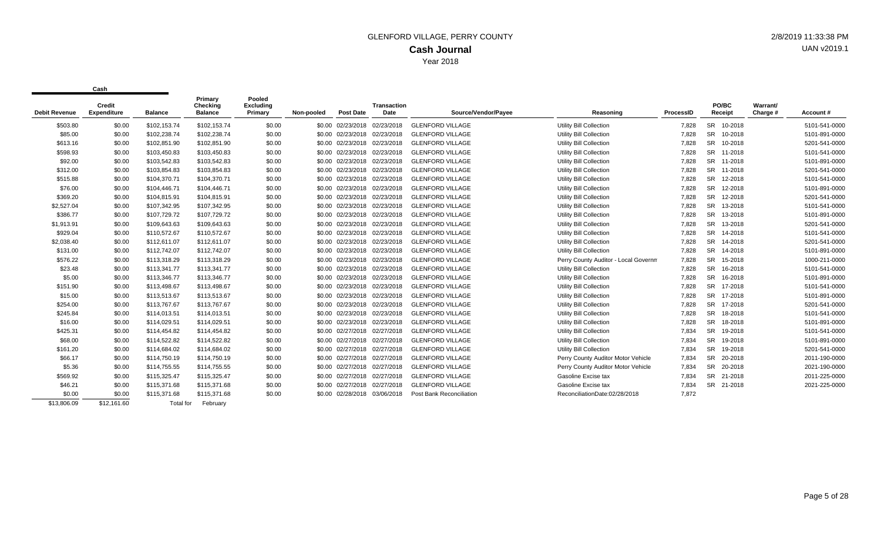| <b>Debit Revenue</b> | Credit<br><b>Expenditure</b> | <b>Balance</b> | Primary<br>Checking<br><b>Balance</b> | Pooled<br><b>Excluding</b><br>Primary | Non-pooled | <b>Post Date</b>             | <b>Transaction</b><br>Date | Source/Vendor/Pavee             | Reasoning                            | ProcessID | PO/BC<br>Receipt     | Warrant/<br>Charge # | Account#      |
|----------------------|------------------------------|----------------|---------------------------------------|---------------------------------------|------------|------------------------------|----------------------------|---------------------------------|--------------------------------------|-----------|----------------------|----------------------|---------------|
| \$503.80             | \$0.00                       | \$102,153.74   | \$102,153.74                          | \$0.00                                |            | \$0.00 02/23/2018            | 02/23/2018                 | <b>GLENFORD VILLAGE</b>         | <b>Utility Bill Collection</b>       | 7,828     | SR 10-2018           |                      | 5101-541-0000 |
| \$85.00              | \$0.00                       | \$102,238.74   | \$102,238.74                          | \$0.00                                |            | \$0.00 02/23/2018            | 02/23/2018                 | <b>GLENFORD VILLAGE</b>         | <b>Utility Bill Collection</b>       | 7,828     | <b>SR</b><br>10-2018 |                      | 5101-891-0000 |
| \$613.16             | \$0.00                       | \$102,851.90   | \$102,851.90                          | \$0.00                                |            | \$0.00 02/23/2018            | 02/23/2018                 | <b>GLENFORD VILLAGE</b>         | <b>Utility Bill Collection</b>       | 7,828     | <b>SR</b><br>10-2018 |                      | 5201-541-0000 |
| \$598.93             | \$0.00                       | \$103,450.83   | \$103,450.83                          | \$0.00                                |            | \$0.00 02/23/2018            | 02/23/2018                 | <b>GLENFORD VILLAGE</b>         | <b>Utility Bill Collection</b>       | 7,828     | <b>SR</b><br>11-2018 |                      | 5101-541-0000 |
| \$92.00              | \$0.00                       | \$103,542.83   | \$103,542.83                          | \$0.00                                |            | \$0.00 02/23/2018            | 02/23/2018                 | <b>GLENFORD VILLAGE</b>         | <b>Utility Bill Collection</b>       | 7,828     | <b>SR</b><br>11-2018 |                      | 5101-891-0000 |
| \$312.00             | \$0.00                       | \$103,854.83   | \$103,854.83                          | \$0.00                                |            | \$0.00 02/23/2018            | 02/23/2018                 | <b>GLENFORD VILLAGE</b>         | <b>Utility Bill Collection</b>       | 7,828     | <b>SR</b><br>11-2018 |                      | 5201-541-0000 |
| \$515.88             | \$0.00                       | \$104,370.71   | \$104,370.71                          | \$0.00                                |            | \$0.00 02/23/2018            | 02/23/2018                 | <b>GLENFORD VILLAGE</b>         | <b>Utility Bill Collection</b>       | 7,828     | <b>SR</b><br>12-2018 |                      | 5101-541-0000 |
| \$76.00              | \$0.00                       | \$104,446.71   | \$104,446.71                          | \$0.00                                |            | \$0.00 02/23/2018            | 02/23/2018                 | <b>GLENFORD VILLAGE</b>         | <b>Utility Bill Collection</b>       | 7,828     | <b>SR</b><br>12-2018 |                      | 5101-891-0000 |
| \$369.20             | \$0.00                       | \$104.815.91   | \$104,815.91                          | \$0.00                                |            | \$0.00 02/23/2018            | 02/23/2018                 | <b>GLENFORD VILLAGE</b>         | <b>Utility Bill Collection</b>       | 7.828     | <b>SR</b><br>12-2018 |                      | 5201-541-0000 |
| \$2,527.04           | \$0.00                       | \$107.342.95   | \$107,342.95                          | \$0.00                                |            | \$0.00 02/23/2018            | 02/23/2018                 | <b>GLENFORD VILLAGE</b>         | <b>Utility Bill Collection</b>       | 7,828     | <b>SR</b><br>13-2018 |                      | 5101-541-0000 |
| \$386.77             | \$0.00                       | \$107,729.72   | \$107,729.72                          | \$0.00                                |            | \$0.00 02/23/2018            | 02/23/2018                 | <b>GLENFORD VILLAGE</b>         | <b>Utility Bill Collection</b>       | 7.828     | <b>SR</b><br>13-2018 |                      | 5101-891-0000 |
| \$1,913.91           | \$0.00                       | \$109,643.63   | \$109,643.63                          | \$0.00                                |            | \$0.00 02/23/2018            | 02/23/2018                 | <b>GLENFORD VILLAGE</b>         | <b>Utility Bill Collection</b>       | 7,828     | <b>SR</b><br>13-2018 |                      | 5201-541-0000 |
| \$929.04             | \$0.00                       | \$110,572.67   | \$110,572.67                          | \$0.00                                |            | \$0.00 02/23/2018            | 02/23/2018                 | <b>GLENFORD VILLAGE</b>         | <b>Utility Bill Collection</b>       | 7,828     | <b>SR</b><br>14-2018 |                      | 5101-541-0000 |
| \$2.038.40           | \$0.00                       | \$112.611.07   | \$112,611.07                          | \$0.00                                |            | \$0.00 02/23/2018            | 02/23/2018                 | <b>GLENFORD VILLAGE</b>         | <b>Utility Bill Collection</b>       | 7.828     | <b>SR</b><br>14-2018 |                      | 5201-541-0000 |
| \$131.00             | \$0.00                       | \$112,742.07   | \$112,742.07                          | \$0.00                                |            | \$0.00 02/23/2018            | 02/23/2018                 | <b>GLENFORD VILLAGE</b>         | <b>Utility Bill Collection</b>       | 7,828     | <b>SR</b><br>14-2018 |                      | 5101-891-0000 |
| \$576.22             | \$0.00                       | \$113,318.29   | \$113,318.29                          | \$0.00                                |            | \$0.00 02/23/2018            | 02/23/2018                 | <b>GLENFORD VILLAGE</b>         | Perry County Auditor - Local Governm | 7,828     | <b>SR</b><br>15-2018 |                      | 1000-211-0000 |
| \$23.48              | \$0.00                       | \$113,341.77   | \$113,341.77                          | \$0.00                                |            | \$0.00 02/23/2018            | 02/23/2018                 | <b>GLENFORD VILLAGE</b>         | <b>Utility Bill Collection</b>       | 7,828     | <b>SR</b><br>16-2018 |                      | 5101-541-0000 |
| \$5.00               | \$0.00                       | \$113,346.77   | \$113,346.77                          | \$0.00                                |            | \$0.00 02/23/2018            | 02/23/2018                 | <b>GLENFORD VILLAGE</b>         | <b>Utility Bill Collection</b>       | 7,828     | <b>SR</b><br>16-2018 |                      | 5101-891-0000 |
| \$151.90             | \$0.00                       | \$113,498.67   | \$113,498.67                          | \$0.00                                |            | \$0.00 02/23/2018            | 02/23/2018                 | <b>GLENFORD VILLAGE</b>         | <b>Utility Bill Collection</b>       | 7,828     | <b>SR</b><br>17-2018 |                      | 5101-541-0000 |
| \$15.00              | \$0.00                       | \$113,513.67   | \$113,513.67                          | \$0.00                                |            | \$0.00 02/23/2018            | 02/23/2018                 | <b>GLENFORD VILLAGE</b>         | <b>Utility Bill Collection</b>       | 7,828     | <b>SR</b><br>17-2018 |                      | 5101-891-0000 |
| \$254.00             | \$0.00                       | \$113,767.67   | \$113,767.67                          | \$0.00                                |            | \$0.00 02/23/2018            | 02/23/2018                 | <b>GLENFORD VILLAGE</b>         | <b>Utility Bill Collection</b>       | 7,828     | <b>SR</b><br>17-2018 |                      | 5201-541-0000 |
| \$245.84             | \$0.00                       | \$114,013.51   | \$114,013.51                          | \$0.00                                |            | \$0.00 02/23/2018            | 02/23/2018                 | <b>GLENFORD VILLAGE</b>         | <b>Utility Bill Collection</b>       | 7,828     | <b>SR</b><br>18-2018 |                      | 5101-541-0000 |
| \$16.00              | \$0.00                       | \$114,029.51   | \$114,029.51                          | \$0.00                                |            | \$0.00 02/23/2018            | 02/23/2018                 | <b>GLENFORD VILLAGE</b>         | <b>Utility Bill Collection</b>       | 7,828     | <b>SR</b><br>18-2018 |                      | 5101-891-0000 |
| \$425.31             | \$0.00                       | \$114,454.82   | \$114,454.82                          | \$0.00                                |            | \$0.00 02/27/2018            | 02/27/2018                 | <b>GLENFORD VILLAGE</b>         | <b>Utility Bill Collection</b>       | 7,834     | <b>SR</b><br>19-2018 |                      | 5101-541-0000 |
| \$68.00              | \$0.00                       | \$114,522.82   | \$114,522.82                          | \$0.00                                |            | \$0.00 02/27/2018            | 02/27/2018                 | <b>GLENFORD VILLAGE</b>         | <b>Utility Bill Collection</b>       | 7,834     | <b>SR</b><br>19-2018 |                      | 5101-891-0000 |
| \$161.20             | \$0.00                       | \$114,684.02   | \$114,684.02                          | \$0.00                                |            | \$0.00 02/27/2018            | 02/27/2018                 | <b>GLENFORD VILLAGE</b>         | <b>Utility Bill Collection</b>       | 7,834     | <b>SR</b><br>19-2018 |                      | 5201-541-0000 |
| \$66.17              | \$0.00                       | \$114,750.19   | \$114,750.19                          | \$0.00                                |            | \$0.00 02/27/2018 02/27/2018 |                            | <b>GLENFORD VILLAGE</b>         | Perry County Auditor Motor Vehicle   | 7,834     | <b>SR</b><br>20-2018 |                      | 2011-190-0000 |
| \$5.36               | \$0.00                       | \$114,755.55   | \$114,755.55                          | \$0.00                                |            | \$0.00 02/27/2018 02/27/2018 |                            | <b>GLENFORD VILLAGE</b>         | Perry County Auditor Motor Vehicle   | 7,834     | <b>SR</b><br>20-2018 |                      | 2021-190-0000 |
| \$569.92             | \$0.00                       | \$115,325.47   | \$115,325.47                          | \$0.00                                |            | \$0.00 02/27/2018            | 02/27/2018                 | <b>GLENFORD VILLAGE</b>         | Gasoline Excise tax                  | 7,834     | 21-2018<br>SR        |                      | 2011-225-0000 |
| \$46.21              | \$0.00                       | \$115,371.68   | \$115,371.68                          | \$0.00                                |            | \$0.00 02/27/2018            | 02/27/2018                 | <b>GLENFORD VILLAGE</b>         | Gasoline Excise tax                  | 7.834     | SR 21-2018           |                      | 2021-225-0000 |
| \$0.00               | \$0.00                       | \$115,371.68   | \$115,371.68                          | \$0.00                                |            | \$0.00 02/28/2018            | 03/06/2018                 | <b>Post Bank Reconciliation</b> | ReconciliationDate:02/28/2018        | 7,872     |                      |                      |               |
| \$13,806.09          | \$12,161.60                  | Total for      | February                              |                                       |            |                              |                            |                                 |                                      |           |                      |                      |               |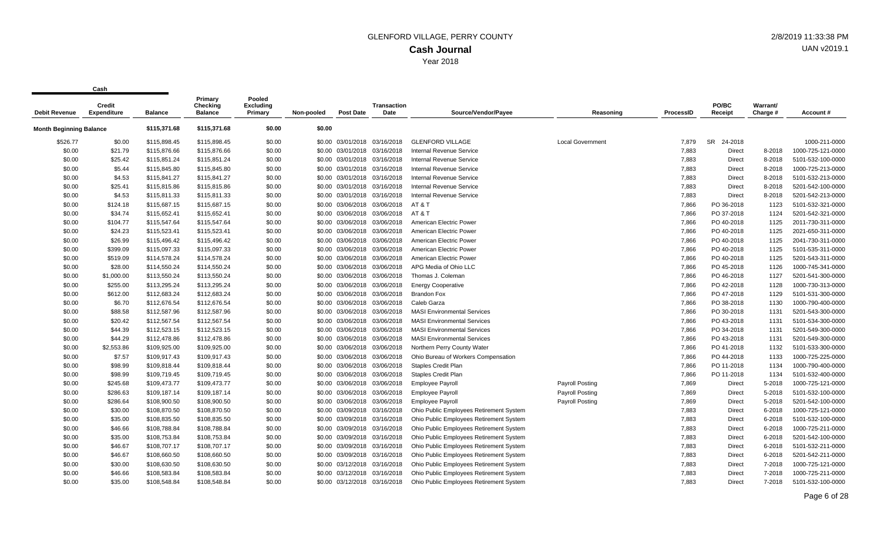| <b>Debit Revenue</b>           | <b>Credit</b><br><b>Expenditure</b> | <b>Balance</b> | Primary<br>Checking<br><b>Balance</b> | Pooled<br><b>Excluding</b><br>Primary | Non-pooled | <b>Post Date</b>             | Transaction<br>Date | Source/Vendor/Payee                     | Reasoning               | <b>ProcessID</b> | PO/BC<br>Receipt | Warrant/<br>Charge # | Account#          |
|--------------------------------|-------------------------------------|----------------|---------------------------------------|---------------------------------------|------------|------------------------------|---------------------|-----------------------------------------|-------------------------|------------------|------------------|----------------------|-------------------|
| <b>Month Beginning Balance</b> |                                     | \$115,371.68   | \$115,371.68                          | \$0.00                                | \$0.00     |                              |                     |                                         |                         |                  |                  |                      |                   |
| \$526.77                       | \$0.00                              | \$115,898.45   | \$115,898.45                          | \$0.00                                |            | \$0.00 03/01/2018            | 03/16/2018          | <b>GLENFORD VILLAGE</b>                 | <b>Local Government</b> | 7,879            | SR<br>24-2018    |                      | 1000-211-0000     |
| \$0.00                         | \$21.79                             | \$115,876.66   | \$115,876.66                          | \$0.00                                | \$0.00     | 03/01/2018                   | 03/16/2018          | Internal Revenue Service                |                         | 7,883            | <b>Direct</b>    | 8-2018               | 1000-725-121-0000 |
| \$0.00                         | \$25.42                             | \$115,851.24   | \$115,851.24                          | \$0.00                                |            | \$0.00 03/01/2018 03/16/2018 |                     | <b>Internal Revenue Service</b>         |                         | 7,883            | Direct           | 8-2018               | 5101-532-100-0000 |
| \$0.00                         | \$5.44                              | \$115,845.80   | \$115,845.80                          | \$0.00                                |            | \$0.00 03/01/2018 03/16/2018 |                     | <b>Internal Revenue Service</b>         |                         | 7,883            | <b>Direct</b>    | 8-2018               | 1000-725-213-0000 |
| \$0.00                         | \$4.53                              | \$115,841.27   | \$115,841.27                          | \$0.00                                |            | \$0.00 03/01/2018 03/16/2018 |                     | <b>Internal Revenue Service</b>         |                         | 7,883            | <b>Direct</b>    | 8-2018               | 5101-532-213-0000 |
| \$0.00                         | \$25.41                             | \$115,815.86   | \$115,815.86                          | \$0.00                                |            | \$0.00 03/01/2018            | 03/16/2018          | <b>Internal Revenue Service</b>         |                         | 7,883            | <b>Direct</b>    | 8-2018               | 5201-542-100-0000 |
| \$0.00                         | \$4.53                              | \$115,811.33   | \$115,811.33                          | \$0.00                                |            | \$0.00 03/01/2018 03/16/2018 |                     | <b>Internal Revenue Service</b>         |                         | 7,883            | <b>Direct</b>    | 8-2018               | 5201-542-213-0000 |
| \$0.00                         | \$124.18                            | \$115,687.15   | \$115,687.15                          | \$0.00                                |            | \$0.00 03/06/2018            | 03/06/2018          | AT&T                                    |                         | 7,866            | PO 36-2018       | 1123                 | 5101-532-321-0000 |
| \$0.00                         | \$34.74                             | \$115,652.41   | \$115,652.41                          | \$0.00                                |            | \$0.00 03/06/2018            | 03/06/2018          | AT&T                                    |                         | 7,866            | PO 37-2018       | 1124                 | 5201-542-321-0000 |
| \$0.00                         | \$104.77                            | \$115,547.64   | \$115,547.64                          | \$0.00                                |            | \$0.00 03/06/2018 03/06/2018 |                     | American Electric Power                 |                         | 7,866            | PO 40-2018       | 1125                 | 2011-730-311-0000 |
| \$0.00                         | \$24.23                             | \$115,523.41   | \$115,523.41                          | \$0.00                                |            | \$0.00 03/06/2018            | 03/06/2018          | American Electric Power                 |                         | 7,866            | PO 40-2018       | 1125                 | 2021-650-311-0000 |
| \$0.00                         | \$26.99                             | \$115,496.42   | \$115,496.42                          | \$0.00                                |            | \$0.00 03/06/2018            | 03/06/2018          | American Electric Power                 |                         | 7,866            | PO 40-2018       | 1125                 | 2041-730-311-0000 |
| \$0.00                         | \$399.09                            | \$115,097.33   | \$115,097.33                          | \$0.00                                |            | \$0.00 03/06/2018 03/06/2018 |                     | American Electric Power                 |                         | 7,866            | PO 40-2018       | 1125                 | 5101-535-311-0000 |
| \$0.00                         | \$519.09                            | \$114,578.24   | \$114,578.24                          | \$0.00                                |            | \$0.00 03/06/2018 03/06/2018 |                     | American Electric Power                 |                         | 7,866            | PO 40-2018       | 1125                 | 5201-543-311-0000 |
| \$0.00                         | \$28.00                             | \$114,550.24   | \$114,550.24                          | \$0.00                                |            | \$0.00 03/06/2018 03/06/2018 |                     | APG Media of Ohio LLC                   |                         | 7,866            | PO 45-2018       | 1126                 | 1000-745-341-0000 |
| \$0.00                         | \$1,000.00                          | \$113,550.24   | \$113,550.24                          | \$0.00                                |            | \$0.00 03/06/2018            | 03/06/2018          | Thomas J. Coleman                       |                         | 7,866            | PO 46-2018       | 1127                 | 5201-541-300-0000 |
| \$0.00                         | \$255.00                            | \$113,295.24   | \$113,295.24                          | \$0.00                                |            | \$0.00 03/06/2018 03/06/2018 |                     | <b>Energy Cooperative</b>               |                         | 7,866            | PO 42-2018       | 1128                 | 1000-730-313-0000 |
| \$0.00                         | \$612.00                            | \$112,683.24   | \$112,683.24                          | \$0.00                                |            | \$0.00 03/06/2018            | 03/06/2018          | <b>Brandon Fox</b>                      |                         | 7,866            | PO 47-2018       | 1129                 | 5101-531-300-0000 |
| \$0.00                         | \$6.70                              | \$112,676.54   | \$112,676.54                          | \$0.00                                |            | \$0.00 03/06/2018            | 03/06/2018          | Caleb Garza                             |                         | 7,866            | PO 38-2018       | 1130                 | 1000-790-400-0000 |
| \$0.00                         | \$88.58                             | \$112,587.96   | \$112,587.96                          | \$0.00                                |            | \$0.00 03/06/2018 03/06/2018 |                     | <b>MASI Environmental Services</b>      |                         | 7,866            | PO 30-2018       | 1131                 | 5201-543-300-0000 |
| \$0.00                         | \$20.42                             | \$112,567.54   | \$112,567.54                          | \$0.00                                |            | \$0.00 03/06/2018 03/06/2018 |                     | <b>MASI Environmental Services</b>      |                         | 7,866            | PO 43-2018       | 1131                 | 5101-534-300-0000 |
| \$0.00                         | \$44.39                             | \$112,523.15   | \$112,523.15                          | \$0.00                                |            | \$0.00 03/06/2018            | 03/06/2018          | <b>MASI Environmental Services</b>      |                         | 7,866            | PO 34-2018       | 1131                 | 5201-549-300-0000 |
| \$0.00                         | \$44.29                             | \$112,478.86   | \$112,478.86                          | \$0.00                                |            | \$0.00 03/06/2018            | 03/06/2018          | <b>MASI Environmental Services</b>      |                         | 7,866            | PO 43-2018       | 1131                 | 5201-549-300-0000 |
| \$0.00                         | \$2,553.86                          | \$109,925.00   | \$109,925.00                          | \$0.00                                |            | \$0.00 03/06/2018            | 03/06/2018          | Northern Perry County Water             |                         | 7,866            | PO 41-2018       | 1132                 | 5101-533-300-0000 |
| \$0.00                         | \$7.57                              | \$109,917.43   | \$109,917.43                          | \$0.00                                |            | \$0.00 03/06/2018 03/06/2018 |                     | Ohio Bureau of Workers Compensation     |                         | 7,866            | PO 44-2018       | 1133                 | 1000-725-225-0000 |
| \$0.00                         | \$98.99                             | \$109,818.44   | \$109,818.44                          | \$0.00                                | \$0.00     | 03/06/2018                   | 03/06/2018          | <b>Staples Credit Plan</b>              |                         | 7,866            | PO 11-2018       | 1134                 | 1000-790-400-0000 |
| \$0.00                         | \$98.99                             | \$109,719.45   | \$109,719.45                          | \$0.00                                |            | \$0.00 03/06/2018 03/06/2018 |                     | <b>Staples Credit Plan</b>              |                         | 7,866            | PO 11-2018       | 1134                 | 5101-532-400-0000 |
| \$0.00                         | \$245.68                            | \$109,473.77   | \$109,473.77                          | \$0.00                                |            | \$0.00 03/06/2018            | 03/06/2018          | <b>Employee Payroll</b>                 | Payroll Posting         | 7,869            | Direct           | 5-2018               | 1000-725-121-0000 |
| \$0.00                         | \$286.63                            | \$109,187.14   | \$109,187.14                          | \$0.00                                |            | \$0.00 03/06/2018            | 03/06/2018          | <b>Employee Payroll</b>                 | Payroll Posting         | 7,869            | Direct           | 5-2018               | 5101-532-100-0000 |
| \$0.00                         | \$286.64                            | \$108,900.50   | \$108,900.50                          | \$0.00                                |            | \$0.00 03/06/2018 03/06/2018 |                     | <b>Employee Payroll</b>                 | Payroll Posting         | 7,869            | <b>Direct</b>    | 5-2018               | 5201-542-100-0000 |
| \$0.00                         | \$30.00                             | \$108,870.50   | \$108,870.50                          | \$0.00                                |            | \$0.00 03/09/2018 03/16/2018 |                     | Ohio Public Employees Retirement System |                         | 7,883            | Direct           | 6-2018               | 1000-725-121-0000 |
| \$0.00                         | \$35.00                             | \$108,835.50   | \$108,835.50                          | \$0.00                                |            | \$0.00 03/09/2018 03/16/2018 |                     | Ohio Public Employees Retirement System |                         | 7,883            | <b>Direct</b>    | 6-2018               | 5101-532-100-0000 |
| \$0.00                         | \$46.66                             | \$108,788.84   | \$108,788.84                          | \$0.00                                |            | \$0.00 03/09/2018            | 03/16/2018          | Ohio Public Employees Retirement System |                         | 7,883            | <b>Direct</b>    | 6-2018               | 1000-725-211-0000 |
| \$0.00                         | \$35.00                             | \$108,753.84   | \$108,753.84                          | \$0.00                                |            | \$0.00 03/09/2018 03/16/2018 |                     | Ohio Public Employees Retirement System |                         | 7,883            | <b>Direct</b>    | 6-2018               | 5201-542-100-0000 |
| \$0.00                         | \$46.67                             | \$108,707.17   | \$108,707.17                          | \$0.00                                |            | \$0.00 03/09/2018 03/16/2018 |                     | Ohio Public Employees Retirement System |                         | 7,883            | <b>Direct</b>    | 6-2018               | 5101-532-211-0000 |
| \$0.00                         | \$46.67                             | \$108,660.50   | \$108,660.50                          | \$0.00                                |            | \$0.00 03/09/2018            | 03/16/2018          | Ohio Public Employees Retirement System |                         | 7,883            | <b>Direct</b>    | 6-2018               | 5201-542-211-0000 |
| \$0.00                         | \$30.00                             | \$108,630.50   | \$108,630.50                          | \$0.00                                |            | \$0.00 03/12/2018 03/16/2018 |                     | Ohio Public Employees Retirement System |                         | 7,883            | <b>Direct</b>    | 7-2018               | 1000-725-121-0000 |
| \$0.00                         | \$46.66                             | \$108,583.84   | \$108,583.84                          | \$0.00                                |            | \$0.00 03/12/2018            | 03/16/2018          | Ohio Public Employees Retirement System |                         | 7,883            | Direct           | 7-2018               | 1000-725-211-0000 |
| \$0.00                         | \$35.00                             | \$108,548.84   | \$108,548.84                          | \$0.00                                |            | \$0.00 03/12/2018            | 03/16/2018          | Ohio Public Employees Retirement System |                         | 7.883            | <b>Direct</b>    | 7-2018               | 5101-532-100-0000 |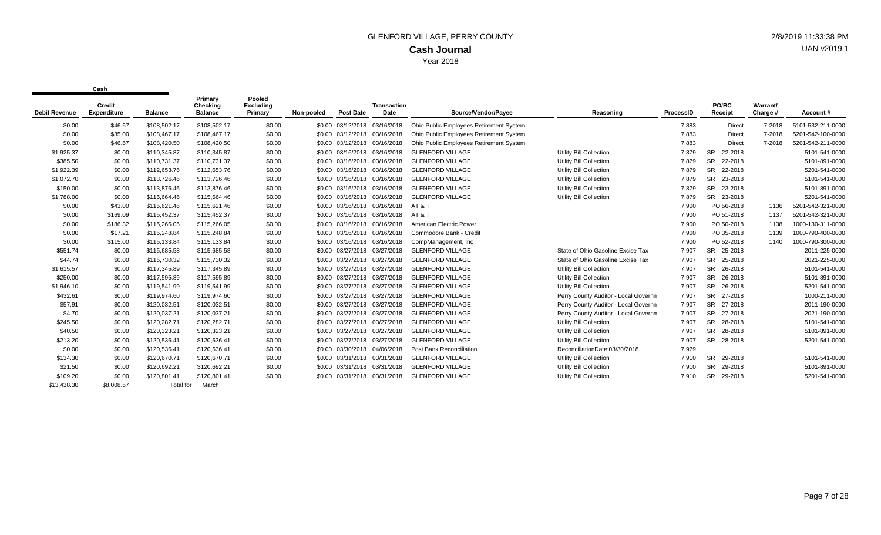|                      | <b>Credit</b> |                  | Primary<br>Checking | Pooled<br><b>Excluding</b> |            |                              | <b>Transaction</b> |                                         |                                      |           | PO/BC                | Warrant/ |                   |
|----------------------|---------------|------------------|---------------------|----------------------------|------------|------------------------------|--------------------|-----------------------------------------|--------------------------------------|-----------|----------------------|----------|-------------------|
| <b>Debit Revenue</b> | Expenditure   | <b>Balance</b>   | <b>Balance</b>      | Primary                    | Non-pooled | <b>Post Date</b>             | Date               | Source/Vendor/Payee                     | Reasoning                            | ProcessID | Receipt              | Charge # | Account#          |
| \$0.00               | \$46.67       | \$108,502.17     | \$108,502.17        | \$0.00                     |            | \$0.00 03/12/2018            | 03/16/2018         | Ohio Public Employees Retirement System |                                      | 7,883     | <b>Direct</b>        | 7-2018   | 5101-532-211-0000 |
| \$0.00               | \$35.00       | \$108,467.17     | \$108,467.17        | \$0.00                     |            | \$0.00 03/12/2018 03/16/2018 |                    | Ohio Public Employees Retirement System |                                      | 7,883     | <b>Direct</b>        | 7-2018   | 5201-542-100-0000 |
| \$0.00               | \$46.67       | \$108,420.50     | \$108,420.50        | \$0.00                     |            | \$0.00 03/12/2018 03/16/2018 |                    | Ohio Public Employees Retirement System |                                      | 7,883     | <b>Direct</b>        | 7-2018   | 5201-542-211-0000 |
| \$1,925.37           | \$0.00        | \$110,345.87     | \$110,345.87        | \$0.00                     |            | \$0.00 03/16/2018 03/16/2018 |                    | <b>GLENFORD VILLAGE</b>                 | Utility Bill Collection              | 7,879     | <b>SR</b><br>22-2018 |          | 5101-541-0000     |
| \$385.50             | \$0.00        | \$110,731.37     | \$110,731.37        | \$0.00                     |            | \$0.00 03/16/2018 03/16/2018 |                    | <b>GLENFORD VILLAGE</b>                 | Utility Bill Collection              | 7,879     | <b>SR</b><br>22-2018 |          | 5101-891-0000     |
| \$1,922.39           | \$0.00        | \$112,653.76     | \$112,653.76        | \$0.00                     |            | \$0.00 03/16/2018 03/16/2018 |                    | <b>GLENFORD VILLAGE</b>                 | Utility Bill Collection              | 7,879     | <b>SR</b><br>22-2018 |          | 5201-541-0000     |
| \$1,072.70           | \$0.00        | \$113,726.46     | \$113,726.46        | \$0.00                     |            | \$0.00 03/16/2018 03/16/2018 |                    | <b>GLENFORD VILLAGE</b>                 | <b>Utility Bill Collection</b>       | 7.879     | <b>SR</b><br>23-2018 |          | 5101-541-0000     |
| \$150.00             | \$0.00        | \$113,876.46     | \$113,876.46        | \$0.00                     |            | \$0.00 03/16/2018 03/16/2018 |                    | <b>GLENFORD VILLAGE</b>                 | Utility Bill Collection              | 7,879     | <b>SR</b><br>23-2018 |          | 5101-891-0000     |
| \$1,788.00           | \$0.00        | \$115,664.46     | \$115,664.46        | \$0.00                     |            | \$0.00 03/16/2018 03/16/2018 |                    | <b>GLENFORD VILLAGE</b>                 | Utility Bill Collection              | 7,879     | <b>SR</b><br>23-2018 |          | 5201-541-0000     |
| \$0.00               | \$43.00       | \$115,621.46     | \$115,621.46        | \$0.00                     |            | \$0.00 03/16/2018 03/16/2018 |                    | AT & T                                  |                                      | 7,900     | PO 56-2018           | 1136     | 5201-542-321-0000 |
| \$0.00               | \$169.09      | \$115.452.37     | \$115,452.37        | \$0.00                     |            | \$0.00 03/16/2018 03/16/2018 |                    | AT&T                                    |                                      | 7,900     | PO 51-2018           | 1137     | 5201-542-321-0000 |
| \$0.00               | \$186.32      | \$115,266.05     | \$115,266.05        | \$0.00                     |            | \$0.00 03/16/2018 03/16/2018 |                    | American Electric Power                 |                                      | 7,900     | PO 50-2018           | 1138     | 1000-130-311-0000 |
| \$0.00               | \$17.21       | \$115,248.84     | \$115,248.84        | \$0.00                     |            | \$0.00 03/16/2018 03/16/2018 |                    | Commodore Bank - Credit                 |                                      | 7,900     | PO 35-2018           | 1139     | 1000-790-400-0000 |
| \$0.00               | \$115.00      | \$115,133.84     | \$115,133.84        | \$0.00                     |            | \$0.00 03/16/2018 03/16/2018 |                    | CompManagement, Inc.                    |                                      | 7,900     | PO 52-2018           | 1140     | 1000-790-300-0000 |
| \$551.74             | \$0.00        | \$115,685.58     | \$115,685.58        | \$0.00                     |            | \$0.00 03/27/2018 03/27/2018 |                    | <b>GLENFORD VILLAGE</b>                 | State of Ohio Gasoline Excise Tax    | 7,907     | SR<br>25-2018        |          | 2011-225-0000     |
| \$44.74              | \$0.00        | \$115,730.32     | \$115,730.32        | \$0.00                     |            | \$0.00 03/27/2018 03/27/2018 |                    | <b>GLENFORD VILLAGE</b>                 | State of Ohio Gasoline Excise Tax    | 7,907     | <b>SR</b><br>25-2018 |          | 2021-225-0000     |
| \$1,615.57           | \$0.00        | \$117,345.89     | \$117,345.89        | \$0.00                     |            | \$0.00 03/27/2018 03/27/2018 |                    | <b>GLENFORD VILLAGE</b>                 | Utility Bill Collection              | 7,907     | <b>SR</b><br>26-2018 |          | 5101-541-0000     |
| \$250.00             | \$0.00        | \$117,595.89     | \$117,595.89        | \$0.00                     |            | \$0.00 03/27/2018            | 03/27/2018         | <b>GLENFORD VILLAGE</b>                 | Utility Bill Collection              | 7,907     | <b>SR</b><br>26-2018 |          | 5101-891-0000     |
| \$1,946.10           | \$0.00        | \$119,541.99     | \$119,541.99        | \$0.00                     |            | \$0.00 03/27/2018 03/27/2018 |                    | <b>GLENFORD VILLAGE</b>                 | Utility Bill Collection              | 7,907     | <b>SR</b><br>26-2018 |          | 5201-541-0000     |
| \$432.61             | \$0.00        | \$119,974.60     | \$119,974.60        | \$0.00                     |            | \$0.00 03/27/2018 03/27/2018 |                    | <b>GLENFORD VILLAGE</b>                 | Perry County Auditor - Local Governm | 7,907     | <b>SR</b><br>27-2018 |          | 1000-211-0000     |
| \$57.91              | \$0.00        | \$120,032.51     | \$120,032.51        | \$0.00                     |            | \$0.00 03/27/2018 03/27/2018 |                    | <b>GLENFORD VILLAGE</b>                 | Perry County Auditor - Local Governm | 7,907     | <b>SR</b><br>27-2018 |          | 2011-190-0000     |
| \$4.70               | \$0.00        | \$120,037.21     | \$120,037.21        | \$0.00                     |            | \$0.00 03/27/2018 03/27/2018 |                    | <b>GLENFORD VILLAGE</b>                 | Perry County Auditor - Local Governm | 7,907     | <b>SR</b><br>27-2018 |          | 2021-190-0000     |
| \$245.50             | \$0.00        | \$120,282.71     | \$120,282.71        | \$0.00                     |            | \$0.00 03/27/2018 03/27/2018 |                    | <b>GLENFORD VILLAGE</b>                 | Utility Bill Collection              | 7,907     | <b>SR</b><br>28-2018 |          | 5101-541-0000     |
| \$40.50              | \$0.00        | \$120.323.21     | \$120,323.21        | \$0.00                     |            | \$0.00 03/27/2018 03/27/2018 |                    | <b>GLENFORD VILLAGE</b>                 | Utility Bill Collection              | 7,907     | <b>SR</b><br>28-2018 |          | 5101-891-0000     |
| \$213.20             | \$0.00        | \$120,536.41     | \$120,536.41        | \$0.00                     |            | \$0.00 03/27/2018 03/27/2018 |                    | <b>GLENFORD VILLAGE</b>                 | Utility Bill Collection              | 7,907     | <b>SR</b><br>28-2018 |          | 5201-541-0000     |
| \$0.00               | \$0.00        | \$120,536.41     | \$120,536.41        | \$0.00                     |            | \$0.00 03/30/2018 04/06/2018 |                    | Post Bank Reconciliation                | ReconciliationDate:03/30/2018        | 7,979     |                      |          |                   |
| \$134.30             | \$0.00        | \$120.670.71     | \$120.670.71        | \$0.00                     |            | \$0.00 03/31/2018 03/31/2018 |                    | <b>GLENFORD VILLAGE</b>                 | Utility Bill Collection              | 7.910     | <b>SR</b><br>29-2018 |          | 5101-541-0000     |
| \$21.50              | \$0.00        | \$120.692.21     | \$120,692.21        | \$0.00                     |            | \$0.00 03/31/2018 03/31/2018 |                    | <b>GLENFORD VILLAGE</b>                 | Utility Bill Collection              | 7,910     | <b>SR</b><br>29-2018 |          | 5101-891-0000     |
| \$109.20             | \$0.00        | \$120,801.41     | \$120,801.41        | \$0.00                     |            | \$0.00 03/31/2018            | 03/31/2018         | <b>GLENFORD VILLAGE</b>                 | Utility Bill Collection              | 7,910     | <b>SR</b><br>29-2018 |          | 5201-541-0000     |
| \$13.438.30          | \$8,008.57    | <b>Total for</b> | March               |                            |            |                              |                    |                                         |                                      |           |                      |          |                   |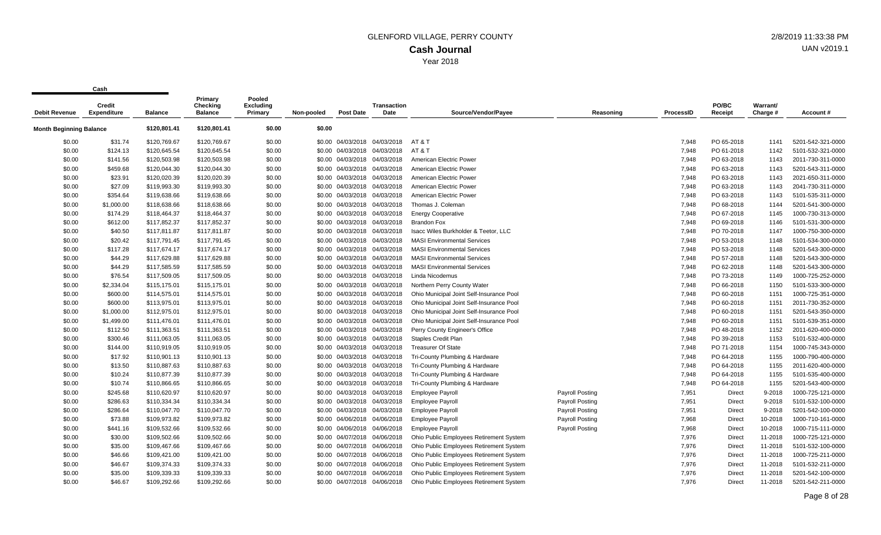|                                | vu sı ı                      |                | Primary                    | Pooled                      |            |                              |                              |                                          |                        |                  |                  |                      |                   |
|--------------------------------|------------------------------|----------------|----------------------------|-----------------------------|------------|------------------------------|------------------------------|------------------------------------------|------------------------|------------------|------------------|----------------------|-------------------|
| <b>Debit Revenue</b>           | Credit<br><b>Expenditure</b> | <b>Balance</b> | Checking<br><b>Balance</b> | <b>Excluding</b><br>Primary | Non-pooled | <b>Post Date</b>             | <b>Transaction</b><br>Date   | Source/Vendor/Payee                      | Reasoning              | <b>ProcessID</b> | PO/BC<br>Receipt | Warrant/<br>Charge # | Account#          |
| <b>Month Beginning Balance</b> |                              | \$120,801.41   | \$120,801.41               | \$0.00                      | \$0.00     |                              |                              |                                          |                        |                  |                  |                      |                   |
| \$0.00                         | \$31.74                      | \$120,769.67   | \$120,769.67               | \$0.00                      |            |                              | \$0.00 04/03/2018 04/03/2018 | AT & T                                   |                        | 7,948            | PO 65-2018       | 1141                 | 5201-542-321-0000 |
| \$0.00                         | \$124.13                     | \$120,645.54   | \$120,645.54               | \$0.00                      |            |                              | \$0.00 04/03/2018 04/03/2018 | AT & T                                   |                        | 7,948            | PO 61-2018       | 1142                 | 5101-532-321-0000 |
| \$0.00                         | \$141.56                     | \$120,503.98   | \$120,503.98               | \$0.00                      |            | \$0.00 04/03/2018 04/03/2018 |                              | American Electric Power                  |                        | 7,948            | PO 63-2018       | 1143                 | 2011-730-311-0000 |
| \$0.00                         | \$459.68                     | \$120,044.30   | \$120,044.30               | \$0.00                      |            | \$0.00 04/03/2018 04/03/2018 |                              | American Electric Power                  |                        | 7,948            | PO 63-2018       | 1143                 | 5201-543-311-0000 |
| \$0.00                         | \$23.91                      | \$120,020.39   | \$120,020.39               | \$0.00                      |            | \$0.00 04/03/2018 04/03/2018 |                              | American Electric Power                  |                        | 7,948            | PO 63-2018       | 1143                 | 2021-650-311-0000 |
| \$0.00                         | \$27.09                      | \$119,993.30   | \$119,993.30               | \$0.00                      |            | \$0.00 04/03/2018 04/03/2018 |                              | American Electric Power                  |                        | 7,948            | PO 63-2018       | 1143                 | 2041-730-311-0000 |
| \$0.00                         | \$354.64                     | \$119,638.66   | \$119,638.66               | \$0.00                      |            | \$0.00 04/03/2018            | 04/03/2018                   | American Electric Power                  |                        | 7,948            | PO 63-2018       | 1143                 | 5101-535-311-0000 |
| \$0.00                         | \$1,000.00                   | \$118,638.66   | \$118,638.66               | \$0.00                      |            | \$0.00 04/03/2018 04/03/2018 |                              | Thomas J. Coleman                        |                        | 7,948            | PO 68-2018       | 1144                 | 5201-541-300-0000 |
| \$0.00                         | \$174.29                     | \$118,464.37   | \$118,464.37               | \$0.00                      |            | \$0.00 04/03/2018 04/03/2018 |                              | <b>Energy Cooperative</b>                |                        | 7,948            | PO 67-2018       | 1145                 | 1000-730-313-0000 |
| \$0.00                         | \$612.00                     | \$117,852.37   | \$117,852.37               | \$0.00                      |            | \$0.00 04/03/2018 04/03/2018 |                              | <b>Brandon Fox</b>                       |                        | 7,948            | PO 69-2018       | 1146                 | 5101-531-300-0000 |
| \$0.00                         | \$40.50                      | \$117,811.87   | \$117,811.87               | \$0.00                      | \$0.00     |                              | 04/03/2018 04/03/2018        | Isacc Wiles Burkholder & Teetor, LLC     |                        | 7,948            | PO 70-2018       | 1147                 | 1000-750-300-0000 |
| \$0.00                         | \$20.42                      | \$117,791.45   | \$117,791.45               | \$0.00                      |            | \$0.00 04/03/2018 04/03/2018 |                              | <b>MASI Environmental Services</b>       |                        | 7,948            | PO 53-2018       | 1148                 | 5101-534-300-0000 |
| \$0.00                         | \$117.28                     | \$117,674.17   | \$117,674.17               | \$0.00                      |            | \$0.00 04/03/2018 04/03/2018 |                              | <b>MASI Environmental Services</b>       |                        | 7,948            | PO 53-2018       | 1148                 | 5201-543-300-0000 |
| \$0.00                         | \$44.29                      | \$117,629.88   | \$117,629.88               | \$0.00                      |            | \$0.00 04/03/2018            | 04/03/2018                   | <b>MASI Environmental Services</b>       |                        | 7,948            | PO 57-2018       | 1148                 | 5201-543-300-0000 |
| \$0.00                         | \$44.29                      | \$117,585.59   | \$117,585.59               | \$0.00                      |            | \$0.00 04/03/2018 04/03/2018 |                              | <b>MASI Environmental Services</b>       |                        | 7,948            | PO 62-2018       | 1148                 | 5201-543-300-0000 |
| \$0.00                         | \$76.54                      | \$117,509.05   | \$117,509.05               | \$0.00                      |            | \$0.00 04/03/2018 04/03/2018 |                              | Linda Nicodemus                          |                        | 7,948            | PO 73-2018       | 1149                 | 1000-725-252-0000 |
| \$0.00                         | \$2,334.04                   | \$115,175.01   | \$115,175.01               | \$0.00                      |            | \$0.00 04/03/2018 04/03/2018 |                              | Northern Perry County Water              |                        | 7.948            | PO 66-2018       | 1150                 | 5101-533-300-0000 |
| \$0.00                         | \$600.00                     | \$114,575.01   | \$114,575.01               | \$0.00                      |            | \$0.00 04/03/2018 04/03/2018 |                              | Ohio Municipal Joint Self-Insurance Pool |                        | 7,948            | PO 60-2018       | 1151                 | 1000-725-351-0000 |
| \$0.00                         | \$600.00                     | \$113,975.01   | \$113,975.01               | \$0.00                      |            | \$0.00 04/03/2018 04/03/2018 |                              | Ohio Municipal Joint Self-Insurance Pool |                        | 7,948            | PO 60-2018       | 1151                 | 2011-730-352-0000 |
| \$0.00                         | \$1,000.00                   | \$112,975.01   | \$112,975.01               | \$0.00                      |            | \$0.00 04/03/2018            | 04/03/2018                   | Ohio Municipal Joint Self-Insurance Pool |                        | 7,948            | PO 60-2018       | 1151                 | 5201-543-350-0000 |
| \$0.00                         | \$1,499.00                   | \$111,476.01   | \$111,476.01               | \$0.00                      |            | \$0.00 04/03/2018 04/03/2018 |                              | Ohio Municipal Joint Self-Insurance Pool |                        | 7,948            | PO 60-2018       | 1151                 | 5101-539-351-0000 |
| \$0.00                         | \$112.50                     | \$111,363.51   | \$111,363.51               | \$0.00                      |            | \$0.00 04/03/2018 04/03/2018 |                              | Perry County Engineer's Office           |                        | 7,948            | PO 48-2018       | 1152                 | 2011-620-400-0000 |
| \$0.00                         | \$300.46                     | \$111,063.05   | \$111,063.05               | \$0.00                      |            | \$0.00 04/03/2018 04/03/2018 |                              | <b>Staples Credit Plan</b>               |                        | 7,948            | PO 39-2018       | 1153                 | 5101-532-400-0000 |
| \$0.00                         | \$144.00                     | \$110,919.05   | \$110,919.05               | \$0.00                      | \$0.00     | 04/03/2018                   | 04/03/2018                   | <b>Treasurer Of State</b>                |                        | 7,948            | PO 71-2018       | 1154                 | 1000-745-343-0000 |
| \$0.00                         | \$17.92                      | \$110,901.13   | \$110,901.13               | \$0.00                      |            | \$0.00 04/03/2018 04/03/2018 |                              | Tri-County Plumbing & Hardware           |                        | 7,948            | PO 64-2018       | 1155                 | 1000-790-400-0000 |
| \$0.00                         | \$13.50                      | \$110,887.63   | \$110,887.63               | \$0.00                      |            | \$0.00 04/03/2018 04/03/2018 |                              | Tri-County Plumbing & Hardware           |                        | 7,948            | PO 64-2018       | 1155                 | 2011-620-400-0000 |
| \$0.00                         | \$10.24                      | \$110,877.39   | \$110,877.39               | \$0.00                      |            | \$0.00 04/03/2018            | 04/03/2018                   | Tri-County Plumbing & Hardware           |                        | 7,948            | PO 64-2018       | 1155                 | 5101-535-400-0000 |
| \$0.00                         | \$10.74                      | \$110,866.65   | \$110,866.65               | \$0.00                      |            | \$0.00 04/03/2018 04/03/2018 |                              | Tri-County Plumbing & Hardware           |                        | 7,948            | PO 64-2018       | 1155                 | 5201-543-400-0000 |
| \$0.00                         | \$245.68                     | \$110,620.97   | \$110,620.97               | \$0.00                      |            | \$0.00 04/03/2018 04/03/2018 |                              | <b>Employee Payroll</b>                  | Payroll Posting        | 7,951            | Direct           | 9-2018               | 1000-725-121-0000 |
| \$0.00                         | \$286.63                     | \$110,334.34   | \$110,334.34               | \$0.00                      |            | \$0.00 04/03/2018            | 04/03/2018                   | <b>Employee Payroll</b>                  | <b>Payroll Posting</b> | 7,951            | Direct           | 9-2018               | 5101-532-100-0000 |
| \$0.00                         | \$286.64                     | \$110,047.70   | \$110,047.70               | \$0.00                      |            | \$0.00 04/03/2018 04/03/2018 |                              | <b>Employee Payroll</b>                  | <b>Payroll Posting</b> | 7,951            | Direct           | 9-2018               | 5201-542-100-0000 |
| \$0.00                         | \$73.88                      | \$109,973.82   | \$109,973.82               | \$0.00                      |            | \$0.00 04/06/2018 04/06/2018 |                              | <b>Employee Payroll</b>                  | <b>Payroll Posting</b> | 7,968            | <b>Direct</b>    | 10-2018              | 1000-710-161-0000 |
| \$0.00                         | \$441.16                     | \$109,532.66   | \$109,532.66               | \$0.00                      |            | \$0.00 04/06/2018 04/06/2018 |                              | <b>Employee Payroll</b>                  | <b>Payroll Posting</b> | 7,968            | Direct           | 10-2018              | 1000-715-111-0000 |
| \$0.00                         | \$30.00                      | \$109,502.66   | \$109,502.66               | \$0.00                      |            | \$0.00 04/07/2018 04/06/2018 |                              | Ohio Public Employees Retirement System  |                        | 7,976            | <b>Direct</b>    | 11-2018              | 1000-725-121-0000 |
| \$0.00                         | \$35.00                      | \$109,467.66   | \$109,467.66               | \$0.00                      |            | \$0.00 04/07/2018 04/06/2018 |                              | Ohio Public Employees Retirement System  |                        | 7,976            | Direct           | 11-2018              | 5101-532-100-0000 |
| \$0.00                         | \$46.66                      | \$109,421.00   | \$109,421.00               | \$0.00                      |            | \$0.00 04/07/2018 04/06/2018 |                              | Ohio Public Employees Retirement System  |                        | 7,976            | <b>Direct</b>    | 11-2018              | 1000-725-211-0000 |
| \$0.00                         | \$46.67                      | \$109,374.33   | \$109,374.33               | \$0.00                      |            | \$0.00 04/07/2018            | 04/06/2018                   | Ohio Public Employees Retirement System  |                        | 7,976            | <b>Direct</b>    | 11-2018              | 5101-532-211-0000 |
| \$0.00                         | \$35.00                      | \$109,339.33   | \$109,339.33               | \$0.00                      |            | \$0.00 04/07/2018 04/06/2018 |                              | Ohio Public Employees Retirement System  |                        | 7,976            | Direct           | 11-2018              | 5201-542-100-0000 |
| \$0.00                         | \$46.67                      | \$109.292.66   | \$109,292.66               | \$0.00                      |            | \$0.00 04/07/2018 04/06/2018 |                              | Ohio Public Employees Retirement System  |                        | 7.976            | Direct           | 11-2018              | 5201-542-211-0000 |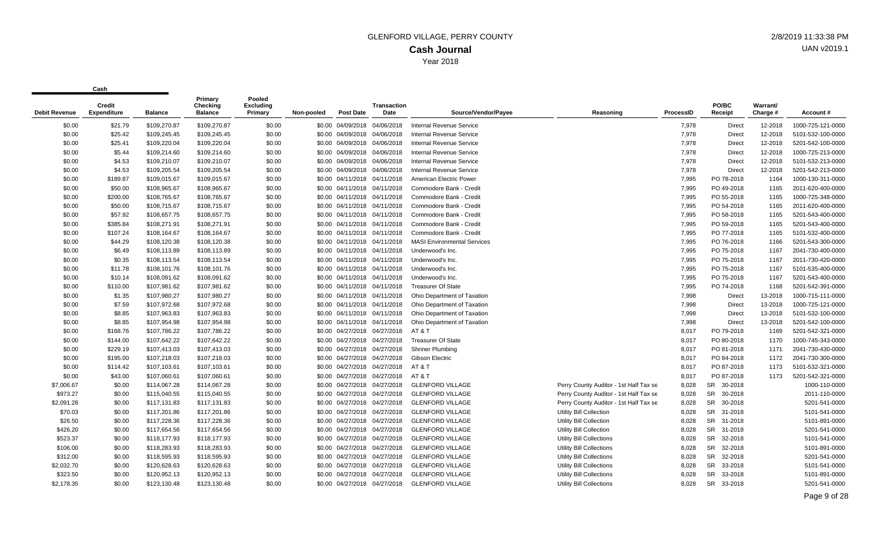| <b>Debit Revenue</b> | Credit<br><b>Expenditure</b> | <b>Balance</b> | Primary<br>Checking<br><b>Balance</b> | Pooled<br><b>Excluding</b><br>Primary | Non-pooled | <b>Post Date</b>             | <b>Transaction</b><br>Date | Source/Vendor/Payee                | Reasoning                              | ProcessID | PO/BC<br>Receipt     | Warrant/<br>Charge # | Account#          |
|----------------------|------------------------------|----------------|---------------------------------------|---------------------------------------|------------|------------------------------|----------------------------|------------------------------------|----------------------------------------|-----------|----------------------|----------------------|-------------------|
| \$0.00               | \$21.79                      | \$109,270.87   | \$109,270.87                          | \$0.00                                |            | \$0.00 04/09/2018 04/06/2018 |                            | <b>Internal Revenue Service</b>    |                                        | 7,978     | Direct               | 12-2018              | 1000-725-121-0000 |
| \$0.00               | \$25.42                      | \$109,245.45   | \$109,245.45                          | \$0.00                                |            | \$0.00 04/09/2018            | 04/06/2018                 | Internal Revenue Service           |                                        | 7,978     | Direct               | 12-2018              | 5101-532-100-0000 |
| \$0.00               | \$25.41                      | \$109,220.04   | \$109,220.04                          | \$0.00                                |            | \$0.00 04/09/2018 04/06/2018 |                            | <b>Internal Revenue Service</b>    |                                        | 7,978     | Direct               | 12-2018              | 5201-542-100-0000 |
| \$0.00               | \$5.44                       | \$109,214.60   | \$109,214.60                          | \$0.00                                |            | \$0.00 04/09/2018 04/06/2018 |                            | Internal Revenue Service           |                                        | 7,978     | Direct               | 12-2018              | 1000-725-213-0000 |
| \$0.00               | \$4.53                       | \$109,210.07   | \$109,210.07                          | \$0.00                                |            | \$0.00 04/09/2018 04/06/2018 |                            | <b>Internal Revenue Service</b>    |                                        | 7,978     | Direct               | 12-2018              | 5101-532-213-0000 |
| \$0.00               | \$4.53                       | \$109,205.54   | \$109,205.54                          | \$0.00                                |            | \$0.00 04/09/2018 04/06/2018 |                            | <b>Internal Revenue Service</b>    |                                        | 7,978     | <b>Direct</b>        | 12-2018              | 5201-542-213-0000 |
| \$0.00               | \$189.87                     | \$109,015.67   | \$109,015.67                          | \$0.00                                |            | \$0.00 04/11/2018 04/11/2018 |                            | American Electric Power            |                                        | 7,995     | PO 78-2018           | 1164                 | 1000-130-311-0000 |
| \$0.00               | \$50.00                      | \$108,965.67   | \$108,965.67                          | \$0.00                                |            | \$0.00 04/11/2018            | 04/11/2018                 | Commodore Bank - Credit            |                                        | 7,995     | PO 49-2018           | 1165                 | 2011-620-400-0000 |
| \$0.00               | \$200.00                     | \$108,765.67   | \$108,765.67                          | \$0.00                                |            | \$0.00 04/11/2018 04/11/2018 |                            | Commodore Bank - Credit            |                                        | 7,995     | PO 55-2018           | 1165                 | 1000-725-348-0000 |
| \$0.00               | \$50.00                      | \$108,715.67   | \$108,715.67                          | \$0.00                                |            | \$0.00 04/11/2018 04/11/2018 |                            | Commodore Bank - Credit            |                                        | 7,995     | PO 54-2018           | 1165                 | 2011-620-400-0000 |
| \$0.00               | \$57.92                      | \$108,657.75   | \$108,657.75                          | \$0.00                                |            | \$0.00 04/11/2018 04/11/2018 |                            | Commodore Bank - Credit            |                                        | 7,995     | PO 58-2018           | 1165                 | 5201-543-400-0000 |
| \$0.00               | \$385.84                     | \$108,271.91   | \$108,271.91                          | \$0.00                                |            | \$0.00 04/11/2018            | 04/11/2018                 | Commodore Bank - Credit            |                                        | 7,995     | PO 59-2018           | 1165                 | 5201-543-400-0000 |
| \$0.00               | \$107.24                     | \$108,164.67   | \$108,164.67                          | \$0.00                                |            | \$0.00 04/11/2018 04/11/2018 |                            | Commodore Bank - Credit            |                                        | 7,995     | PO 77-2018           | 1165                 | 5101-532-400-0000 |
| \$0.00               | \$44.29                      | \$108,120.38   | \$108,120.38                          | \$0.00                                |            | \$0.00 04/11/2018 04/11/2018 |                            | <b>MASI Environmental Services</b> |                                        | 7,995     | PO 76-2018           | 1166                 | 5201-543-300-0000 |
| \$0.00               | \$6.49                       | \$108,113.89   | \$108,113.89                          | \$0.00                                |            | \$0.00 04/11/2018 04/11/2018 |                            | Underwood's Inc.                   |                                        | 7,995     | PO 75-2018           | 1167                 | 2041-730-400-0000 |
| \$0.00               | \$0.35                       | \$108,113.54   | \$108,113.54                          | \$0.00                                |            | \$0.00 04/11/2018 04/11/2018 |                            | Underwood's Inc.                   |                                        | 7,995     | PO 75-2018           | 1167                 | 2011-730-420-0000 |
| \$0.00               | \$11.78                      | \$108,101.76   | \$108,101.76                          | \$0.00                                |            | \$0.00 04/11/2018 04/11/2018 |                            | Underwood's Inc.                   |                                        | 7,995     | PO 75-2018           | 1167                 | 5101-535-400-0000 |
| \$0.00               | \$10.14                      | \$108,091.62   | \$108,091.62                          | \$0.00                                |            | \$0.00 04/11/2018 04/11/2018 |                            | Underwood's Inc.                   |                                        | 7,995     | PO 75-2018           | 1167                 | 5201-543-400-0000 |
| \$0.00               | \$110.00                     | \$107,981.62   | \$107,981.62                          | \$0.00                                |            | \$0.00 04/11/2018 04/11/2018 |                            | <b>Treasurer Of State</b>          |                                        | 7,995     | PO 74-2018           | 1168                 | 5201-542-391-0000 |
| \$0.00               | \$1.35                       | \$107,980.27   | \$107,980.27                          | \$0.00                                |            | \$0.00 04/11/2018 04/11/2018 |                            | Ohio Department of Taxation        |                                        | 7,998     | <b>Direct</b>        | 13-2018              | 1000-715-111-0000 |
| \$0.00               | \$7.59                       | \$107,972.68   | \$107,972.68                          | \$0.00                                |            | \$0.00 04/11/2018 04/11/2018 |                            | Ohio Department of Taxation        |                                        | 7,998     | <b>Direct</b>        | 13-2018              | 1000-725-121-0000 |
| \$0.00               | \$8.85                       | \$107,963.83   | \$107,963.83                          | \$0.00                                |            | \$0.00 04/11/2018 04/11/2018 |                            | Ohio Department of Taxation        |                                        | 7,998     | Direct               | 13-2018              | 5101-532-100-0000 |
| \$0.00               | \$8.85                       | \$107,954.98   | \$107,954.98                          | \$0.00                                |            | \$0.00 04/11/2018 04/11/2018 |                            | Ohio Department of Taxation        |                                        | 7,998     | <b>Direct</b>        | 13-2018              | 5201-542-100-0000 |
| \$0.00               | \$168.76                     | \$107,786.22   | \$107,786.22                          | \$0.00                                |            | \$0.00 04/27/2018 04/27/2018 |                            | AT & T                             |                                        | 8,017     | PO 79-2018           | 1169                 | 5201-542-321-0000 |
| \$0.00               | \$144.00                     | \$107,642.22   | \$107,642.22                          | \$0.00                                |            | \$0.00 04/27/2018 04/27/2018 |                            | <b>Treasurer Of State</b>          |                                        | 8,017     | PO 80-2018           | 1170                 | 1000-745-343-0000 |
| \$0.00               | \$229.19                     | \$107,413.03   | \$107,413.03                          | \$0.00                                |            | \$0.00 04/27/2018 04/27/2018 |                            | <b>Shriner Plumbing</b>            |                                        | 8,017     | PO 81-2018           | 1171                 | 2041-730-430-0000 |
| \$0.00               | \$195.00                     | \$107,218.03   | \$107,218.03                          | \$0.00                                |            | \$0.00 04/27/2018 04/27/2018 |                            | Gibson Electric                    |                                        | 8,017     | PO 84-2018           | 1172                 | 2041-730-300-0000 |
| \$0.00               | \$114.42                     | \$107,103.61   | \$107,103.61                          | \$0.00                                |            | \$0.00 04/27/2018 04/27/2018 |                            | AT&T                               |                                        | 8,017     | PO 87-2018           | 1173                 | 5101-532-321-0000 |
| \$0.00               | \$43.00                      | \$107,060.61   | \$107,060.61                          | \$0.00                                |            | \$0.00 04/27/2018            | 04/27/2018                 | AT&T                               |                                        | 8,017     | PO 87-2018           | 1173                 | 5201-542-321-0000 |
| \$7,006.67           | \$0.00                       | \$114,067.28   | \$114,067.28                          | \$0.00                                |            | \$0.00 04/27/2018 04/27/2018 |                            | <b>GLENFORD VILLAGE</b>            | Perry County Auditor - 1st Half Tax se | 8,028     | SR 30-2018           |                      | 1000-110-0000     |
| \$973.27             | \$0.00                       | \$115,040.55   | \$115,040.55                          | \$0.00                                |            | \$0.00 04/27/2018 04/27/2018 |                            | <b>GLENFORD VILLAGE</b>            | Perry County Auditor - 1st Half Tax se | 8,028     | SR 30-2018           |                      | 2011-110-0000     |
| \$2,091.28           | \$0.00                       | \$117,131.83   | \$117,131.83                          | \$0.00                                |            | \$0.00 04/27/2018            | 04/27/2018                 | <b>GLENFORD VILLAGE</b>            | Perry County Auditor - 1st Half Tax se | 8,028     | SR 30-2018           |                      | 5201-541-0000     |
| \$70.03              | \$0.00                       | \$117,201.86   | \$117,201.86                          | \$0.00                                |            | \$0.00 04/27/2018 04/27/2018 |                            | <b>GLENFORD VILLAGE</b>            | Utility Bill Collection                | 8,028     | SR 31-2018           |                      | 5101-541-0000     |
| \$26.50              | \$0.00                       | \$117,228.36   | \$117,228.36                          | \$0.00                                |            | \$0.00 04/27/2018 04/27/2018 |                            | <b>GLENFORD VILLAGE</b>            | Utility Bill Collection                | 8,028     | SR 31-2018           |                      | 5101-891-0000     |
| \$426.20             | \$0.00                       | \$117,654.56   | \$117,654.56                          | \$0.00                                |            | \$0.00 04/27/2018            | 04/27/2018                 | <b>GLENFORD VILLAGE</b>            | Utility Bill Collection                | 8,028     | SR 31-2018           |                      | 5201-541-0000     |
| \$523.37             | \$0.00                       | \$118,177.93   | \$118,177.93                          | \$0.00                                |            | \$0.00 04/27/2018            | 04/27/2018                 | <b>GLENFORD VILLAGE</b>            | <b>Utility Bill Collections</b>        | 8,028     | SR 32-2018           |                      | 5101-541-0000     |
| \$106.00             | \$0.00                       | \$118,283.93   | \$118,283.93                          | \$0.00                                |            | \$0.00 04/27/2018 04/27/2018 |                            | <b>GLENFORD VILLAGE</b>            | <b>Utility Bill Collections</b>        | 8,028     | <b>SR</b><br>32-2018 |                      | 5101-891-0000     |
| \$312.00             | \$0.00                       | \$118,595.93   | \$118,595.93                          | \$0.00                                |            | \$0.00 04/27/2018 04/27/2018 |                            | <b>GLENFORD VILLAGE</b>            | <b>Utility Bill Collections</b>        | 8,028     | SR 32-2018           |                      | 5201-541-0000     |
| \$2,032.70           | \$0.00                       | \$120,628.63   | \$120,628.63                          | \$0.00                                |            | \$0.00 04/27/2018            | 04/27/2018                 | <b>GLENFORD VILLAGE</b>            | <b>Utility Bill Collections</b>        | 8,028     | SR 33-2018           |                      | 5101-541-0000     |
| \$323.50             | \$0.00                       | \$120,952.13   | \$120,952.13                          | \$0.00                                |            | \$0.00 04/27/2018 04/27/2018 |                            | <b>GLENFORD VILLAGE</b>            | <b>Utility Bill Collections</b>        | 8,028     | SR 33-2018           |                      | 5101-891-0000     |
| \$2.178.35           | \$0.00                       | \$123.130.48   | \$123.130.48                          | \$0.00                                |            | \$0.00 04/27/2018 04/27/2018 |                            | <b>GLENFORD VILLAGE</b>            | <b>Utility Bill Collections</b>        | 8,028     | <b>SR</b><br>33-2018 |                      | 5201-541-0000     |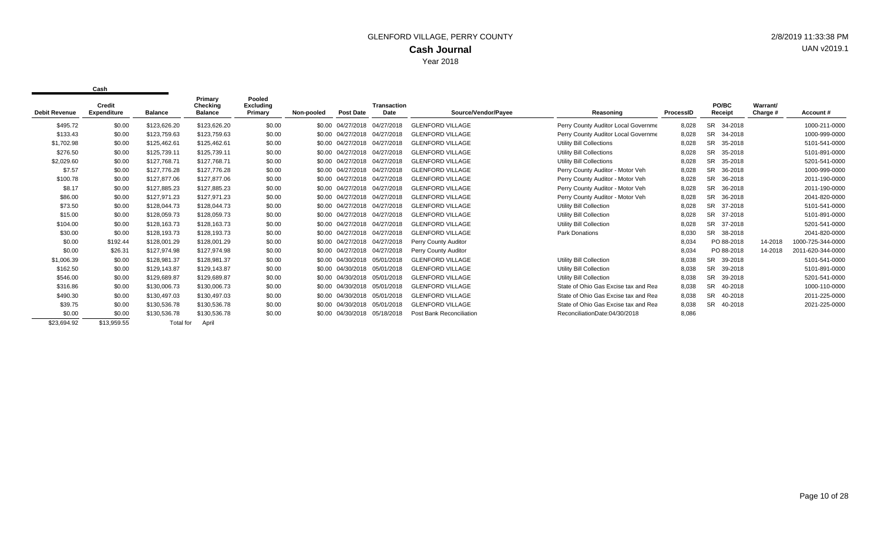|                      | Credit             |                | Primary<br>Checking | Pooled<br><b>Excluding</b> |            |                              | <b>Transaction</b> |                          |                                      |                  | PO/BC                | Warrant/ |                   |
|----------------------|--------------------|----------------|---------------------|----------------------------|------------|------------------------------|--------------------|--------------------------|--------------------------------------|------------------|----------------------|----------|-------------------|
| <b>Debit Revenue</b> | <b>Expenditure</b> | <b>Balance</b> | <b>Balance</b>      | Primary                    | Non-pooled | <b>Post Date</b>             | Date               | Source/Vendor/Payee      | Reasoning                            | <b>ProcessID</b> | Receipt              | Charge # | Account#          |
| \$495.72             | \$0.00             | \$123,626.20   | \$123,626.20        | \$0.00                     |            | \$0.00 04/27/2018 04/27/2018 |                    | <b>GLENFORD VILLAGE</b>  | Perry County Auditor Local Governme  | 8,028            | <b>SR</b><br>34-2018 |          | 1000-211-0000     |
| \$133.43             | \$0.00             | \$123,759.63   | \$123,759.63        | \$0.00                     |            | \$0.00 04/27/2018            | 04/27/2018         | <b>GLENFORD VILLAGE</b>  | Perry County Auditor Local Governme  | 8,028            | <b>SR</b><br>34-2018 |          | 1000-999-0000     |
| \$1,702.98           | \$0.00             | \$125,462.61   | \$125,462.61        | \$0.00                     |            | \$0.00 04/27/2018            | 04/27/2018         | <b>GLENFORD VILLAGE</b>  | Utility Bill Collections             | 8,028            | SR.<br>35-2018       |          | 5101-541-0000     |
| \$276.50             | \$0.00             | \$125,739.11   | \$125,739.11        | \$0.00                     |            | \$0.00 04/27/2018            | 04/27/2018         | <b>GLENFORD VILLAGE</b>  | Utility Bill Collections             | 8,028            | <b>SR</b><br>35-2018 |          | 5101-891-0000     |
| \$2,029.60           | \$0.00             | \$127,768.71   | \$127,768.71        | \$0.00                     |            | \$0.00 04/27/2018 04/27/2018 |                    | <b>GLENFORD VILLAGE</b>  | Utility Bill Collections             | 8,028            | <b>SR</b><br>35-2018 |          | 5201-541-0000     |
| \$7.57               | \$0.00             | \$127,776.28   | \$127,776.28        | \$0.00                     |            | \$0.00 04/27/2018 04/27/2018 |                    | <b>GLENFORD VILLAGE</b>  | Perry County Auditor - Motor Veh     | 8,028            | <b>SR</b><br>36-2018 |          | 1000-999-0000     |
| \$100.78             | \$0.00             | \$127,877,06   | \$127,877.06        | \$0.00                     |            | \$0.00 04/27/2018 04/27/2018 |                    | <b>GLENFORD VILLAGE</b>  | Perry County Auditor - Motor Veh     | 8,028            | SR.<br>36-2018       |          | 2011-190-0000     |
| \$8.17               | \$0.00             | \$127,885.23   | \$127,885.23        | \$0.00                     |            | \$0.00 04/27/2018 04/27/2018 |                    | <b>GLENFORD VILLAGE</b>  | Perry County Auditor - Motor Veh     | 8,028            | <b>SR</b><br>36-2018 |          | 2011-190-0000     |
| \$86.00              | \$0.00             | \$127,971.23   | \$127,971.23        | \$0.00                     |            | \$0.00 04/27/2018 04/27/2018 |                    | <b>GLENFORD VILLAGE</b>  | Perry County Auditor - Motor Veh     | 8,028            | <b>SR</b><br>36-2018 |          | 2041-820-0000     |
| \$73.50              | \$0.00             | \$128,044.73   | \$128,044.73        | \$0.00                     |            | \$0.00 04/27/2018            | 04/27/2018         | <b>GLENFORD VILLAGE</b>  | Utility Bill Collection              | 8,028            | <b>SR</b><br>37-2018 |          | 5101-541-0000     |
| \$15.00              | \$0.00             | \$128,059.73   | \$128,059.73        | \$0.00                     |            | \$0.00 04/27/2018            | 04/27/2018         | <b>GLENFORD VILLAGE</b>  | Utility Bill Collection              | 8,028            | <b>SR</b><br>37-2018 |          | 5101-891-0000     |
| \$104.00             | \$0.00             | \$128,163.73   | \$128,163.73        | \$0.00                     |            | \$0.00 04/27/2018            | 04/27/2018         | <b>GLENFORD VILLAGE</b>  | <b>Utility Bill Collection</b>       | 8,028            | 37-2018<br><b>SR</b> |          | 5201-541-0000     |
| \$30.00              | \$0.00             | \$128,193.73   | \$128,193.73        | \$0.00                     |            | \$0.00 04/27/2018 04/27/2018 |                    | <b>GLENFORD VILLAGE</b>  | <b>Park Donations</b>                | 8,030            | <b>SR</b><br>38-2018 |          | 2041-820-0000     |
| \$0.00               | \$192.44           | \$128,001.29   | \$128,001.29        | \$0.00                     |            | \$0.00 04/27/2018 04/27/2018 |                    | Perry County Auditor     |                                      | 8,034            | PO 88-2018           | 14-2018  | 1000-725-344-0000 |
| \$0.00               | \$26.31            | \$127,974.98   | \$127,974.98        | \$0.00                     |            | \$0.00 04/27/2018 04/27/2018 |                    | Perry County Auditor     |                                      | 8,034            | PO 88-2018           | 14-2018  | 2011-620-344-0000 |
| \$1,006.39           | \$0.00             | \$128,981.37   | \$128,981.37        | \$0.00                     |            | \$0.00 04/30/2018 05/01/2018 |                    | <b>GLENFORD VILLAGE</b>  | Utility Bill Collection              | 8,038            | <b>SR</b><br>39-2018 |          | 5101-541-0000     |
| \$162.50             | \$0.00             | \$129,143.87   | \$129,143.87        | \$0.00                     |            | \$0.00 04/30/2018            | 05/01/2018         | <b>GLENFORD VILLAGE</b>  | <b>Utility Bill Collection</b>       | 8,038            | <b>SR</b><br>39-2018 |          | 5101-891-0000     |
| \$546.00             | \$0.00             | \$129,689.87   | \$129,689.87        | \$0.00                     |            | \$0.00 04/30/2018 05/01/2018 |                    | <b>GLENFORD VILLAGE</b>  | Utility Bill Collection              | 8,038            | <b>SR</b><br>39-2018 |          | 5201-541-0000     |
| \$316.86             | \$0.00             | \$130,006.73   | \$130,006.73        | \$0.00                     |            | \$0.00 04/30/2018            | 05/01/2018         | <b>GLENFORD VILLAGE</b>  | State of Ohio Gas Excise tax and Rea | 8,038            | <b>SR</b><br>40-2018 |          | 1000-110-0000     |
| \$490.30             | \$0.00             | \$130,497.03   | \$130,497.03        | \$0.00                     |            | \$0.00 04/30/2018            | 05/01/2018         | <b>GLENFORD VILLAGE</b>  | State of Ohio Gas Excise tax and Rea | 8,038            | SR.<br>40-2018       |          | 2011-225-0000     |
| \$39.75              | \$0.00             | \$130,536.78   | \$130,536.78        | \$0.00                     |            | \$0.00 04/30/2018            | 05/01/2018         | <b>GLENFORD VILLAGE</b>  | State of Ohio Gas Excise tax and Rea | 8,038            | <b>SR</b><br>40-2018 |          | 2021-225-0000     |
| \$0.00               | \$0.00             | \$130,536.78   | \$130,536.78        | \$0.00                     |            | \$0.00 04/30/2018 05/18/2018 |                    | Post Bank Reconciliation | ReconciliationDate:04/30/2018        | 8,086            |                      |          |                   |
| \$23,694.92          | \$13,959.55        | Total for      | April               |                            |            |                              |                    |                          |                                      |                  |                      |          |                   |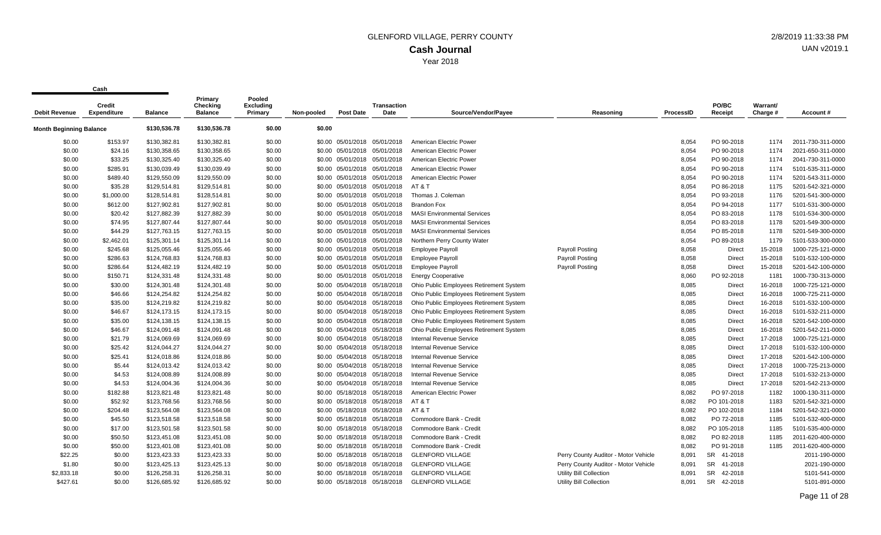| <b>Debit Revenue</b>           | vu sı ı<br><b>Credit</b><br><b>Expenditure</b> | <b>Balance</b> | Primary<br>Checking<br><b>Balance</b> | Pooled<br><b>Excluding</b><br>Primary | Non-pooled | <b>Post Date</b>             | <b>Transaction</b><br>Date   | Source/Vendor/Payee                     | Reasoning                            | <b>ProcessID</b> | PO/BC<br>Receipt     | Warrant/<br>Charge # | Account#          |
|--------------------------------|------------------------------------------------|----------------|---------------------------------------|---------------------------------------|------------|------------------------------|------------------------------|-----------------------------------------|--------------------------------------|------------------|----------------------|----------------------|-------------------|
| <b>Month Beginning Balance</b> |                                                | \$130,536.78   | \$130,536.78                          | \$0.00                                | \$0.00     |                              |                              |                                         |                                      |                  |                      |                      |                   |
| \$0.00                         | \$153.97                                       | \$130,382.81   | \$130,382.81                          | \$0.00                                |            | \$0.00 05/01/2018 05/01/2018 |                              | American Electric Power                 |                                      | 8.054            | PO 90-2018           | 1174                 | 2011-730-311-0000 |
| \$0.00                         | \$24.16                                        | \$130,358.65   | \$130,358.65                          | \$0.00                                |            | \$0.00 05/01/2018 05/01/2018 |                              | American Electric Power                 |                                      | 8,054            | PO 90-2018           | 1174                 | 2021-650-311-0000 |
| \$0.00                         | \$33.25                                        | \$130,325.40   | \$130,325.40                          | \$0.00                                |            | \$0.00 05/01/2018 05/01/2018 |                              | American Electric Power                 |                                      | 8,054            | PO 90-2018           | 1174                 | 2041-730-311-0000 |
| \$0.00                         | \$285.91                                       | \$130,039.49   | \$130,039.49                          | \$0.00                                |            | \$0.00 05/01/2018 05/01/2018 |                              | American Electric Power                 |                                      | 8,054            | PO 90-2018           | 1174                 | 5101-535-311-0000 |
| \$0.00                         | \$489.40                                       | \$129,550.09   | \$129,550.09                          | \$0.00                                |            | \$0.00 05/01/2018 05/01/2018 |                              | American Electric Power                 |                                      | 8,054            | PO 90-2018           | 1174                 | 5201-543-311-0000 |
| \$0.00                         | \$35.28                                        | \$129,514.81   | \$129,514.81                          | \$0.00                                |            |                              | \$0.00 05/01/2018 05/01/2018 | AT & T                                  |                                      | 8,054            | PO 86-2018           | 1175                 | 5201-542-321-0000 |
| \$0.00                         | \$1,000.00                                     | \$128,514.81   | \$128,514.81                          | \$0.00                                |            | \$0.00 05/01/2018 05/01/2018 |                              | Thomas J. Coleman                       |                                      | 8,054            | PO 93-2018           | 1176                 | 5201-541-300-0000 |
| \$0.00                         | \$612.00                                       | \$127,902.81   | \$127,902.81                          | \$0.00                                |            | \$0.00 05/01/2018 05/01/2018 |                              | <b>Brandon Fox</b>                      |                                      | 8,054            | PO 94-2018           | 1177                 | 5101-531-300-0000 |
| \$0.00                         | \$20.42                                        | \$127,882.39   | \$127,882.39                          | \$0.00                                |            | \$0.00 05/01/2018 05/01/2018 |                              | <b>MASI Environmental Services</b>      |                                      | 8,054            | PO 83-2018           | 1178                 | 5101-534-300-0000 |
| \$0.00                         | \$74.95                                        | \$127,807.44   | \$127,807.44                          | \$0.00                                |            | \$0.00 05/01/2018 05/01/2018 |                              | <b>MASI Environmental Services</b>      |                                      | 8,054            | PO 83-2018           | 1178                 | 5201-549-300-0000 |
| \$0.00                         | \$44.29                                        | \$127,763.15   | \$127,763.15                          | \$0.00                                |            | \$0.00 05/01/2018 05/01/2018 |                              | <b>MASI Environmental Services</b>      |                                      | 8,054            | PO 85-2018           | 1178                 | 5201-549-300-0000 |
| \$0.00                         | \$2,462.01                                     | \$125,301.14   | \$125,301.14                          | \$0.00                                |            | \$0.00 05/01/2018 05/01/2018 |                              | Northern Perry County Water             |                                      | 8,054            | PO 89-2018           | 1179                 | 5101-533-300-0000 |
| \$0.00                         | \$245.68                                       | \$125,055.46   | \$125,055.46                          | \$0.00                                |            | \$0.00 05/01/2018 05/01/2018 |                              | <b>Employee Payroll</b>                 | <b>Payroll Posting</b>               | 8,058            | Direct               | 15-2018              | 1000-725-121-0000 |
| \$0.00                         | \$286.63                                       | \$124,768.83   | \$124,768.83                          | \$0.00                                |            | \$0.00 05/01/2018 05/01/2018 |                              | <b>Employee Payroll</b>                 | <b>Payroll Posting</b>               | 8,058            | Direct               | 15-2018              | 5101-532-100-0000 |
| \$0.00                         | \$286.64                                       | \$124,482.19   | \$124,482.19                          | \$0.00                                |            | \$0.00 05/01/2018 05/01/2018 |                              | <b>Employee Payroll</b>                 | <b>Payroll Posting</b>               | 8,058            | Direct               | 15-2018              | 5201-542-100-0000 |
| \$0.00                         | \$150.71                                       | \$124,331.48   | \$124,331.48                          | \$0.00                                |            | \$0.00 05/01/2018 05/01/2018 |                              | <b>Energy Cooperative</b>               |                                      | 8,060            | PO 92-2018           | 1181                 | 1000-730-313-0000 |
| \$0.00                         | \$30.00                                        | \$124,301.48   | \$124,301.48                          | \$0.00                                |            | \$0.00 05/04/2018 05/18/2018 |                              | Ohio Public Employees Retirement System |                                      | 8,085            | <b>Direct</b>        | 16-2018              | 1000-725-121-0000 |
| \$0.00                         | \$46.66                                        | \$124,254.82   | \$124,254.82                          | \$0.00                                |            | \$0.00 05/04/2018 05/18/2018 |                              | Ohio Public Employees Retirement System |                                      | 8,085            | Direct               | 16-2018              | 1000-725-211-0000 |
| \$0.00                         | \$35.00                                        | \$124,219.82   | \$124,219.82                          | \$0.00                                |            | \$0.00 05/04/2018 05/18/2018 |                              | Ohio Public Employees Retirement System |                                      | 8,085            | <b>Direct</b>        | 16-2018              | 5101-532-100-0000 |
| \$0.00                         | \$46.67                                        | \$124,173.15   | \$124,173.15                          | \$0.00                                |            | \$0.00 05/04/2018 05/18/2018 |                              | Ohio Public Employees Retirement System |                                      | 8,085            | Direct               | 16-2018              | 5101-532-211-0000 |
| \$0.00                         | \$35.00                                        | \$124,138.15   | \$124,138.15                          | \$0.00                                |            | \$0.00 05/04/2018 05/18/2018 |                              | Ohio Public Employees Retirement System |                                      | 8,085            | Direct               | 16-2018              | 5201-542-100-0000 |
| \$0.00                         | \$46.67                                        | \$124,091.48   | \$124,091.48                          | \$0.00                                |            | \$0.00 05/04/2018 05/18/2018 |                              | Ohio Public Employees Retirement System |                                      | 8,085            | Direct               | 16-2018              | 5201-542-211-0000 |
| \$0.00                         | \$21.79                                        | \$124,069.69   | \$124,069.69                          | \$0.00                                |            | \$0.00 05/04/2018 05/18/2018 |                              | <b>Internal Revenue Service</b>         |                                      | 8,085            | <b>Direct</b>        | 17-2018              | 1000-725-121-0000 |
| \$0.00                         | \$25.42                                        | \$124,044.27   | \$124,044.27                          | \$0.00                                |            | \$0.00 05/04/2018 05/18/2018 |                              | <b>Internal Revenue Service</b>         |                                      | 8,085            | Direct               | 17-2018              | 5101-532-100-0000 |
| \$0.00                         | \$25.41                                        | \$124,018.86   | \$124,018.86                          | \$0.00                                |            | \$0.00 05/04/2018 05/18/2018 |                              | <b>Internal Revenue Service</b>         |                                      | 8,085            | Direct               | 17-2018              | 5201-542-100-0000 |
| \$0.00                         | \$5.44                                         | \$124,013.42   | \$124,013.42                          | \$0.00                                |            | \$0.00 05/04/2018 05/18/2018 |                              | <b>Internal Revenue Service</b>         |                                      | 8,085            | Direct               | 17-2018              | 1000-725-213-0000 |
| \$0.00                         | \$4.53                                         | \$124,008.89   | \$124,008.89                          | \$0.00                                |            | \$0.00 05/04/2018 05/18/2018 |                              | <b>Internal Revenue Service</b>         |                                      | 8,085            | Direct               | 17-2018              | 5101-532-213-0000 |
| \$0.00                         | \$4.53                                         | \$124,004.36   | \$124,004.36                          | \$0.00                                |            | \$0.00 05/04/2018 05/18/2018 |                              | <b>Internal Revenue Service</b>         |                                      | 8,085            | <b>Direct</b>        | 17-2018              | 5201-542-213-0000 |
| \$0.00                         | \$182.88                                       | \$123,821.48   | \$123,821.48                          | \$0.00                                |            | \$0.00 05/18/2018 05/18/2018 |                              | American Electric Power                 |                                      | 8,082            | PO 97-2018           | 1182                 | 1000-130-311-0000 |
| \$0.00                         | \$52.92                                        | \$123,768.56   | \$123,768.56                          | \$0.00                                |            | \$0.00 05/18/2018 05/18/2018 |                              | AT&T                                    |                                      | 8,082            | PO 101-2018          | 1183                 | 5201-542-321-0000 |
| \$0.00                         | \$204.48                                       | \$123,564.08   | \$123,564.08                          | \$0.00                                |            |                              | \$0.00 05/18/2018 05/18/2018 | AT&T                                    |                                      | 8,082            | PO 102-2018          | 1184                 | 5201-542-321-0000 |
| \$0.00                         | \$45.50                                        | \$123,518.58   | \$123,518.58                          | \$0.00                                |            | \$0.00 05/18/2018 05/18/2018 |                              | Commodore Bank - Credit                 |                                      | 8,082            | PO 72-2018           | 1185                 | 5101-532-400-0000 |
| \$0.00                         | \$17.00                                        | \$123,501.58   | \$123,501.58                          | \$0.00                                |            | \$0.00 05/18/2018 05/18/2018 |                              | Commodore Bank - Credit                 |                                      | 8,082            | PO 105-2018          | 1185                 | 5101-535-400-0000 |
| \$0.00                         | \$50.50                                        | \$123,451.08   | \$123,451.08                          | \$0.00                                |            | \$0.00 05/18/2018 05/18/2018 |                              | Commodore Bank - Credit                 |                                      | 8,082            | PO 82-2018           | 1185                 | 2011-620-400-0000 |
| \$0.00                         | \$50.00                                        | \$123,401.08   | \$123,401.08                          | \$0.00                                |            | \$0.00 05/18/2018 05/18/2018 |                              | Commodore Bank - Credit                 |                                      | 8,082            | PO 91-2018           | 1185                 | 2011-620-400-0000 |
| \$22.25                        | \$0.00                                         | \$123,423.33   | \$123,423.33                          | \$0.00                                |            | \$0.00 05/18/2018 05/18/2018 |                              | <b>GLENFORD VILLAGE</b>                 | Perry County Auditor - Motor Vehicle | 8,091            | SR 41-2018           |                      | 2011-190-0000     |
| \$1.80                         | \$0.00                                         | \$123,425.13   | \$123,425.13                          | \$0.00                                |            | \$0.00 05/18/2018 05/18/2018 |                              | <b>GLENFORD VILLAGE</b>                 | Perry County Auditor - Motor Vehicle | 8,091            | SR 41-2018           |                      | 2021-190-0000     |
| \$2,833.18                     | \$0.00                                         | \$126,258.31   | \$126,258.31                          | \$0.00                                |            | \$0.00 05/18/2018 05/18/2018 |                              | <b>GLENFORD VILLAGE</b>                 | Utility Bill Collection              | 8,091            | SR 42-2018           |                      | 5101-541-0000     |
| \$427.61                       | \$0.00                                         | \$126.685.92   | \$126,685.92                          | \$0.00                                |            | \$0.00 05/18/2018 05/18/2018 |                              | <b>GLENFORD VILLAGE</b>                 | Utility Bill Collection              | 8.091            | <b>SR</b><br>42-2018 |                      | 5101-891-0000     |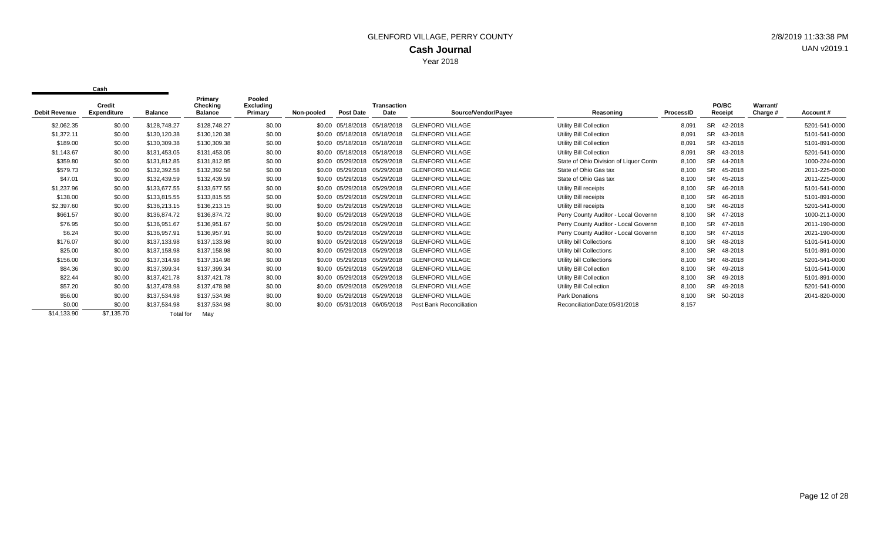| <b>Debit Revenue</b> | Credit<br><b>Expenditure</b> | <b>Balance</b> | Primary<br>Checking<br><b>Balance</b> | Pooled<br><b>Excluding</b><br>Primary | Non-pooled | <b>Post Date</b>             | <b>Transaction</b><br><b>Date</b> | Source/Vendor/Payee             | Reasoning                               | ProcessID | PO/BC<br>Receipt     | Warrant/<br>Charge # | Account#      |
|----------------------|------------------------------|----------------|---------------------------------------|---------------------------------------|------------|------------------------------|-----------------------------------|---------------------------------|-----------------------------------------|-----------|----------------------|----------------------|---------------|
| \$2,062.35           | \$0.00                       | \$128,748.27   | \$128,748.27                          | \$0.00                                |            | \$0.00 05/18/2018 05/18/2018 |                                   | <b>GLENFORD VILLAGE</b>         | Utility Bill Collection                 | 8,091     | <b>SR</b><br>42-2018 |                      | 5201-541-0000 |
| \$1,372.11           | \$0.00                       | \$130,120.38   | \$130,120.38                          | \$0.00                                |            | \$0.00 05/18/2018 05/18/2018 |                                   | <b>GLENFORD VILLAGE</b>         | <b>Utility Bill Collection</b>          | 8,091     | SR<br>43-2018        |                      | 5101-541-0000 |
| \$189.00             | \$0.00                       | \$130,309.38   | \$130,309.38                          | \$0.00                                |            | \$0.00 05/18/2018 05/18/2018 |                                   | <b>GLENFORD VILLAGE</b>         | Utility Bill Collection                 | 8,091     | <b>SR</b><br>43-2018 |                      | 5101-891-0000 |
| \$1,143.67           | \$0.00                       | \$131,453.05   | \$131,453.05                          | \$0.00                                |            | \$0.00 05/18/2018 05/18/2018 |                                   | <b>GLENFORD VILLAGE</b>         | Utility Bill Collection                 | 8,091     | <b>SR</b><br>43-2018 |                      | 5201-541-0000 |
| \$359.80             | \$0.00                       | \$131,812.85   | \$131,812.85                          | \$0.00                                |            | \$0.00 05/29/2018 05/29/2018 |                                   | <b>GLENFORD VILLAGE</b>         | State of Ohio Division of Liquor Contro | 8,100     | SR<br>44-2018        |                      | 1000-224-0000 |
| \$579.73             | \$0.00                       | \$132,392.58   | \$132,392.58                          | \$0.00                                |            | \$0.00 05/29/2018 05/29/2018 |                                   | <b>GLENFORD VILLAGE</b>         | State of Ohio Gas tax                   | 8,100     | SR.<br>45-2018       |                      | 2011-225-0000 |
| \$47.01              | \$0.00                       | \$132.439.59   | \$132,439.59                          | \$0.00                                |            | \$0.00 05/29/2018 05/29/2018 |                                   | <b>GLENFORD VILLAGE</b>         | State of Ohio Gas tax                   | 8,100     | SR.<br>45-2018       |                      | 2011-225-0000 |
| \$1,237.96           | \$0.00                       | \$133,677.55   | \$133,677.55                          | \$0.00                                |            | \$0.00 05/29/2018 05/29/2018 |                                   | <b>GLENFORD VILLAGE</b>         | Utility Bill receipts                   | 8,100     | <b>SR</b><br>46-2018 |                      | 5101-541-0000 |
| \$138.00             | \$0.00                       | \$133,815.55   | \$133,815.55                          | \$0.00                                |            | \$0.00 05/29/2018 05/29/2018 |                                   | <b>GLENFORD VILLAGE</b>         | Utility Bill receipts                   | 8,100     | <b>SR</b><br>46-2018 |                      | 5101-891-0000 |
| \$2,397.60           | \$0.00                       | \$136,213.15   | \$136,213.15                          | \$0.00                                |            | \$0.00 05/29/2018 05/29/2018 |                                   | <b>GLENFORD VILLAGE</b>         | Utility Bill receipts                   | 8,100     | SR.<br>46-2018       |                      | 5201-541-0000 |
| \$661.57             | \$0.00                       | \$136,874.72   | \$136,874.72                          | \$0.00                                |            | \$0.00 05/29/2018            | 05/29/2018                        | <b>GLENFORD VILLAGE</b>         | Perry County Auditor - Local Governm    | 8,100     | <b>SR</b><br>47-2018 |                      | 1000-211-0000 |
| \$76.95              | \$0.00                       | \$136,951.67   | \$136,951.67                          | \$0.00                                |            | \$0.00 05/29/2018 05/29/2018 |                                   | <b>GLENFORD VILLAGE</b>         | Perry County Auditor - Local Governm    | 8,100     | <b>SR</b><br>47-2018 |                      | 2011-190-0000 |
| \$6.24               | \$0.00                       | \$136,957.91   | \$136,957.91                          | \$0.00                                |            | \$0.00 05/29/2018            | 05/29/2018                        | <b>GLENFORD VILLAGE</b>         | Perry County Auditor - Local Governm    | 8,100     | SR.<br>47-2018       |                      | 2021-190-0000 |
| \$176.07             | \$0.00                       | \$137,133.98   | \$137,133.98                          | \$0.00                                |            | \$0.00 05/29/2018            | 05/29/2018                        | <b>GLENFORD VILLAGE</b>         | Utility bill Collections                | 8,100     | <b>SR</b><br>48-2018 |                      | 5101-541-0000 |
| \$25.00              | \$0.00                       | \$137,158.98   | \$137,158.98                          | \$0.00                                |            | \$0.00 05/29/2018            | 05/29/2018                        | <b>GLENFORD VILLAGE</b>         | Utility bill Collections                | 8,100     | SR<br>48-2018        |                      | 5101-891-0000 |
| \$156.00             | \$0.00                       | \$137,314.98   | \$137,314.98                          | \$0.00                                |            | \$0.00 05/29/2018            | 05/29/2018                        | <b>GLENFORD VILLAGE</b>         | Utility bill Collections                | 8,100     | <b>SR</b><br>48-2018 |                      | 5201-541-0000 |
| \$84.36              | \$0.00                       | \$137,399.34   | \$137,399.34                          | \$0.00                                |            | \$0.00 05/29/2018            | 05/29/2018                        | <b>GLENFORD VILLAGE</b>         | Utility Bill Collection                 | 8,100     | <b>SR</b><br>49-2018 |                      | 5101-541-0000 |
| \$22.44              | \$0.00                       | \$137,421.78   | \$137,421.78                          | \$0.00                                |            | \$0.00 05/29/2018            | 05/29/2018                        | <b>GLENFORD VILLAGE</b>         | Utility Bill Collection                 | 8,100     | SR.<br>49-2018       |                      | 5101-891-0000 |
| \$57.20              | \$0.00                       | \$137.478.98   | \$137,478.98                          | \$0.00                                |            | \$0.00 05/29/2018            | 05/29/2018                        | <b>GLENFORD VILLAGE</b>         | Utility Bill Collection                 | 8,100     | SR.<br>49-2018       |                      | 5201-541-0000 |
| \$56.00              | \$0.00                       | \$137,534.98   | \$137,534.98                          | \$0.00                                |            | \$0.00 05/29/2018            | 05/29/2018                        | <b>GLENFORD VILLAGE</b>         | Park Donations                          | 8,100     | 50-2018<br>SR.       |                      | 2041-820-0000 |
| \$0.00               | \$0.00                       | \$137,534.98   | \$137,534.98                          | \$0.00                                |            | \$0.00 05/31/2018 06/05/2018 |                                   | <b>Post Bank Reconciliation</b> | ReconciliationDate:05/31/2018           | 8,157     |                      |                      |               |
| \$14,133.90          | \$7.135.70                   | Total for      | Mav                                   |                                       |            |                              |                                   |                                 |                                         |           |                      |                      |               |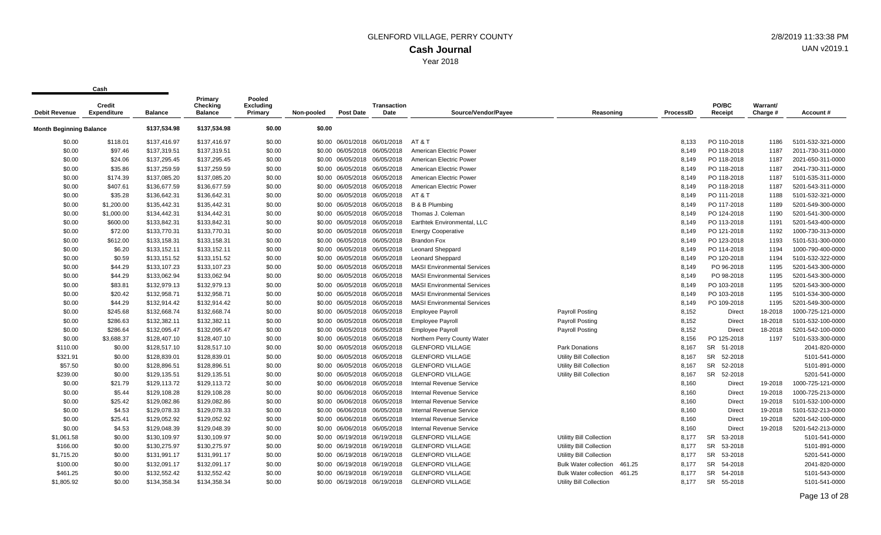| <b>Debit Revenue</b>           | Credit<br><b>Expenditure</b> | <b>Balance</b> | Primary<br>Checking<br><b>Balance</b> | Pooled<br><b>Excluding</b><br>Primary | Non-pooled | Post Date                    | <b>Transaction</b><br>Date | Source/Vendor/Payee                | Reasoning                              | ProcessID | PO/BC<br>Receipt     | Warrant/<br>Charge # | Account#          |
|--------------------------------|------------------------------|----------------|---------------------------------------|---------------------------------------|------------|------------------------------|----------------------------|------------------------------------|----------------------------------------|-----------|----------------------|----------------------|-------------------|
| <b>Month Beginning Balance</b> |                              | \$137,534.98   | \$137,534.98                          | \$0.00                                | \$0.00     |                              |                            |                                    |                                        |           |                      |                      |                   |
| \$0.00                         | \$118.01                     | \$137,416.97   | \$137,416.97                          | \$0.00                                |            | \$0.00 06/01/2018 06/01/2018 |                            | AT&T                               |                                        | 8,133     | PO 110-2018          | 1186                 | 5101-532-321-0000 |
| \$0.00                         | \$97.46                      | \$137,319.51   | \$137,319.51                          | \$0.00                                |            | \$0.00 06/05/2018 06/05/2018 |                            | American Electric Power            |                                        | 8.149     | PO 118-2018          | 1187                 | 2011-730-311-0000 |
| \$0.00                         | \$24.06                      | \$137,295.45   | \$137,295.45                          | \$0.00                                |            | \$0.00 06/05/2018 06/05/2018 |                            | American Electric Power            |                                        | 8,149     | PO 118-2018          | 1187                 | 2021-650-311-0000 |
| \$0.00                         | \$35.86                      | \$137,259.59   | \$137,259.59                          | \$0.00                                |            | \$0.00 06/05/2018 06/05/2018 |                            | American Electric Power            |                                        | 8.149     | PO 118-2018          | 1187                 | 2041-730-311-0000 |
| \$0.00                         | \$174.39                     | \$137,085.20   | \$137,085.20                          | \$0.00                                |            | \$0.00 06/05/2018 06/05/2018 |                            | American Electric Power            |                                        | 8,149     | PO 118-2018          | 1187                 | 5101-535-311-0000 |
| \$0.00                         | \$407.61                     | \$136,677.59   | \$136,677.59                          | \$0.00                                |            | \$0.00 06/05/2018 06/05/2018 |                            | American Electric Power            |                                        | 8,149     | PO 118-2018          | 1187                 | 5201-543-311-0000 |
| \$0.00                         | \$35.28                      | \$136,642.31   | \$136,642.31                          | \$0.00                                |            | \$0.00 06/05/2018            | 06/05/2018                 | AT&T                               |                                        | 8,149     | PO 111-2018          | 1188                 | 5101-532-321-0000 |
| \$0.00                         | \$1,200.00                   | \$135,442.31   | \$135,442.31                          | \$0.00                                |            | \$0.00 06/05/2018 06/05/2018 |                            | B & B Plumbing                     |                                        | 8,149     | PO 117-2018          | 1189                 | 5201-549-300-0000 |
| \$0.00                         | \$1,000.00                   | \$134,442.31   | \$134,442.31                          | \$0.00                                |            | \$0.00 06/05/2018 06/05/2018 |                            | Thomas J. Coleman                  |                                        | 8,149     | PO 124-2018          | 1190                 | 5201-541-300-0000 |
| \$0.00                         | \$600.00                     | \$133,842.31   | \$133,842.31                          | \$0.00                                |            | \$0.00 06/05/2018 06/05/2018 |                            | Earthtek Environmental, LLC        |                                        | 8,149     | PO 113-2018          | 1191                 | 5201-543-400-0000 |
| \$0.00                         | \$72.00                      | \$133,770.31   | \$133,770.31                          | \$0.00                                |            | \$0.00 06/05/2018 06/05/2018 |                            | <b>Energy Cooperative</b>          |                                        | 8,149     | PO 121-2018          | 1192                 | 1000-730-313-0000 |
| \$0.00                         | \$612.00                     | \$133,158.31   | \$133,158.31                          | \$0.00                                |            | \$0.00 06/05/2018 06/05/2018 |                            | <b>Brandon Fox</b>                 |                                        | 8,149     | PO 123-2018          | 1193                 | 5101-531-300-0000 |
| \$0.00                         | \$6.20                       | \$133,152.11   | \$133,152.11                          | \$0.00                                |            | \$0.00 06/05/2018 06/05/2018 |                            | <b>Leonard Sheppard</b>            |                                        | 8,149     | PO 114-2018          | 1194                 | 1000-790-400-0000 |
| \$0.00                         | \$0.59                       | \$133,151.52   | \$133,151.52                          | \$0.00                                |            | \$0.00 06/05/2018 06/05/2018 |                            | <b>Leonard Sheppard</b>            |                                        | 8,149     | PO 120-2018          | 1194                 | 5101-532-322-0000 |
| \$0.00                         | \$44.29                      | \$133,107.23   | \$133,107.23                          | \$0.00                                |            | \$0.00 06/05/2018 06/05/2018 |                            | <b>MASI Environmental Services</b> |                                        | 8,149     | PO 96-2018           | 1195                 | 5201-543-300-0000 |
| \$0.00                         | \$44.29                      | \$133,062.94   | \$133,062.94                          | \$0.00                                |            | \$0.00 06/05/2018 06/05/2018 |                            | <b>MASI Environmental Services</b> |                                        | 8,149     | PO 98-2018           | 1195                 | 5201-543-300-0000 |
| \$0.00                         | \$83.81                      | \$132,979.13   | \$132,979.13                          | \$0.00                                |            | \$0.00 06/05/2018 06/05/2018 |                            | <b>MASI Environmental Services</b> |                                        | 8,149     | PO 103-2018          | 1195                 | 5201-543-300-0000 |
| \$0.00                         | \$20.42                      | \$132,958.71   | \$132,958.71                          | \$0.00                                |            | \$0.00 06/05/2018 06/05/2018 |                            | <b>MASI Environmental Services</b> |                                        | 8.149     | PO 103-2018          | 1195                 | 5101-534-300-0000 |
| \$0.00                         | \$44.29                      | \$132,914.42   | \$132,914.42                          | \$0.00                                |            | \$0.00 06/05/2018 06/05/2018 |                            | <b>MASI Environmental Services</b> |                                        | 8,149     | PO 109-2018          | 1195                 | 5201-549-300-0000 |
| \$0.00                         | \$245.68                     | \$132,668.74   | \$132,668.74                          | \$0.00                                |            | \$0.00 06/05/2018            | 06/05/2018                 | <b>Employee Payroll</b>            | <b>Payroll Posting</b>                 | 8,152     | Direct               | 18-2018              | 1000-725-121-0000 |
| \$0.00                         | \$286.63                     | \$132,382.11   | \$132,382.11                          | \$0.00                                |            | \$0.00 06/05/2018 06/05/2018 |                            | <b>Employee Payroll</b>            | <b>Payroll Posting</b>                 | 8,152     | <b>Direct</b>        | 18-2018              | 5101-532-100-0000 |
| \$0.00                         | \$286.64                     | \$132,095.47   | \$132,095.47                          | \$0.00                                |            | \$0.00 06/05/2018 06/05/2018 |                            | <b>Employee Payroll</b>            | <b>Payroll Posting</b>                 | 8,152     | <b>Direct</b>        | 18-2018              | 5201-542-100-0000 |
| \$0.00                         | \$3,688.37                   | \$128,407.10   | \$128,407.10                          | \$0.00                                |            | \$0.00 06/05/2018 06/05/2018 |                            | Northern Perry County Water        |                                        | 8,156     | PO 125-2018          | 1197                 | 5101-533-300-0000 |
| \$110.00                       | \$0.00                       | \$128,517.10   | \$128,517.10                          | \$0.00                                |            | \$0.00 06/05/2018 06/05/2018 |                            | <b>GLENFORD VILLAGE</b>            | <b>Park Donations</b>                  | 8,167     | <b>SR</b><br>51-2018 |                      | 2041-820-0000     |
| \$321.91                       | \$0.00                       | \$128,839.01   | \$128,839.01                          | \$0.00                                |            | \$0.00 06/05/2018 06/05/2018 |                            | <b>GLENFORD VILLAGE</b>            | <b>Utility Bill Collection</b>         | 8,167     | 52-2018<br>SR        |                      | 5101-541-0000     |
| \$57.50                        | \$0.00                       | \$128,896.51   | \$128,896.51                          | \$0.00                                |            | \$0.00 06/05/2018 06/05/2018 |                            | <b>GLENFORD VILLAGE</b>            | Utility Bill Collection                | 8,167     | SR<br>52-2018        |                      | 5101-891-0000     |
| \$239.00                       | \$0.00                       | \$129,135.51   | \$129,135.51                          | \$0.00                                |            | \$0.00 06/05/2018 06/05/2018 |                            | <b>GLENFORD VILLAGE</b>            | Utility Bill Collection                | 8,167     | SR<br>52-2018        |                      | 5201-541-0000     |
| \$0.00                         | \$21.79                      | \$129,113.72   | \$129,113.72                          | \$0.00                                |            | \$0.00 06/06/2018 06/05/2018 |                            | Internal Revenue Service           |                                        | 8,160     | <b>Direct</b>        | 19-2018              | 1000-725-121-0000 |
| \$0.00                         | \$5.44                       | \$129,108.28   | \$129,108.28                          | \$0.00                                |            | \$0.00 06/06/2018 06/05/2018 |                            | Internal Revenue Service           |                                        | 8,160     | <b>Direct</b>        | 19-2018              | 1000-725-213-0000 |
| \$0.00                         | \$25.42                      | \$129,082.86   | \$129,082.86                          | \$0.00                                |            | \$0.00 06/06/2018 06/05/2018 |                            | <b>Internal Revenue Service</b>    |                                        | 8,160     | <b>Direct</b>        | 19-2018              | 5101-532-100-0000 |
| \$0.00                         | \$4.53                       | \$129,078.33   | \$129,078.33                          | \$0.00                                |            | \$0.00 06/06/2018 06/05/2018 |                            | <b>Internal Revenue Service</b>    |                                        | 8,160     | <b>Direct</b>        | 19-2018              | 5101-532-213-0000 |
| \$0.00                         | \$25.41                      | \$129,052.92   | \$129,052.92                          | \$0.00                                |            | \$0.00 06/06/2018 06/05/2018 |                            | <b>Internal Revenue Service</b>    |                                        | 8,160     | <b>Direct</b>        | 19-2018              | 5201-542-100-0000 |
| \$0.00                         | \$4.53                       | \$129,048.39   | \$129,048.39                          | \$0.00                                |            | \$0.00 06/06/2018            | 06/05/2018                 | Internal Revenue Service           |                                        | 8,160     | <b>Direct</b>        | 19-2018              | 5201-542-213-0000 |
| \$1,061.58                     | \$0.00                       | \$130,109.97   | \$130,109.97                          | \$0.00                                |            | \$0.00 06/19/2018 06/19/2018 |                            | <b>GLENFORD VILLAGE</b>            | Utilitty Bill Collection               | 8,177     | 53-2018<br><b>SR</b> |                      | 5101-541-0000     |
| \$166.00                       | \$0.00                       | \$130,275.97   | \$130,275.97                          | \$0.00                                |            | \$0.00 06/19/2018 06/19/2018 |                            | <b>GLENFORD VILLAGE</b>            | Utilitty Bill Collection               | 8,177     | SR<br>53-2018        |                      | 5101-891-0000     |
| \$1,715.20                     | \$0.00                       | \$131,991.17   | \$131,991.17                          | \$0.00                                |            | \$0.00 06/19/2018 06/19/2018 |                            | <b>GLENFORD VILLAGE</b>            | <b>Utilitty Bill Collection</b>        | 8,177     | SR<br>53-2018        |                      | 5201-541-0000     |
| \$100.00                       | \$0.00                       | \$132,091.17   | \$132,091.17                          | \$0.00                                |            | \$0.00 06/19/2018 06/19/2018 |                            | <b>GLENFORD VILLAGE</b>            | <b>Bulk Water collection</b><br>461.25 | 8,177     | <b>SR</b><br>54-2018 |                      | 2041-820-0000     |
| \$461.25                       | \$0.00                       | \$132,552.42   | \$132,552.42                          | \$0.00                                |            | \$0.00 06/19/2018 06/19/2018 |                            | <b>GLENFORD VILLAGE</b>            | 461.25<br>Bulk Water collection        | 8.177     | <b>SR</b><br>54-2018 |                      | 5101-543-0000     |
| \$1.805.92                     | \$0.00                       | \$134.358.34   | \$134.358.34                          | \$0.00                                |            | \$0.00 06/19/2018 06/19/2018 |                            | <b>GLENFORD VILLAGE</b>            | Utility Bill Collection                | 8.177     | 55-2018<br><b>SR</b> |                      | 5101-541-0000     |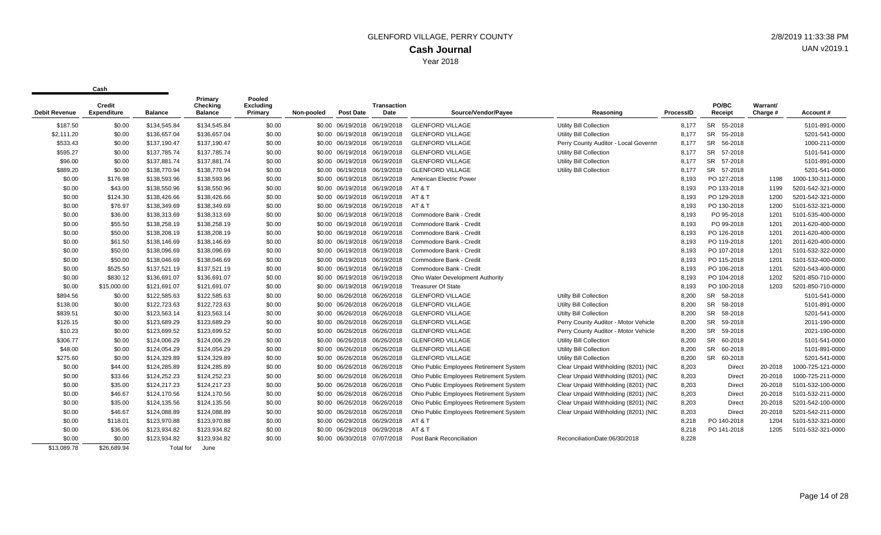|                      | Credit             |                  | Primary<br>Checking | Pooled<br><b>Excluding</b> |            |                              | <b>Transaction</b> |                                         |                                      |           | PO/BC                | Warrant/ |                   |
|----------------------|--------------------|------------------|---------------------|----------------------------|------------|------------------------------|--------------------|-----------------------------------------|--------------------------------------|-----------|----------------------|----------|-------------------|
| <b>Debit Revenue</b> | <b>Expenditure</b> | <b>Balance</b>   | <b>Balance</b>      | Primary                    | Non-pooled | <b>Post Date</b>             | Date               | Source/Vendor/Payee                     | Reasoning                            | ProcessID | Receipt              | Charge # | Account#          |
| \$187.50             | \$0.00             | \$134,545.84     | \$134,545.84        | \$0.00                     |            | \$0.00 06/19/2018 06/19/2018 |                    | <b>GLENFORD VILLAGE</b>                 | Utility Bill Collection              | 8,177     | SR 55-2018           |          | 5101-891-0000     |
| \$2.111.20           | \$0.00             | \$136,657.04     | \$136,657.04        | \$0.00                     |            | \$0.00 06/19/2018 06/19/2018 |                    | <b>GLENFORD VILLAGE</b>                 | <b>Utility Bill Collection</b>       | 8.177     | <b>SR</b><br>55-2018 |          | 5201-541-0000     |
| \$533.43             | \$0.00             | \$137,190.47     | \$137,190.47        | \$0.00                     |            | \$0.00 06/19/2018 06/19/2018 |                    | <b>GLENFORD VILLAGE</b>                 | Perry County Auditor - Local Governm | 8,177     | <b>SR</b><br>56-2018 |          | 1000-211-0000     |
| \$595.27             | \$0.00             | \$137,785.74     | \$137,785.74        | \$0.00                     |            | \$0.00 06/19/2018 06/19/2018 |                    | <b>GLENFORD VILLAGE</b>                 | Utility Bill Collection              | 8,177     | <b>SR</b><br>57-2018 |          | 5101-541-0000     |
| \$96.00              | \$0.00             | \$137,881.74     | \$137,881.74        | \$0.00                     |            | \$0.00 06/19/2018 06/19/2018 |                    | <b>GLENFORD VILLAGE</b>                 | <b>Utility Bill Collection</b>       | 8,177     | <b>SR</b><br>57-2018 |          | 5101-891-0000     |
| \$889.20             | \$0.00             | \$138,770.94     | \$138,770.94        | \$0.00                     |            | \$0.00 06/19/2018 06/19/2018 |                    | <b>GLENFORD VILLAGE</b>                 | Utility Bill Collection              | 8,177     | SR 57-2018           |          | 5201-541-0000     |
| \$0.00               | \$176.98           | \$138,593.96     | \$138,593.96        | \$0.00                     |            | \$0.00 06/19/2018 06/19/2018 |                    | American Electric Power                 |                                      | 8,193     | PO 127-2018          | 1198     | 1000-130-311-0000 |
| \$0.00               | \$43.00            | \$138,550.96     | \$138,550.96        | \$0.00                     |            | \$0.00 06/19/2018 06/19/2018 |                    | AT&T                                    |                                      | 8.193     | PO 133-2018          | 1199     | 5201-542-321-0000 |
| \$0.00               | \$124.30           | \$138,426.66     | \$138,426.66        | \$0.00                     |            | \$0.00 06/19/2018 06/19/2018 |                    | AT&T                                    |                                      | 8,193     | PO 129-2018          | 1200     | 5201-542-321-0000 |
| \$0.00               | \$76.97            | \$138,349.69     | \$138,349.69        | \$0.00                     |            | \$0.00 06/19/2018 06/19/2018 |                    | AT&T                                    |                                      | 8,193     | PO 130-2018          | 1200     | 5101-532-321-0000 |
| \$0.00               | \$36.00            | \$138,313.69     | \$138,313.69        | \$0.00                     |            | \$0.00 06/19/2018 06/19/2018 |                    | Commodore Bank - Credit                 |                                      | 8,193     | PO 95-2018           | 1201     | 5101-535-400-0000 |
| \$0.00               | \$55.50            | \$138,258.19     | \$138,258.19        | \$0.00                     |            | \$0.00 06/19/2018 06/19/2018 |                    | Commodore Bank - Credit                 |                                      | 8,193     | PO 99-2018           | 1201     | 2011-620-400-0000 |
| \$0.00               | \$50.00            | \$138,208.19     | \$138,208.19        | \$0.00                     |            | \$0.00 06/19/2018 06/19/2018 |                    | Commodore Bank - Credit                 |                                      | 8,193     | PO 126-2018          | 1201     | 2011-620-400-0000 |
| \$0.00               | \$61.50            | \$138,146.69     | \$138,146.69        | \$0.00                     |            | \$0.00 06/19/2018 06/19/2018 |                    | Commodore Bank - Credit                 |                                      | 8,193     | PO 119-2018          | 1201     | 2011-620-400-0000 |
| \$0.00               | \$50.00            | \$138,096.69     | \$138,096.69        | \$0.00                     |            | \$0.00 06/19/2018 06/19/2018 |                    | Commodore Bank - Credit                 |                                      | 8,193     | PO 107-2018          | 1201     | 5101-532-322-0000 |
| \$0.00               | \$50.00            | \$138,046.69     | \$138,046.69        | \$0.00                     |            | \$0.00 06/19/2018 06/19/2018 |                    | Commodore Bank - Credit                 |                                      | 8,193     | PO 115-2018          | 1201     | 5101-532-400-0000 |
| \$0.00               | \$525.50           | \$137,521.19     | \$137,521.19        | \$0.00                     |            | \$0.00 06/19/2018 06/19/2018 |                    | Commodore Bank - Credit                 |                                      | 8,193     | PO 106-2018          | 1201     | 5201-543-400-0000 |
| \$0.00               | \$830.12           | \$136,691.07     | \$136,691.07        | \$0.00                     |            | \$0.00 06/19/2018 06/19/2018 |                    | Ohio Water Development Authority        |                                      | 8,193     | PO 104-2018          | 1202     | 5201-850-710-0000 |
| \$0.00               | \$15,000.00        | \$121,691.07     | \$121,691.07        | \$0.00                     |            | \$0.00 06/19/2018 06/19/2018 |                    | <b>Treasurer Of State</b>               |                                      | 8,193     | PO 100-2018          | 1203     | 5201-850-710-0000 |
| \$894.56             | \$0.00             | \$122,585.63     | \$122,585.63        | \$0.00                     |            | \$0.00 06/26/2018 06/26/2018 |                    | <b>GLENFORD VILLAGE</b>                 | Utilty Bill Collection               | 8,200     | SR 58-2018           |          | 5101-541-0000     |
| \$138.00             | \$0.00             | \$122,723.63     | \$122,723.63        | \$0.00                     |            | \$0.00 06/26/2018 06/26/2018 |                    | <b>GLENFORD VILLAGE</b>                 | Utilty Bill Collection               | 8,200     | <b>SR</b><br>58-2018 |          | 5101-891-0000     |
| \$839.51             | \$0.00             | \$123,563.14     | \$123,563.14        | \$0.00                     |            | \$0.00 06/26/2018 06/26/2018 |                    | <b>GLENFORD VILLAGE</b>                 | <b>Utilty Bill Collection</b>        | 8,200     | <b>SR</b><br>58-2018 |          | 5201-541-0000     |
| \$126.15             | \$0.00             | \$123,689.29     | \$123,689.29        | \$0.00                     |            | \$0.00 06/26/2018 06/26/2018 |                    | <b>GLENFORD VILLAGE</b>                 | Perry County Auditor - Motor Vehicle | 8,200     | <b>SR</b><br>59-2018 |          | 2011-190-0000     |
| \$10.23              | \$0.00             | \$123,699.52     | \$123,699.52        | \$0.00                     |            | \$0.00 06/26/2018 06/26/2018 |                    | <b>GLENFORD VILLAGE</b>                 | Perry County Auditor - Motor Vehicle | 8,200     | <b>SR</b><br>59-2018 |          | 2021-190-0000     |
| \$306.77             | \$0.00             | \$124,006.29     | \$124,006.29        | \$0.00                     |            | \$0.00 06/26/2018 06/26/2018 |                    | <b>GLENFORD VILLAGE</b>                 | <b>Utility Bill Collection</b>       | 8,200     | SR 60-2018           |          | 5101-541-0000     |
| \$48.00              | \$0.00             | \$124,054.29     | \$124,054.29        | \$0.00                     |            | \$0.00 06/26/2018 06/26/2018 |                    | <b>GLENFORD VILLAGE</b>                 | Utility Bill Collection              | 8,200     | SR 60-2018           |          | 5101-891-0000     |
| \$275.60             | \$0.00             | \$124,329.89     | \$124,329.89        | \$0.00                     |            | \$0.00 06/26/2018 06/26/2018 |                    | <b>GLENFORD VILLAGE</b>                 | <b>Utility Bill Collection</b>       | 8,200     | <b>SR</b><br>60-2018 |          | 5201-541-0000     |
| \$0.00               | \$44.00            | \$124,285.89     | \$124,285.89        | \$0.00                     |            | \$0.00 06/26/2018 06/26/2018 |                    | Ohio Public Employees Retirement System | Clear Unpaid Withholding (8201) (NIC | 8,203     | Direct               | 20-2018  | 1000-725-121-0000 |
| \$0.00               | \$33.66            | \$124,252.23     | \$124,252.23        | \$0.00                     |            | \$0.00 06/26/2018 06/26/2018 |                    | Ohio Public Employees Retirement System | Clear Unpaid Withholding (8201) (NIC | 8,203     | Direct               | 20-2018  | 1000-725-211-0000 |
| \$0.00               | \$35.00            | \$124,217.23     | \$124,217.23        | \$0.00                     |            | \$0.00 06/26/2018 06/26/2018 |                    | Ohio Public Employees Retirement System | Clear Unpaid Withholding (8201) (NIC | 8,203     | <b>Direct</b>        | 20-2018  | 5101-532-100-0000 |
| \$0.00               | \$46.67            | \$124,170.56     | \$124,170.56        | \$0.00                     |            | \$0.00 06/26/2018 06/26/2018 |                    | Ohio Public Employees Retirement System | Clear Unpaid Withholding (8201) (NIC | 8,203     | <b>Direct</b>        | 20-2018  | 5101-532-211-0000 |
| \$0.00               | \$35.00            | \$124,135.56     | \$124,135.56        | \$0.00                     |            | \$0.00 06/26/2018 06/26/2018 |                    | Ohio Public Employees Retirement System | Clear Unpaid Withholding (8201) (NIC | 8,203     | <b>Direct</b>        | 20-2018  | 5201-542-100-0000 |
| \$0.00               | \$46.67            | \$124,088.89     | \$124,088.89        | \$0.00                     |            | \$0.00 06/26/2018 06/26/2018 |                    | Ohio Public Employees Retirement System | Clear Unpaid Withholding (8201) (NIC | 8,203     | <b>Direct</b>        | 20-2018  | 5201-542-211-0000 |
| \$0.00               | \$118.01           | \$123,970.88     | \$123,970.88        | \$0.00                     |            | \$0.00 06/29/2018 06/29/2018 |                    | AT&T                                    |                                      | 8,218     | PO 140-2018          | 1204     | 5101-532-321-0000 |
| \$0.00               | \$36.06            | \$123,934.82     | \$123,934.82        | \$0.00                     |            | \$0.00 06/29/2018 06/29/2018 |                    | AT&T                                    |                                      | 8,218     | PO 141-2018          | 1205     | 5101-532-321-0000 |
| \$0.00               | \$0.00             | \$123,934.82     | \$123,934.82        | \$0.00                     |            | \$0.00 06/30/2018 07/07/2018 |                    | Post Bank Reconciliation                | ReconciliationDate:06/30/2018        | 8,228     |                      |          |                   |
| \$13,089.78          | \$26.689.94        | <b>Total</b> for | June                |                            |            |                              |                    |                                         |                                      |           |                      |          |                   |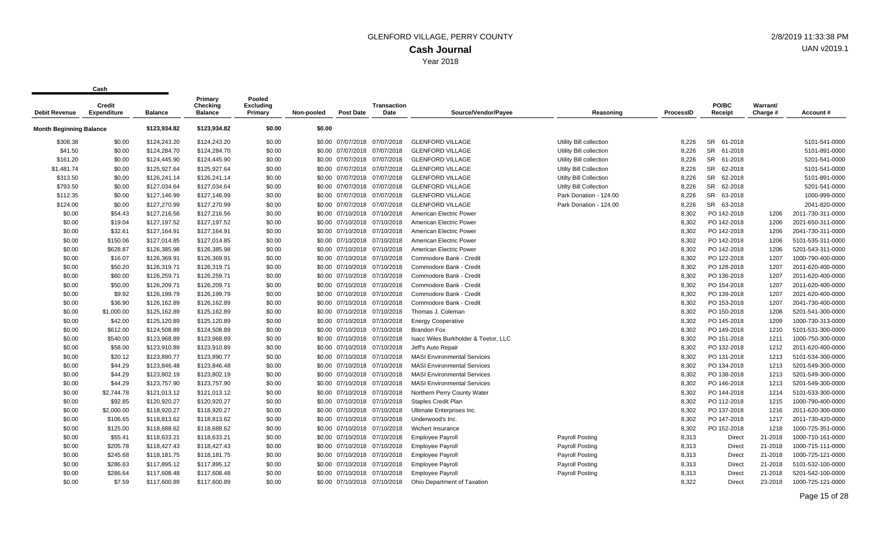| <b>Debit Revenue</b>           | Credit<br><b>Expenditure</b> | <b>Balance</b> | Primary<br>Checking<br><b>Balance</b> | Pooled<br><b>Excluding</b><br>Primary | Non-pooled | <b>Post Date</b>             | <b>Transaction</b><br>Date | Source/Vendor/Payee                  | Reasoning                     | <b>ProcessID</b> | PO/BC<br>Receipt     | Warrant/<br>Charge # | Account#          |
|--------------------------------|------------------------------|----------------|---------------------------------------|---------------------------------------|------------|------------------------------|----------------------------|--------------------------------------|-------------------------------|------------------|----------------------|----------------------|-------------------|
| <b>Month Beginning Balance</b> |                              | \$123,934.82   | \$123,934.82                          | \$0.00                                | \$0.00     |                              |                            |                                      |                               |                  |                      |                      |                   |
| \$308.38                       | \$0.00                       | \$124,243.20   | \$124,243.20                          | \$0.00                                |            | \$0.00 07/07/2018 07/07/2018 |                            | <b>GLENFORD VILLAGE</b>              | Utility Bill collection       | 8.226            | <b>SR</b><br>61-2018 |                      | 5101-541-0000     |
| \$41.50                        | \$0.00                       | \$124,284.70   | \$124,284.70                          | \$0.00                                |            | \$0.00 07/07/2018            | 07/07/2018                 | <b>GLENFORD VILLAGE</b>              | Utility Bill collection       | 8,226            | <b>SR</b><br>61-2018 |                      | 5101-891-0000     |
| \$161.20                       | \$0.00                       | \$124,445.90   | \$124,445.90                          | \$0.00                                |            | \$0.00 07/07/2018 07/07/2018 |                            | <b>GLENFORD VILLAGE</b>              | Utility Bill collection       | 8.226            | SR 61-2018           |                      | 5201-541-0000     |
| \$1,481.74                     | \$0.00                       | \$125,927.64   | \$125,927.64                          | \$0.00                                |            | \$0.00 07/07/2018 07/07/2018 |                            | <b>GLENFORD VILLAGE</b>              | <b>Utilty Bill Collection</b> | 8.226            | <b>SR</b><br>62-2018 |                      | 5101-541-0000     |
| \$313.50                       | \$0.00                       | \$126,241.14   | \$126,241.14                          | \$0.00                                |            | \$0.00 07/07/2018 07/07/2018 |                            | <b>GLENFORD VILLAGE</b>              | Utilty Bill Collection        | 8,226            | <b>SR</b><br>62-2018 |                      | 5101-891-0000     |
| \$793.50                       | \$0.00                       | \$127,034.64   | \$127,034.64                          | \$0.00                                |            | \$0.00 07/07/2018 07/07/2018 |                            | <b>GLENFORD VILLAGE</b>              | <b>Utilty Bill Collection</b> | 8,226            | <b>SR</b><br>62-2018 |                      | 5201-541-0000     |
| \$112.35                       | \$0.00                       | \$127,146.99   | \$127,146.99                          | \$0.00                                |            | \$0.00 07/07/2018 07/07/2018 |                            | <b>GLENFORD VILLAGE</b>              | Park Donation - 124.00        | 8,226            | <b>SR</b><br>63-2018 |                      | 1000-999-0000     |
| \$124.00                       | \$0.00                       | \$127,270.99   | \$127,270.99                          | \$0.00                                |            | \$0.00 07/07/2018 07/07/2018 |                            | <b>GLENFORD VILLAGE</b>              | Park Donation - 124.00        | 8,226            | SR 63-2018           |                      | 2041-820-0000     |
| \$0.00                         | \$54.43                      | \$127,216.56   | \$127,216.56                          | \$0.00                                |            | \$0.00 07/10/2018 07/10/2018 |                            | American Electric Power              |                               | 8,302            | PO 142-2018          | 1206                 | 2011-730-311-0000 |
| \$0.00                         | \$19.04                      | \$127,197.52   | \$127,197.52                          | \$0.00                                |            | \$0.00 07/10/2018 07/10/2018 |                            | American Electric Power              |                               | 8,302            | PO 142-2018          | 1206                 | 2021-650-311-0000 |
| \$0.00                         | \$32.61                      | \$127,164.91   | \$127,164.91                          | \$0.00                                |            | \$0.00 07/10/2018 07/10/2018 |                            | American Electric Power              |                               | 8,302            | PO 142-2018          | 1206                 | 2041-730-311-0000 |
| \$0.00                         | \$150.06                     | \$127,014.85   | \$127,014.85                          | \$0.00                                |            | \$0.00 07/10/2018 07/10/2018 |                            | American Electric Power              |                               | 8.302            | PO 142-2018          | 1206                 | 5101-535-311-0000 |
| \$0.00                         | \$628.87                     | \$126,385.98   | \$126,385.98                          | \$0.00                                |            | \$0.00 07/10/2018 07/10/2018 |                            | American Electric Power              |                               | 8,302            | PO 142-2018          | 1206                 | 5201-543-311-0000 |
| \$0.00                         | \$16.07                      | \$126,369.91   | \$126,369.91                          | \$0.00                                |            | \$0.00 07/10/2018 07/10/2018 |                            | Commodore Bank - Credit              |                               | 8,302            | PO 122-2018          | 1207                 | 1000-790-400-0000 |
| \$0.00                         | \$50.20                      | \$126,319.71   | \$126,319.71                          | \$0.00                                |            | \$0.00 07/10/2018 07/10/2018 |                            | Commodore Bank - Credit              |                               | 8,302            | PO 128-2018          | 1207                 | 2011-620-400-0000 |
| \$0.00                         | \$60.00                      | \$126,259.71   | \$126,259.71                          | \$0.00                                |            | \$0.00 07/10/2018 07/10/2018 |                            | Commodore Bank - Credit              |                               | 8,302            | PO 136-2018          | 1207                 | 2011-620-400-0000 |
| \$0.00                         | \$50.00                      | \$126,209.71   | \$126,209.71                          | \$0.00                                |            | \$0.00 07/10/2018 07/10/2018 |                            | Commodore Bank - Credit              |                               | 8,302            | PO 154-2018          | 1207                 | 2011-620-400-0000 |
| \$0.00                         | \$9.92                       | \$126,199.79   | \$126,199.79                          | \$0.00                                |            | \$0.00 07/10/2018 07/10/2018 |                            | Commodore Bank - Credit              |                               | 8,302            | PO 139-2018          | 1207                 | 2021-620-400-0000 |
| \$0.00                         | \$36.90                      | \$126,162.89   | \$126,162.89                          | \$0.00                                |            | \$0.00 07/10/2018 07/10/2018 |                            | Commodore Bank - Credit              |                               | 8,302            | PO 153-2018          | 1207                 | 2041-730-400-0000 |
| \$0.00                         | \$1,000.00                   | \$125,162.89   | \$125,162.89                          | \$0.00                                |            | \$0.00 07/10/2018 07/10/2018 |                            | Thomas J. Coleman                    |                               | 8,302            | PO 150-2018          | 1208                 | 5201-541-300-0000 |
| \$0.00                         | \$42.00                      | \$125,120.89   | \$125,120.89                          | \$0.00                                |            | \$0.00 07/10/2018 07/10/2018 |                            | <b>Energy Cooperative</b>            |                               | 8,302            | PO 145-2018          | 1209                 | 1000-730-313-0000 |
| \$0.00                         | \$612.00                     | \$124,508.89   | \$124,508.89                          | \$0.00                                |            | \$0.00 07/10/2018 07/10/2018 |                            | <b>Brandon Fox</b>                   |                               | 8,302            | PO 149-2018          | 1210                 | 5101-531-300-0000 |
| \$0.00                         | \$540.00                     | \$123,968.89   | \$123,968.89                          | \$0.00                                |            | \$0.00 07/10/2018 07/10/2018 |                            | Isacc Wiles Burkholder & Teetor, LLC |                               | 8,302            | PO 151-2018          | 1211                 | 1000-750-300-0000 |
| \$0.00                         | \$58.00                      | \$123,910.89   | \$123,910.89                          | \$0.00                                |            | \$0.00 07/10/2018 07/10/2018 |                            | Jeff's Auto Repair                   |                               | 8,302            | PO 132-2018          | 1212                 | 2011-620-400-0000 |
| \$0.00                         | \$20.12                      | \$123,890.77   | \$123,890.77                          | \$0.00                                |            | \$0.00 07/10/2018 07/10/2018 |                            | <b>MASI Environmental Services</b>   |                               | 8,302            | PO 131-2018          | 1213                 | 5101-534-300-0000 |
| \$0.00                         | \$44.29                      | \$123,846.48   | \$123,846.48                          | \$0.00                                |            | \$0.00 07/10/2018 07/10/2018 |                            | <b>MASI Environmental Services</b>   |                               | 8,302            | PO 134-2018          | 1213                 | 5201-549-300-0000 |
| \$0.00                         | \$44.29                      | \$123,802.19   | \$123,802.19                          | \$0.00                                |            | \$0.00 07/10/2018 07/10/2018 |                            | <b>MASI Environmental Services</b>   |                               | 8,302            | PO 138-2018          | 1213                 | 5201-549-300-0000 |
| \$0.00                         | \$44.29                      | \$123,757.90   | \$123,757.90                          | \$0.00                                |            | \$0.00 07/10/2018 07/10/2018 |                            | <b>MASI Environmental Services</b>   |                               | 8,302            | PO 146-2018          | 1213                 | 5201-549-300-0000 |
| \$0.00                         | \$2,744.78                   | \$121,013.12   | \$121,013.12                          | \$0.00                                |            | \$0.00 07/10/2018 07/10/2018 |                            | Northern Perry County Water          |                               | 8,302            | PO 144-2018          | 1214                 | 5101-533-300-0000 |
| \$0.00                         | \$92.85                      | \$120,920.27   | \$120,920.27                          | \$0.00                                |            | \$0.00 07/10/2018 07/10/2018 |                            | <b>Staples Credit Plan</b>           |                               | 8,302            | PO 112-2018          | 1215                 | 1000-790-400-0000 |
| \$0.00                         | \$2,000.00                   | \$118,920.27   | \$118,920.27                          | \$0.00                                |            | \$0.00 07/10/2018 07/10/2018 |                            | Ultimate Enterprises Inc.            |                               | 8,302            | PO 137-2018          | 1216                 | 2011-620-300-0000 |
| \$0.00                         | \$106.65                     | \$118,813.62   | \$118,813.62                          | \$0.00                                |            | \$0.00 07/10/2018 07/10/2018 |                            | Underwood's Inc.                     |                               | 8,302            | PO 147-2018          | 1217                 | 2011-730-420-0000 |
| \$0.00                         | \$125.00                     | \$118,688.62   | \$118,688.62                          | \$0.00                                |            | \$0.00 07/10/2018 07/10/2018 |                            | Wichert Insurance                    |                               | 8,302            | PO 152-2018          | 1218                 | 1000-725-351-0000 |
| \$0.00                         | \$55.41                      | \$118,633.21   | \$118,633.21                          | \$0.00                                |            | \$0.00 07/10/2018 07/10/2018 |                            | <b>Employee Payroll</b>              | <b>Payroll Posting</b>        | 8,313            | Direct               | 21-2018              | 1000-710-161-0000 |
| \$0.00                         | \$205.78                     | \$118,427.43   | \$118,427.43                          | \$0.00                                |            | \$0.00 07/10/2018 07/10/2018 |                            | <b>Employee Payroll</b>              | <b>Payroll Posting</b>        | 8,313            | Direct               | 21-2018              | 1000-715-111-0000 |
| \$0.00                         | \$245.68                     | \$118,181.75   | \$118,181.75                          | \$0.00                                |            | \$0.00 07/10/2018 07/10/2018 |                            | <b>Employee Payroll</b>              | <b>Payroll Posting</b>        | 8,313            | Direct               | 21-2018              | 1000-725-121-0000 |
| \$0.00                         | \$286.63                     | \$117,895.12   | \$117,895.12                          | \$0.00                                |            | \$0.00 07/10/2018 07/10/2018 |                            | <b>Employee Payroll</b>              | <b>Payroll Posting</b>        | 8,313            | <b>Direct</b>        | 21-2018              | 5101-532-100-0000 |
| \$0.00                         | \$286.64                     | \$117,608.48   | \$117,608.48                          | \$0.00                                |            | \$0.00 07/10/2018 07/10/2018 |                            | <b>Employee Payroll</b>              | <b>Payroll Posting</b>        | 8,313            | <b>Direct</b>        | 21-2018              | 5201-542-100-0000 |
| \$0.00                         | \$7.59                       | \$117,600.89   | \$117,600.89                          | \$0.00                                |            | \$0.00 07/10/2018 07/10/2018 |                            | Ohio Department of Taxation          |                               | 8.322            | <b>Direct</b>        | 23-2018              | 1000-725-121-0000 |
|                                |                              |                |                                       |                                       |            |                              |                            |                                      |                               |                  |                      |                      |                   |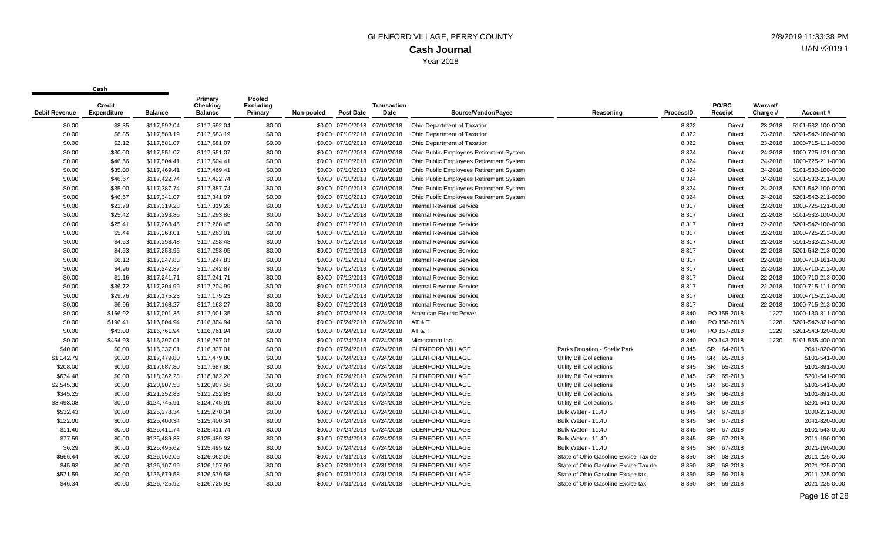| Debit Revenue | Credit<br><b>Expenditure</b> | <b>Balance</b> | Primary<br>Checking<br><b>Balance</b> | Pooled<br><b>Excluding</b><br>Primary | Non-pooled | <b>Post Date</b>             | Transaction<br>Date          | Source/Vendor/Payee                     | Reasoning                             | <b>ProcessID</b> | PO/BC<br>Receipt     | Warrant/<br>Charge # | Account#          |
|---------------|------------------------------|----------------|---------------------------------------|---------------------------------------|------------|------------------------------|------------------------------|-----------------------------------------|---------------------------------------|------------------|----------------------|----------------------|-------------------|
| \$0.00        | \$8.85                       | \$117,592.04   | \$117,592.04                          | \$0.00                                |            | \$0.00 07/10/2018 07/10/2018 |                              | Ohio Department of Taxation             |                                       | 8,322            | Direct               | 23-2018              | 5101-532-100-0000 |
| \$0.00        | \$8.85                       | \$117,583.19   | \$117,583.19                          | \$0.00                                |            | \$0.00 07/10/2018 07/10/2018 |                              | Ohio Department of Taxation             |                                       | 8,322            | Direct               | 23-2018              | 5201-542-100-0000 |
| \$0.00        | \$2.12                       | \$117,581.07   | \$117,581.07                          | \$0.00                                |            | \$0.00 07/10/2018 07/10/2018 |                              | Ohio Department of Taxation             |                                       | 8,322            | Direct               | 23-2018              | 1000-715-111-0000 |
| \$0.00        | \$30.00                      | \$117,551.07   | \$117,551.07                          | \$0.00                                |            | \$0.00 07/10/2018 07/10/2018 |                              | Ohio Public Employees Retirement System |                                       | 8,324            | Direct               | 24-2018              | 1000-725-121-0000 |
| \$0.00        | \$46.66                      | \$117,504.41   | \$117,504.41                          | \$0.00                                |            | \$0.00 07/10/2018 07/10/2018 |                              | Ohio Public Employees Retirement System |                                       | 8,324            | Direct               | 24-2018              | 1000-725-211-0000 |
| \$0.00        | \$35.00                      | \$117,469.41   | \$117,469.41                          | \$0.00                                |            | \$0.00 07/10/2018 07/10/2018 |                              | Ohio Public Employees Retirement System |                                       | 8,324            | <b>Direct</b>        | 24-2018              | 5101-532-100-0000 |
| \$0.00        | \$46.67                      | \$117,422.74   | \$117,422.74                          | \$0.00                                |            | \$0.00 07/10/2018 07/10/2018 |                              | Ohio Public Employees Retirement System |                                       | 8,324            | Direct               | 24-2018              | 5101-532-211-0000 |
| \$0.00        | \$35.00                      | \$117,387.74   | \$117,387.74                          | \$0.00                                |            | \$0.00 07/10/2018 07/10/2018 |                              | Ohio Public Employees Retirement System |                                       | 8,324            | Direct               | 24-2018              | 5201-542-100-0000 |
| \$0.00        | \$46.67                      | \$117,341.07   | \$117,341.07                          | \$0.00                                |            |                              | \$0.00 07/10/2018 07/10/2018 | Ohio Public Employees Retirement System |                                       | 8,324            | <b>Direct</b>        | 24-2018              | 5201-542-211-0000 |
| \$0.00        | \$21.79                      | \$117,319.28   | \$117,319.28                          | \$0.00                                |            | \$0.00 07/12/2018 07/10/2018 |                              | Internal Revenue Service                |                                       | 8,317            | Direct               | 22-2018              | 1000-725-121-0000 |
| \$0.00        | \$25.42                      | \$117,293.86   | \$117,293.86                          | \$0.00                                |            | \$0.00 07/12/2018 07/10/2018 |                              | Internal Revenue Service                |                                       | 8,317            | <b>Direct</b>        | 22-2018              | 5101-532-100-0000 |
| \$0.00        | \$25.41                      | \$117,268.45   | \$117,268.45                          | \$0.00                                |            | \$0.00 07/12/2018 07/10/2018 |                              | <b>Internal Revenue Service</b>         |                                       | 8,317            | Direct               | 22-2018              | 5201-542-100-0000 |
| \$0.00        | \$5.44                       | \$117,263.01   | \$117,263.01                          | \$0.00                                |            | \$0.00 07/12/2018 07/10/2018 |                              | <b>Internal Revenue Service</b>         |                                       | 8,317            | Direct               | 22-2018              | 1000-725-213-0000 |
| \$0.00        | \$4.53                       | \$117,258.48   | \$117,258.48                          | \$0.00                                |            |                              | \$0.00 07/12/2018 07/10/2018 | <b>Internal Revenue Service</b>         |                                       | 8,317            | Direct               | 22-2018              | 5101-532-213-0000 |
| \$0.00        | \$4.53                       | \$117,253.95   | \$117,253.95                          | \$0.00                                |            | \$0.00 07/12/2018 07/10/2018 |                              | <b>Internal Revenue Service</b>         |                                       | 8,317            | Direct               | 22-2018              | 5201-542-213-0000 |
| \$0.00        | \$6.12                       | \$117,247.83   | \$117,247.83                          | \$0.00                                |            | \$0.00 07/12/2018 07/10/2018 |                              | Internal Revenue Service                |                                       | 8,317            | <b>Direct</b>        | 22-2018              | 1000-710-161-0000 |
| \$0.00        | \$4.96                       | \$117,242.87   | \$117,242.87                          | \$0.00                                |            | \$0.00 07/12/2018 07/10/2018 |                              | <b>Internal Revenue Service</b>         |                                       | 8,317            | Direct               | 22-2018              | 1000-710-212-0000 |
| \$0.00        | \$1.16                       | \$117,241.71   | \$117,241.71                          | \$0.00                                |            | \$0.00 07/12/2018 07/10/2018 |                              | Internal Revenue Service                |                                       | 8,317            | <b>Direct</b>        | 22-2018              | 1000-710-213-0000 |
| \$0.00        | \$36.72                      | \$117,204.99   | \$117,204.99                          | \$0.00                                |            |                              | \$0.00 07/12/2018 07/10/2018 | <b>Internal Revenue Service</b>         |                                       | 8,317            | Direct               | 22-2018              | 1000-715-111-0000 |
| \$0.00        | \$29.76                      | \$117,175.23   | \$117,175.23                          | \$0.00                                |            | \$0.00 07/12/2018 07/10/2018 |                              | <b>Internal Revenue Service</b>         |                                       | 8,317            | <b>Direct</b>        | 22-2018              | 1000-715-212-0000 |
| \$0.00        | \$6.96                       | \$117,168.27   | \$117,168.27                          | \$0.00                                |            | \$0.00 07/12/2018 07/10/2018 |                              | <b>Internal Revenue Service</b>         |                                       | 8,317            | <b>Direct</b>        | 22-2018              | 1000-715-213-0000 |
| \$0.00        | \$166.92                     | \$117,001.35   | \$117,001.35                          | \$0.00                                |            | \$0.00 07/24/2018 07/24/2018 |                              | American Electric Power                 |                                       | 8,340            | PO 155-2018          | 1227                 | 1000-130-311-0000 |
| \$0.00        | \$196.41                     | \$116,804.94   | \$116,804.94                          | \$0.00                                |            |                              | \$0.00 07/24/2018 07/24/2018 | AT & T                                  |                                       | 8,340            | PO 156-2018          | 1228                 | 5201-542-321-0000 |
| \$0.00        | \$43.00                      | \$116,761.94   | \$116,761.94                          | \$0.00                                |            |                              | \$0.00 07/24/2018 07/24/2018 | AT&T                                    |                                       | 8,340            | PO 157-2018          | 1229                 | 5201-543-320-0000 |
| \$0.00        | \$464.93                     | \$116,297.01   | \$116,297.01                          | \$0.00                                |            | \$0.00 07/24/2018            | 07/24/2018                   | Microcomm Inc.                          |                                       | 8,340            | PO 143-2018          | 1230                 | 5101-535-400-0000 |
| \$40.00       | \$0.00                       | \$116,337.01   | \$116,337.01                          | \$0.00                                |            | \$0.00 07/24/2018 07/24/2018 |                              | <b>GLENFORD VILLAGE</b>                 | Parks Donation - Shelly Park          | 8,345            | SR 64-2018           |                      | 2041-820-0000     |
| \$1,142.79    | \$0.00                       | \$117,479.80   | \$117,479.80                          | \$0.00                                |            |                              | \$0.00 07/24/2018 07/24/2018 | <b>GLENFORD VILLAGE</b>                 | <b>Utility Bill Collections</b>       | 8,345            | <b>SR</b><br>65-2018 |                      | 5101-541-0000     |
| \$208.00      | \$0.00                       | \$117,687.80   | \$117,687.80                          | \$0.00                                |            | \$0.00 07/24/2018 07/24/2018 |                              | <b>GLENFORD VILLAGE</b>                 | <b>Utility Bill Collections</b>       | 8,345            | <b>SR</b><br>65-2018 |                      | 5101-891-0000     |
| \$674.48      | \$0.00                       | \$118,362.28   | \$118,362.28                          | \$0.00                                |            | \$0.00 07/24/2018 07/24/2018 |                              | <b>GLENFORD VILLAGE</b>                 | <b>Utility Bill Collections</b>       | 8,345            | <b>SR</b><br>65-2018 |                      | 5201-541-0000     |
| \$2,545.30    | \$0.00                       | \$120,907.58   | \$120,907.58                          | \$0.00                                |            | \$0.00 07/24/2018 07/24/2018 |                              | <b>GLENFORD VILLAGE</b>                 | <b>Utility Bill Collections</b>       | 8,345            | 66-2018<br><b>SR</b> |                      | 5101-541-0000     |
| \$345.25      | \$0.00                       | \$121,252.83   | \$121,252.83                          | \$0.00                                |            |                              | \$0.00 07/24/2018 07/24/2018 | <b>GLENFORD VILLAGE</b>                 | <b>Utility Bill Collections</b>       | 8,345            | <b>SR</b><br>66-2018 |                      | 5101-891-0000     |
| \$3,493.08    | \$0.00                       | \$124,745.91   | \$124,745.91                          | \$0.00                                |            | \$0.00 07/24/2018            | 07/24/2018                   | <b>GLENFORD VILLAGE</b>                 | <b>Utility Bill Collections</b>       | 8,345            | <b>SR</b><br>66-2018 |                      | 5201-541-0000     |
| \$532.43      | \$0.00                       | \$125,278.34   | \$125,278.34                          | \$0.00                                |            | \$0.00 07/24/2018 07/24/2018 |                              | <b>GLENFORD VILLAGE</b>                 | Bulk Water - 11.40                    | 8,345            | <b>SR</b><br>67-2018 |                      | 1000-211-0000     |
| \$122.00      | \$0.00                       | \$125,400.34   | \$125,400.34                          | \$0.00                                |            | \$0.00 07/24/2018 07/24/2018 |                              | <b>GLENFORD VILLAGE</b>                 | Bulk Water - 11.40                    | 8,345            | <b>SR</b><br>67-2018 |                      | 2041-820-0000     |
| \$11.40       | \$0.00                       | \$125,411.74   | \$125,411.74                          | \$0.00                                |            | \$0.00 07/24/2018            | 07/24/2018                   | <b>GLENFORD VILLAGE</b>                 | Bulk Water - 11.40                    | 8,345            | 67-2018<br><b>SR</b> |                      | 5101-543-0000     |
| \$77.59       | \$0.00                       | \$125,489.33   | \$125.489.33                          | \$0.00                                |            | \$0.00 07/24/2018 07/24/2018 |                              | <b>GLENFORD VILLAGE</b>                 | Bulk Water - 11.40                    | 8.345            | SR 67-2018           |                      | 2011-190-0000     |
| \$6.29        | \$0.00                       | \$125,495.62   | \$125,495.62                          | \$0.00                                |            |                              | \$0.00 07/24/2018 07/24/2018 | <b>GLENFORD VILLAGE</b>                 | Bulk Water - 11.40                    | 8,345            | SR 67-2018           |                      | 2021-190-0000     |
| \$566.44      | \$0.00                       | \$126,062.06   | \$126,062.06                          | \$0.00                                |            |                              | \$0.00 07/31/2018 07/31/2018 | <b>GLENFORD VILLAGE</b>                 | State of Ohio Gasoline Excise Tax de  | 8,350            | <b>SR</b><br>68-2018 |                      | 2011-225-0000     |
| \$45.93       | \$0.00                       | \$126,107.99   | \$126,107.99                          | \$0.00                                |            | \$0.00 07/31/2018 07/31/2018 |                              | <b>GLENFORD VILLAGE</b>                 | State of Ohio Gasoline Excise Tax der | 8,350            | <b>SR</b><br>68-2018 |                      | 2021-225-0000     |
| \$571.59      | \$0.00                       | \$126,679.58   | \$126,679.58                          | \$0.00                                |            | \$0.00 07/31/2018 07/31/2018 |                              | <b>GLENFORD VILLAGE</b>                 | State of Ohio Gasoline Excise tax     | 8,350            | <b>SR</b><br>69-2018 |                      | 2011-225-0000     |
| \$46.34       | \$0.00                       | \$126.725.92   | \$126,725.92                          | \$0.00                                |            | \$0.00 07/31/2018 07/31/2018 |                              | <b>GLENFORD VILLAGE</b>                 | State of Ohio Gasoline Excise tax     | 8.350            | <b>SR</b><br>69-2018 |                      | 2021-225-0000     |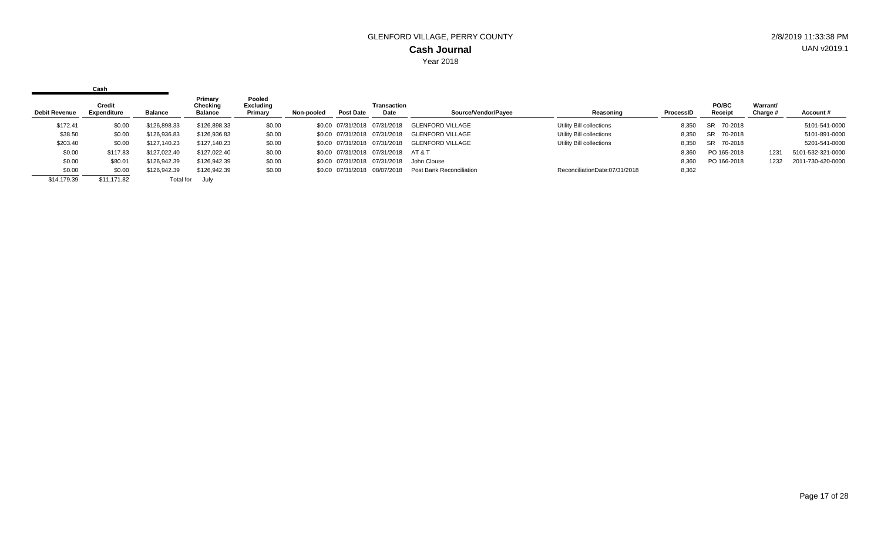| <b>Debit Revenue</b> | <b>Credit</b><br>Expenditure | Balance      | Primary<br>Checking<br><b>Balance</b> | Pooled<br>Excluding<br>Primary | Non-pooled | <b>Post Date</b> | <b>Transaction</b><br>Date   | Source/Vendor/Payee      | Reasoning                     | ProcessID | PO/BC<br>Receipt | Warrant/<br>Charge # | Account#          |
|----------------------|------------------------------|--------------|---------------------------------------|--------------------------------|------------|------------------|------------------------------|--------------------------|-------------------------------|-----------|------------------|----------------------|-------------------|
| \$172.41             | \$0.00                       | \$126,898.33 | \$126,898.33                          | \$0.00                         |            |                  | \$0.00 07/31/2018 07/31/2018 | <b>GLENFORD VILLAGE</b>  | Utility Bill collections      | 8,350     | SR 70-2018       |                      | 5101-541-0000     |
| \$38.50              | \$0.00                       | \$126,936.83 | \$126,936.83                          | \$0.00                         |            |                  | \$0.00 07/31/2018 07/31/2018 | <b>GLENFORD VILLAGE</b>  | Utility Bill collections      | 8,350     | SR 70-2018       |                      | 5101-891-0000     |
| \$203.40             | \$0.00                       | \$127,140.23 | \$127,140.23                          | \$0.00                         |            |                  | \$0.00 07/31/2018 07/31/2018 | GLENFORD VILLAGE         | Utility Bill collections      | 8,350     | SR 70-2018       |                      | 5201-541-0000     |
| \$0.00               | \$117.83                     | \$127,022.40 | \$127,022.40                          | \$0.00                         |            |                  | \$0.00 07/31/2018 07/31/2018 | AT & T                   |                               | 8,360     | PO 165-2018      | 1231                 | 5101-532-321-0000 |
| \$0.00               | \$80.01                      | \$126,942.39 | \$126,942.39                          | \$0.00                         |            |                  | \$0.00 07/31/2018 07/31/2018 | John Clouse              |                               | 8,360     | PO 166-2018      | 1232                 | 2011-730-420-0000 |
| \$0.00               | \$0.00                       | \$126,942.39 | \$126,942.39                          | \$0.00                         |            |                  | \$0.00 07/31/2018 08/07/2018 | Post Bank Reconciliation | ReconciliationDate:07/31/2018 | 8,362     |                  |                      |                   |
| \$14,179.39          | \$11,171.82                  | Total for    | July                                  |                                |            |                  |                              |                          |                               |           |                  |                      |                   |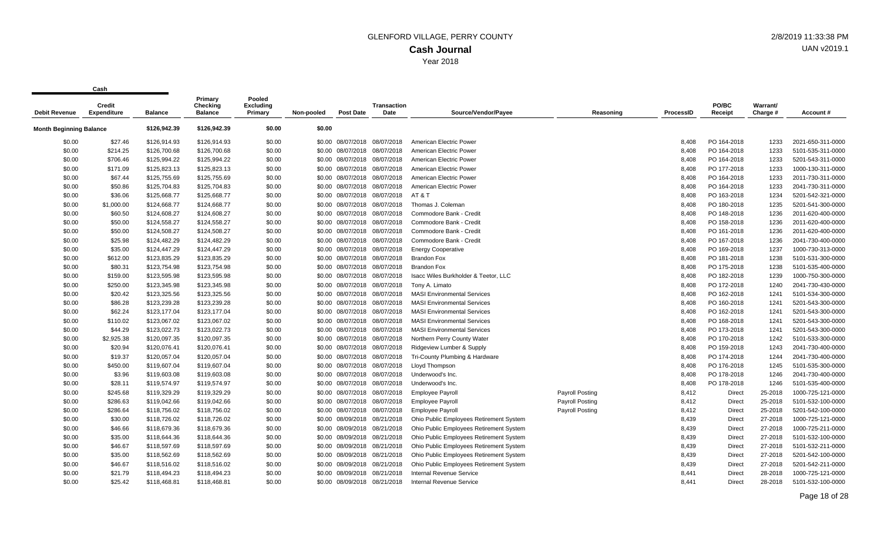| <b>Debit Revenue</b>    | <b>Credit</b><br><b>Expenditure</b> | <b>Balance</b> | Primary<br>Checking<br><b>Balance</b> | Pooled<br>Excluding<br>Primary | Non-pooled | <b>Post Date</b>  | <b>Transaction</b><br>Date   | Source/Vendor/Payee                     | Reasoning              | <b>ProcessID</b> | PO/BC<br>Receipt | Warrant/<br>Charge # | Account #         |
|-------------------------|-------------------------------------|----------------|---------------------------------------|--------------------------------|------------|-------------------|------------------------------|-----------------------------------------|------------------------|------------------|------------------|----------------------|-------------------|
| Month Beginning Balance |                                     | \$126,942.39   | \$126,942.39                          | \$0.00                         | \$0.00     |                   |                              |                                         |                        |                  |                  |                      |                   |
| \$0.00                  | \$27.46                             | \$126,914.93   | \$126,914.93                          | \$0.00                         |            | \$0.00 08/07/2018 | 08/07/2018                   | American Electric Power                 |                        | 8,408            | PO 164-2018      | 1233                 | 2021-650-311-0000 |
| \$0.00                  | \$214.25                            | \$126,700.68   | \$126,700.68                          | \$0.00                         | \$0.00     | 08/07/2018        | 08/07/2018                   | American Electric Power                 |                        | 8,408            | PO 164-2018      | 1233                 | 5101-535-311-0000 |
| \$0.00                  | \$706.46                            | \$125,994.22   | \$125,994.22                          | \$0.00                         |            |                   | \$0.00 08/07/2018 08/07/2018 | American Electric Power                 |                        | 8,408            | PO 164-2018      | 1233                 | 5201-543-311-0000 |
| \$0.00                  | \$171.09                            | \$125,823.13   | \$125,823.13                          | \$0.00                         |            |                   | \$0.00 08/07/2018 08/07/2018 | American Electric Power                 |                        | 8,408            | PO 177-2018      | 1233                 | 1000-130-311-0000 |
| \$0.00                  | \$67.44                             | \$125,755.69   | \$125,755.69                          | \$0.00                         |            |                   | \$0.00 08/07/2018 08/07/2018 | American Electric Power                 |                        | 8,408            | PO 164-2018      | 1233                 | 2011-730-311-0000 |
| \$0.00                  | \$50.86                             | \$125,704.83   | \$125,704.83                          | \$0.00                         | \$0.00     | 08/07/2018        | 08/07/2018                   | American Electric Power                 |                        | 8,408            | PO 164-2018      | 1233                 | 2041-730-311-0000 |
| \$0.00                  | \$36.06                             | \$125,668.77   | \$125,668.77                          | \$0.00                         |            |                   | \$0.00 08/07/2018 08/07/2018 | AT & T                                  |                        | 8,408            | PO 163-2018      | 1234                 | 5201-542-321-0000 |
| \$0.00                  | \$1,000.00                          | \$124,668.77   | \$124,668.77                          | \$0.00                         |            | \$0.00 08/07/2018 | 08/07/2018                   | Thomas J. Coleman                       |                        | 8,408            | PO 180-2018      | 1235                 | 5201-541-300-0000 |
| \$0.00                  | \$60.50                             | \$124,608.27   | \$124,608.27                          | \$0.00                         | \$0.00     | 08/07/2018        | 08/07/2018                   | Commodore Bank - Credit                 |                        | 8,408            | PO 148-2018      | 1236                 | 2011-620-400-0000 |
| \$0.00                  | \$50.00                             | \$124,558.27   | \$124,558.27                          | \$0.00                         |            |                   | \$0.00 08/07/2018 08/07/2018 | Commodore Bank - Credit                 |                        | 8,408            | PO 158-2018      | 1236                 | 2011-620-400-0000 |
| \$0.00                  | \$50.00                             | \$124,508.27   | \$124,508.27                          | \$0.00                         |            |                   | \$0.00 08/07/2018 08/07/2018 | Commodore Bank - Credit                 |                        | 8,408            | PO 161-2018      | 1236                 | 2011-620-400-0000 |
| \$0.00                  | \$25.98                             | \$124,482.29   | \$124,482.29                          | \$0.00                         |            | \$0.00 08/07/2018 | 08/07/2018                   | Commodore Bank - Credit                 |                        | 8,408            | PO 167-2018      | 1236                 | 2041-730-400-0000 |
| \$0.00                  | \$35.00                             | \$124,447.29   | \$124,447.29                          | \$0.00                         |            | \$0.00 08/07/2018 | 08/07/2018                   | <b>Energy Cooperative</b>               |                        | 8,408            | PO 169-2018      | 1237                 | 1000-730-313-0000 |
| \$0.00                  | \$612.00                            | \$123,835.29   | \$123,835.29                          | \$0.00                         |            |                   | \$0.00 08/07/2018 08/07/2018 | Brandon Fox                             |                        | 8,408            | PO 181-2018      | 1238                 | 5101-531-300-0000 |
| \$0.00                  | \$80.31                             | \$123,754.98   | \$123,754.98                          | \$0.00                         |            | \$0.00 08/07/2018 | 08/07/2018                   | <b>Brandon Fox</b>                      |                        | 8,408            | PO 175-2018      | 1238                 | 5101-535-400-0000 |
| \$0.00                  | \$159.00                            | \$123,595.98   | \$123,595.98                          | \$0.00                         |            | \$0.00 08/07/2018 | 08/07/2018                   | Isacc Wiles Burkholder & Teetor, LLC    |                        | 8,408            | PO 182-2018      | 1239                 | 1000-750-300-0000 |
| \$0.00                  | \$250.00                            | \$123,345.98   | \$123,345.98                          | \$0.00                         |            |                   | \$0.00 08/07/2018 08/07/2018 | Tony A. Limato                          |                        | 8,408            | PO 172-2018      | 1240                 | 2041-730-430-0000 |
| \$0.00                  | \$20.42                             | \$123,325.56   | \$123,325.56                          | \$0.00                         |            | \$0.00 08/07/2018 | 08/07/2018                   | <b>MASI Environmental Services</b>      |                        | 8,408            | PO 162-2018      | 1241                 | 5101-534-300-0000 |
| \$0.00                  | \$86.28                             | \$123,239.28   | \$123,239.28                          | \$0.00                         |            | \$0.00 08/07/2018 | 08/07/2018                   | <b>MASI Environmental Services</b>      |                        | 8,408            | PO 160-2018      | 1241                 | 5201-543-300-0000 |
| \$0.00                  | \$62.24                             | \$123,177.04   | \$123,177.04                          | \$0.00                         |            | \$0.00 08/07/2018 | 08/07/2018                   | <b>MASI Environmental Services</b>      |                        | 8,408            | PO 162-2018      | 1241                 | 5201-543-300-0000 |
| \$0.00                  | \$110.02                            | \$123,067.02   | \$123,067.02                          | \$0.00                         |            |                   | \$0.00 08/07/2018 08/07/2018 | <b>MASI Environmental Services</b>      |                        | 8,408            | PO 168-2018      | 1241                 | 5201-543-300-0000 |
| \$0.00                  | \$44.29                             | \$123,022.73   | \$123,022.73                          | \$0.00                         |            |                   | \$0.00 08/07/2018 08/07/2018 | <b>MASI Environmental Services</b>      |                        | 8,408            | PO 173-2018      | 1241                 | 5201-543-300-0000 |
| \$0.00                  | \$2,925.38                          | \$120,097.35   | \$120,097.35                          | \$0.00                         | \$0.00     | 08/07/2018        | 08/07/2018                   | Northern Perry County Water             |                        | 8,408            | PO 170-2018      | 1242                 | 5101-533-300-0000 |
| \$0.00                  | \$20.94                             | \$120,076.41   | \$120,076.41                          | \$0.00                         |            |                   | \$0.00 08/07/2018 08/07/2018 | Ridgeview Lumber & Supply               |                        | 8,408            | PO 159-2018      | 1243                 | 2041-730-400-0000 |
| \$0.00                  | \$19.37                             | \$120,057.04   | \$120,057.04                          | \$0.00                         |            | \$0.00 08/07/2018 | 08/07/2018                   | Tri-County Plumbing & Hardware          |                        | 8,408            | PO 174-2018      | 1244                 | 2041-730-400-0000 |
| \$0.00                  | \$450.00                            | \$119,607.04   | \$119,607.04                          | \$0.00                         |            | \$0.00 08/07/2018 | 08/07/2018                   | Lloyd Thompson                          |                        | 8,408            | PO 176-2018      | 1245                 | 5101-535-300-0000 |
| \$0.00                  | \$3.96                              | \$119,603.08   | \$119,603.08                          | \$0.00                         |            |                   | \$0.00 08/07/2018 08/07/2018 | Underwood's Inc.                        |                        | 8,408            | PO 178-2018      | 1246                 | 2041-730-400-0000 |
| \$0.00                  | \$28.11                             | \$119,574.97   | \$119,574.97                          | \$0.00                         |            |                   | \$0.00 08/07/2018 08/07/2018 | Underwood's Inc.                        |                        | 8,408            | PO 178-2018      | 1246                 | 5101-535-400-0000 |
| \$0.00                  | \$245.68                            | \$119,329.29   | \$119,329.29                          | \$0.00                         |            |                   | \$0.00 08/07/2018 08/07/2018 | <b>Employee Payroll</b>                 | Payroll Posting        | 8,412            | Direct           | 25-2018              | 1000-725-121-0000 |
| \$0.00                  | \$286.63                            | \$119,042.66   | \$119,042.66                          | \$0.00                         |            | \$0.00 08/07/2018 | 08/07/2018                   | <b>Employee Payroll</b>                 | <b>Payroll Posting</b> | 8,412            | Direct           | 25-2018              | 5101-532-100-0000 |
| \$0.00                  | \$286.64                            | \$118,756.02   | \$118,756.02                          | \$0.00                         |            |                   | \$0.00 08/07/2018 08/07/2018 | <b>Employee Payroll</b>                 | Payroll Posting        | 8,412            | Direct           | 25-2018              | 5201-542-100-0000 |
| \$0.00                  | \$30.00                             | \$118,726.02   | \$118,726.02                          | \$0.00                         |            | \$0.00 08/09/2018 | 08/21/2018                   | Ohio Public Employees Retirement System |                        | 8,439            | Direct           | 27-2018              | 1000-725-121-0000 |
| \$0.00                  | \$46.66                             | \$118,679.36   | \$118,679.36                          | \$0.00                         | \$0.00     | 08/09/2018        | 08/21/2018                   | Ohio Public Employees Retirement System |                        | 8,439            | Direct           | 27-2018              | 1000-725-211-0000 |
| \$0.00                  | \$35.00                             | \$118,644.36   | \$118,644.36                          | \$0.00                         |            |                   | \$0.00 08/09/2018 08/21/2018 | Ohio Public Employees Retirement System |                        | 8,439            | Direct           | 27-2018              | 5101-532-100-0000 |
| \$0.00                  | \$46.67                             | \$118,597.69   | \$118,597.69                          | \$0.00                         |            |                   | \$0.00 08/09/2018 08/21/2018 | Ohio Public Employees Retirement System |                        | 8,439            | Direct           | 27-2018              | 5101-532-211-0000 |
| \$0.00                  | \$35.00                             | \$118,562.69   | \$118,562.69                          | \$0.00                         |            |                   | \$0.00 08/09/2018 08/21/2018 | Ohio Public Employees Retirement System |                        | 8,439            | Direct           | 27-2018              | 5201-542-100-0000 |
| \$0.00                  | \$46.67                             | \$118,516.02   | \$118,516.02                          | \$0.00                         |            | \$0.00 08/09/2018 | 08/21/2018                   | Ohio Public Employees Retirement System |                        | 8,439            | Direct           | 27-2018              | 5201-542-211-0000 |
| \$0.00                  | \$21.79                             | \$118,494.23   | \$118,494.23                          | \$0.00                         |            | \$0.00 08/09/2018 | 08/21/2018                   | <b>Internal Revenue Service</b>         |                        | 8,441            | Direct           | 28-2018              | 1000-725-121-0000 |
| \$0.00                  | \$25.42                             | \$118,468.81   | \$118,468.81                          | \$0.00                         |            | \$0.00 08/09/2018 | 08/21/2018                   | Internal Revenue Service                |                        | 8.441            | Direct           | 28-2018              | 5101-532-100-0000 |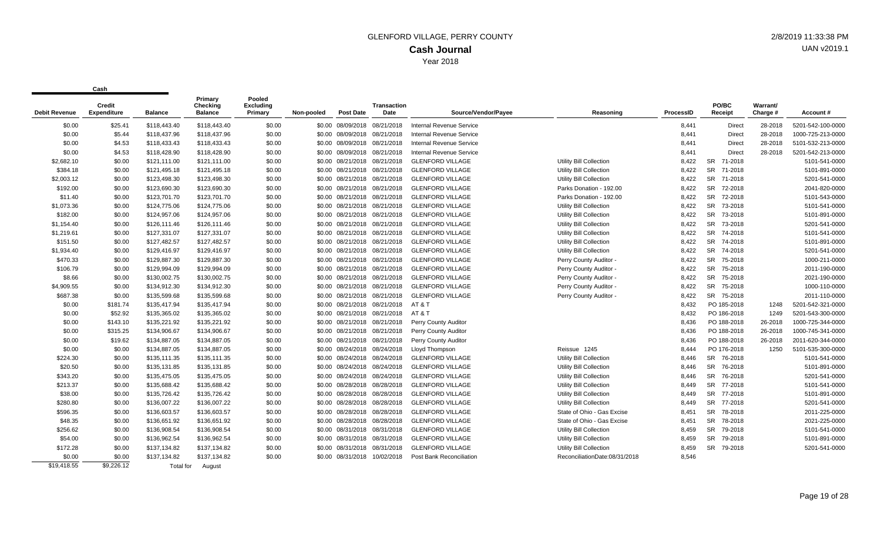|                      | <b>Credit</b> |                | Primary<br>Checking | Pooled<br><b>Excluding</b> |            |                              | <b>Transaction</b> |                                 |                                |           | PO/BC                | Warrant/ |                   |
|----------------------|---------------|----------------|---------------------|----------------------------|------------|------------------------------|--------------------|---------------------------------|--------------------------------|-----------|----------------------|----------|-------------------|
| <b>Debit Revenue</b> | Expenditure   | <b>Balance</b> | <b>Balance</b>      | Primary                    | Non-pooled | Post Date                    | Date               | Source/Vendor/Pavee             | Reasoning                      | ProcessID | Receipt              | Charge # | Account#          |
| \$0.00               | \$25.41       | \$118,443.40   | \$118,443.40        | \$0.00                     |            | \$0.00 08/09/2018 08/21/2018 |                    | <b>Internal Revenue Service</b> |                                | 8,441     | Direct               | 28-2018  | 5201-542-100-0000 |
| \$0.00               | \$5.44        | \$118,437.96   | \$118,437.96        | \$0.00                     |            | \$0.00 08/09/2018 08/21/2018 |                    | Internal Revenue Service        |                                | 8,441     | <b>Direct</b>        | 28-2018  | 1000-725-213-0000 |
| \$0.00               | \$4.53        | \$118,433.43   | \$118,433.43        | \$0.00                     |            | \$0.00 08/09/2018 08/21/2018 |                    | Internal Revenue Service        |                                | 8,441     | <b>Direct</b>        | 28-2018  | 5101-532-213-0000 |
| \$0.00               | \$4.53        | \$118,428.90   | \$118,428.90        | \$0.00                     |            | \$0.00 08/09/2018 08/21/2018 |                    | Internal Revenue Service        |                                | 8,441     | Direct               | 28-2018  | 5201-542-213-0000 |
| \$2,682.10           | \$0.00        | \$121,111.00   | \$121,111.00        | \$0.00                     |            | \$0.00 08/21/2018 08/21/2018 |                    | <b>GLENFORD VILLAGE</b>         | <b>Utility Bill Collection</b> | 8,422     | 71-2018<br><b>SR</b> |          | 5101-541-0000     |
| \$384.18             | \$0.00        | \$121,495.18   | \$121,495.18        | \$0.00                     |            | \$0.00 08/21/2018 08/21/2018 |                    | <b>GLENFORD VILLAGE</b>         | <b>Utility Bill Collection</b> | 8,422     | <b>SR</b><br>71-2018 |          | 5101-891-0000     |
| \$2,003.12           | \$0.00        | \$123,498.30   | \$123,498.30        | \$0.00                     |            | \$0.00 08/21/2018 08/21/2018 |                    | <b>GLENFORD VILLAGE</b>         | <b>Utility Bill Collection</b> | 8,422     | <b>SR</b><br>71-2018 |          | 5201-541-0000     |
| \$192.00             | \$0.00        | \$123.690.30   | \$123.690.30        | \$0.00                     |            | \$0.00 08/21/2018 08/21/2018 |                    | <b>GLENFORD VILLAGE</b>         | Parks Donation - 192.00        | 8.422     | <b>SR</b><br>72-2018 |          | 2041-820-0000     |
| \$11.40              | \$0.00        | \$123,701.70   | \$123,701.70        | \$0.00                     |            | \$0.00 08/21/2018 08/21/2018 |                    | <b>GLENFORD VILLAGE</b>         | Parks Donation - 192.00        | 8,422     | <b>SR</b><br>72-2018 |          | 5101-543-0000     |
| \$1,073.36           | \$0.00        | \$124,775.06   | \$124,775.06        | \$0.00                     |            | \$0.00 08/21/2018 08/21/2018 |                    | <b>GLENFORD VILLAGE</b>         | <b>Utility Bill Collection</b> | 8,422     | <b>SR</b><br>73-2018 |          | 5101-541-0000     |
| \$182.00             | \$0.00        | \$124,957.06   | \$124,957.06        | \$0.00                     |            | \$0.00 08/21/2018 08/21/2018 |                    | <b>GLENFORD VILLAGE</b>         | <b>Utility Bill Collection</b> | 8,422     | <b>SR</b><br>73-2018 |          | 5101-891-0000     |
| \$1,154.40           | \$0.00        | \$126,111.46   | \$126,111.46        | \$0.00                     |            | \$0.00 08/21/2018 08/21/2018 |                    | <b>GLENFORD VILLAGE</b>         | Utility Bill Collection        | 8,422     | <b>SR</b><br>73-2018 |          | 5201-541-0000     |
| \$1,219.61           | \$0.00        | \$127,331.07   | \$127,331.07        | \$0.00                     |            | \$0.00 08/21/2018 08/21/2018 |                    | <b>GLENFORD VILLAGE</b>         | Utility Bill Collection        | 8,422     | <b>SR</b><br>74-2018 |          | 5101-541-0000     |
| \$151.50             | \$0.00        | \$127,482.57   | \$127,482.57        | \$0.00                     |            | \$0.00 08/21/2018 08/21/2018 |                    | <b>GLENFORD VILLAGE</b>         | <b>Utility Bill Collection</b> | 8,422     | <b>SR</b><br>74-2018 |          | 5101-891-0000     |
| \$1,934.40           | \$0.00        | \$129,416.97   | \$129,416.97        | \$0.00                     |            | \$0.00 08/21/2018 08/21/2018 |                    | <b>GLENFORD VILLAGE</b>         | Utility Bill Collection        | 8,422     | <b>SR</b><br>74-2018 |          | 5201-541-0000     |
| \$470.33             | \$0.00        | \$129,887.30   | \$129,887.30        | \$0.00                     |            | \$0.00 08/21/2018 08/21/2018 |                    | <b>GLENFORD VILLAGE</b>         | Perry County Auditor -         | 8,422     | <b>SR</b><br>75-2018 |          | 1000-211-0000     |
| \$106.79             | \$0.00        | \$129,994.09   | \$129,994.09        | \$0.00                     |            | \$0.00 08/21/2018 08/21/2018 |                    | <b>GLENFORD VILLAGE</b>         | Perry County Auditor -         | 8,422     | <b>SR</b><br>75-2018 |          | 2011-190-0000     |
| \$8.66               | \$0.00        | \$130,002.75   | \$130,002.75        | \$0.00                     |            | \$0.00 08/21/2018 08/21/2018 |                    | <b>GLENFORD VILLAGE</b>         | Perry County Auditor -         | 8,422     | <b>SR</b><br>75-2018 |          | 2021-190-0000     |
| \$4,909.55           | \$0.00        | \$134,912.30   | \$134,912.30        | \$0.00                     |            | \$0.00 08/21/2018 08/21/2018 |                    | <b>GLENFORD VILLAGE</b>         | Perry County Auditor -         | 8,422     | SR 75-2018           |          | 1000-110-0000     |
| \$687.38             | \$0.00        | \$135,599.68   | \$135,599.68        | \$0.00                     |            | \$0.00 08/21/2018 08/21/2018 |                    | <b>GLENFORD VILLAGE</b>         | Perry County Auditor -         | 8,422     | SR 75-2018           |          | 2011-110-0000     |
| \$0.00               | \$181.74      | \$135.417.94   | \$135,417.94        | \$0.00                     |            | \$0.00 08/21/2018 08/21/2018 |                    | AT & T                          |                                | 8,432     | PO 185-2018          | 1248     | 5201-542-321-0000 |
| \$0.00               | \$52.92       | \$135,365.02   | \$135,365.02        | \$0.00                     |            | \$0.00 08/21/2018 08/21/2018 |                    | AT&T                            |                                | 8,432     | PO 186-2018          | 1249     | 5201-543-300-0000 |
| \$0.00               | \$143.10      | \$135,221.92   | \$135,221.92        | \$0.00                     |            | \$0.00 08/21/2018 08/21/2018 |                    | Perry County Auditor            |                                | 8,436     | PO 188-2018          | 26-2018  | 1000-725-344-0000 |
| \$0.00               | \$315.25      | \$134,906.67   | \$134,906.67        | \$0.00                     |            | \$0.00 08/21/2018 08/21/2018 |                    | Perry County Auditor            |                                | 8,436     | PO 188-2018          | 26-2018  | 1000-745-341-0000 |
| \$0.00               | \$19.62       | \$134,887.05   | \$134,887.05        | \$0.00                     |            | \$0.00 08/21/2018 08/21/2018 |                    | Perry County Auditor            |                                | 8,436     | PO 188-2018          | 26-2018  | 2011-620-344-0000 |
| \$0.00               | \$0.00        | \$134,887.05   | \$134,887.05        | \$0.00                     |            | \$0.00 08/24/2018 08/24/2018 |                    | Lloyd Thompson                  | Reissue 1245                   | 8,444     | PO 176-2018          | 1250     | 5101-535-300-0000 |
| \$224.30             | \$0.00        | \$135.111.35   | \$135.111.35        | \$0.00                     |            | \$0.00 08/24/2018 08/24/2018 |                    | <b>GLENFORD VILLAGE</b>         | <b>Utility Bill Collection</b> | 8.446     | SR 76-2018           |          | 5101-541-0000     |
| \$20.50              | \$0.00        | \$135,131.85   | \$135,131.85        | \$0.00                     |            | \$0.00 08/24/2018 08/24/2018 |                    | <b>GLENFORD VILLAGE</b>         | <b>Utility Bill Collection</b> | 8.446     | SR 76-2018           |          | 5101-891-0000     |
| \$343.20             | \$0.00        | \$135,475.05   | \$135,475.05        | \$0.00                     |            | \$0.00 08/24/2018 08/24/2018 |                    | <b>GLENFORD VILLAGE</b>         | Utility Bill Collection        | 8,446     | <b>SR</b><br>76-2018 |          | 5201-541-0000     |
| \$213.37             | \$0.00        | \$135,688.42   | \$135,688.42        | \$0.00                     |            | \$0.00 08/28/2018 08/28/2018 |                    | <b>GLENFORD VILLAGE</b>         | <b>Utility Bill Collection</b> | 8,449     | SR<br>77-2018        |          | 5101-541-0000     |
| \$38.00              | \$0.00        | \$135,726.42   | \$135,726.42        | \$0.00                     |            | \$0.00 08/28/2018 08/28/2018 |                    | <b>GLENFORD VILLAGE</b>         | Utility Bill Collection        | 8,449     | SR 77-2018           |          | 5101-891-0000     |
| \$280.80             | \$0.00        | \$136,007.22   | \$136,007.22        | \$0.00                     |            | \$0.00 08/28/2018 08/28/2018 |                    | <b>GLENFORD VILLAGE</b>         | <b>Utility Bill Collection</b> | 8,449     | SR 77-2018           |          | 5201-541-0000     |
| \$596.35             | \$0.00        | \$136,603.57   | \$136,603.57        | \$0.00                     |            | \$0.00 08/28/2018 08/28/2018 |                    | <b>GLENFORD VILLAGE</b>         | State of Ohio - Gas Excise     | 8,451     | SR 78-2018           |          | 2011-225-0000     |
| \$48.35              | \$0.00        | \$136,651.92   | \$136,651.92        | \$0.00                     |            | \$0.00 08/28/2018 08/28/2018 |                    | <b>GLENFORD VILLAGE</b>         | State of Ohio - Gas Excise     | 8,451     | <b>SR</b><br>78-2018 |          | 2021-225-0000     |
| \$256.62             | \$0.00        | \$136,908.54   | \$136,908.54        | \$0.00                     |            | \$0.00 08/31/2018 08/31/2018 |                    | <b>GLENFORD VILLAGE</b>         | <b>Utility Bill Collection</b> | 8,459     | <b>SR</b><br>79-2018 |          | 5101-541-0000     |
| \$54.00              | \$0.00        | \$136,962.54   | \$136,962.54        | \$0.00                     |            | \$0.00 08/31/2018 08/31/2018 |                    | <b>GLENFORD VILLAGE</b>         | Utility Bill Collection        | 8,459     | SR 79-2018           |          | 5101-891-0000     |
| \$172.28             | \$0.00        | \$137,134.82   | \$137,134.82        | \$0.00                     |            | \$0.00 08/31/2018 08/31/2018 |                    | <b>GLENFORD VILLAGE</b>         | <b>Utility Bill Collection</b> | 8,459     | SR 79-2018           |          | 5201-541-0000     |
| \$0.00               | \$0.00        | \$137,134.82   | \$137,134.82        | \$0.00                     |            | \$0.00 08/31/2018 10/02/2018 |                    | <b>Post Bank Reconciliation</b> | ReconciliationDate:08/31/2018  | 8,546     |                      |          |                   |
| \$19,418.55          | \$9,226.12    | Total for      | August              |                            |            |                              |                    |                                 |                                |           |                      |          |                   |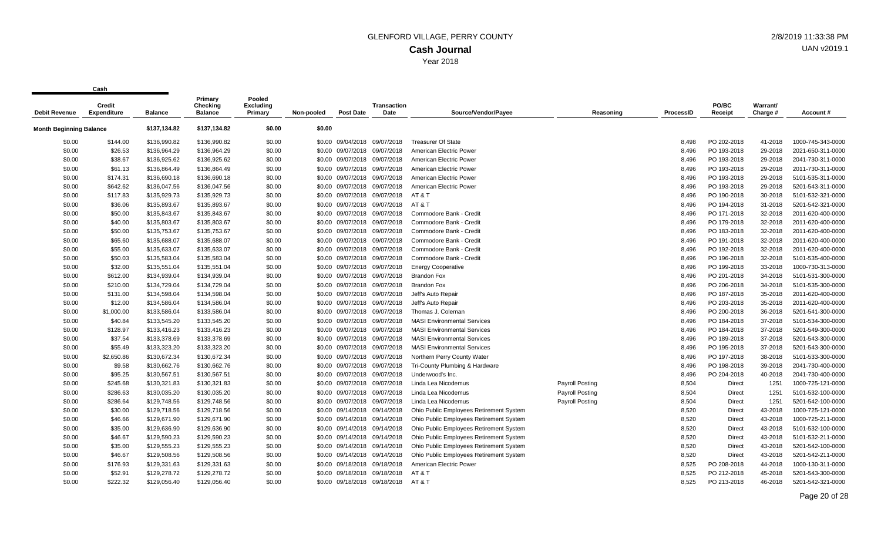| <b>Debit Revenue</b>           | Credit<br><b>Expenditure</b> | <b>Balance</b> | Primary<br>Checking<br><b>Balance</b> | Pooled<br>Excluding<br>Primary | Non-pooled | <b>Post Date</b>             | <b>Transaction</b><br>Date | Source/Vendor/Payee                     | Reasoning              | <b>ProcessID</b> | PO/BC<br>Receipt | Warrant/<br>Charge # | Account#          |
|--------------------------------|------------------------------|----------------|---------------------------------------|--------------------------------|------------|------------------------------|----------------------------|-----------------------------------------|------------------------|------------------|------------------|----------------------|-------------------|
| <b>Month Beginning Balance</b> |                              | \$137,134.82   | \$137,134.82                          | \$0.00                         | \$0.00     |                              |                            |                                         |                        |                  |                  |                      |                   |
|                                |                              |                |                                       |                                |            |                              |                            |                                         |                        |                  |                  |                      |                   |
| \$0.00                         | \$144.00                     | \$136,990.82   | \$136,990.82                          | \$0.00                         |            | \$0.00 09/04/2018 09/07/2018 |                            | <b>Treasurer Of State</b>               |                        | 8,498            | PO 202-2018      | 41-2018              | 1000-745-343-0000 |
| \$0.00                         | \$26.53                      | \$136,964.29   | \$136,964.29                          | \$0.00                         | \$0.00     | 09/07/2018                   | 09/07/2018                 | American Electric Power                 |                        | 8,496            | PO 193-2018      | 29-2018              | 2021-650-311-0000 |
| \$0.00                         | \$38.67                      | \$136,925.62   | \$136,925.62                          | \$0.00                         |            | \$0.00 09/07/2018 09/07/2018 |                            | American Electric Power                 |                        | 8,496            | PO 193-2018      | 29-2018              | 2041-730-311-0000 |
| \$0.00                         | \$61.13                      | \$136,864.49   | \$136,864.49                          | \$0.00                         |            | \$0.00 09/07/2018            | 09/07/2018                 | American Electric Power                 |                        | 8,496            | PO 193-2018      | 29-2018              | 2011-730-311-0000 |
| \$0.00                         | \$174.31                     | \$136,690.18   | \$136,690.18                          | \$0.00                         | \$0.00     | 09/07/2018                   | 09/07/2018                 | American Electric Power                 |                        | 8,496            | PO 193-2018      | 29-2018              | 5101-535-311-0000 |
| \$0.00                         | \$642.62                     | \$136,047.56   | \$136,047.56                          | \$0.00                         |            | \$0.00 09/07/2018 09/07/2018 |                            | American Electric Power                 |                        | 8,496            | PO 193-2018      | 29-2018              | 5201-543-311-0000 |
| \$0.00                         | \$117.83                     | \$135,929.73   | \$135,929.73                          | \$0.00                         |            | \$0.00 09/07/2018 09/07/2018 |                            | AT & T                                  |                        | 8.496            | PO 190-2018      | 30-2018              | 5101-532-321-0000 |
| \$0.00                         | \$36.06                      | \$135,893.67   | \$135,893.67                          | \$0.00                         |            | \$0.00 09/07/2018 09/07/2018 |                            | AT & T                                  |                        | 8,496            | PO 194-2018      | 31-2018              | 5201-542-321-0000 |
| \$0.00                         | \$50.00                      | \$135,843.67   | \$135,843.67                          | \$0.00                         |            | \$0.00 09/07/2018            | 09/07/2018                 | Commodore Bank - Credit                 |                        | 8,496            | PO 171-2018      | 32-2018              | 2011-620-400-0000 |
| \$0.00                         | \$40.00                      | \$135,803.67   | \$135,803.67                          | \$0.00                         |            | \$0.00 09/07/2018 09/07/2018 |                            | Commodore Bank - Credit                 |                        | 8,496            | PO 179-2018      | 32-2018              | 2011-620-400-0000 |
| \$0.00                         | \$50.00                      | \$135,753.67   | \$135,753.67                          | \$0.00                         |            | \$0.00 09/07/2018            | 09/07/2018                 | Commodore Bank - Credit                 |                        | 8,496            | PO 183-2018      | 32-2018              | 2011-620-400-0000 |
| \$0.00                         | \$65.60                      | \$135,688.07   | \$135,688.07                          | \$0.00                         | \$0.00     | 09/07/2018                   | 09/07/2018                 | Commodore Bank - Credit                 |                        | 8,496            | PO 191-2018      | 32-2018              | 2011-620-400-0000 |
| \$0.00                         | \$55.00                      | \$135,633.07   | \$135,633.07                          | \$0.00                         |            | \$0.00 09/07/2018 09/07/2018 |                            | Commodore Bank - Credit                 |                        | 8,496            | PO 192-2018      | 32-2018              | 2011-620-400-0000 |
| \$0.00                         | \$50.03                      | \$135,583.04   | \$135,583.04                          | \$0.00                         |            | \$0.00 09/07/2018 09/07/2018 |                            | Commodore Bank - Credit                 |                        | 8,496            | PO 196-2018      | 32-2018              | 5101-535-400-0000 |
| \$0.00                         | \$32.00                      | \$135,551.04   | \$135,551.04                          | \$0.00                         |            | \$0.00 09/07/2018            | 09/07/2018                 | <b>Energy Cooperative</b>               |                        | 8,496            | PO 199-2018      | 33-2018              | 1000-730-313-0000 |
| \$0.00                         | \$612.00                     | \$134,939.04   | \$134,939.04                          | \$0.00                         |            | \$0.00 09/07/2018 09/07/2018 |                            | <b>Brandon Fox</b>                      |                        | 8,496            | PO 201-2018      | 34-2018              | 5101-531-300-0000 |
| \$0.00                         | \$210.00                     | \$134,729.04   | \$134,729.04                          | \$0.00                         |            | \$0.00 09/07/2018 09/07/2018 |                            | <b>Brandon Fox</b>                      |                        | 8,496            | PO 206-2018      | 34-2018              | 5101-535-300-0000 |
| \$0.00                         | \$131.00                     | \$134,598.04   | \$134,598.04                          | \$0.00                         |            | \$0.00 09/07/2018 09/07/2018 |                            | Jeff's Auto Repair                      |                        | 8,496            | PO 187-2018      | 35-2018              | 2011-620-400-0000 |
| \$0.00                         | \$12.00                      | \$134,586.04   | \$134,586.04                          | \$0.00                         |            | \$0.00 09/07/2018            | 09/07/2018                 | Jeff's Auto Repair                      |                        | 8,496            | PO 203-2018      | 35-2018              | 2011-620-400-0000 |
| \$0.00                         | \$1,000.00                   | \$133,586.04   | \$133,586.04                          | \$0.00                         |            | \$0.00 09/07/2018 09/07/2018 |                            | Thomas J. Coleman                       |                        | 8,496            | PO 200-2018      | 36-2018              | 5201-541-300-0000 |
| \$0.00                         | \$40.84                      | \$133,545.20   | \$133,545.20                          | \$0.00                         |            | \$0.00 09/07/2018            | 09/07/2018                 | <b>MASI Environmental Services</b>      |                        | 8,496            | PO 184-2018      | 37-2018              | 5101-534-300-0000 |
| \$0.00                         | \$128.97                     | \$133,416.23   | \$133,416.23                          | \$0.00                         | \$0.00     | 09/07/2018                   | 09/07/2018                 | <b>MASI Environmental Services</b>      |                        | 8.496            | PO 184-2018      | 37-2018              | 5201-549-300-0000 |
| \$0.00                         | \$37.54                      | \$133,378.69   | \$133,378.69                          | \$0.00                         |            | \$0.00 09/07/2018 09/07/2018 |                            | <b>MASI Environmental Services</b>      |                        | 8.496            | PO 189-2018      | 37-2018              | 5201-543-300-0000 |
| \$0.00                         | \$55.49                      | \$133,323.20   | \$133,323.20                          | \$0.00                         |            | \$0.00 09/07/2018 09/07/2018 |                            | <b>MASI Environmental Services</b>      |                        | 8,496            | PO 195-2018      | 37-2018              | 5201-543-300-0000 |
| \$0.00                         | \$2,650.86                   | \$130,672.34   | \$130,672.34                          | \$0.00                         |            | \$0.00 09/07/2018            | 09/07/2018                 | Northern Perry County Water             |                        | 8,496            | PO 197-2018      | 38-2018              | 5101-533-300-0000 |
| \$0.00                         | \$9.58                       | \$130,662.76   | \$130,662.76                          | \$0.00                         |            | \$0.00 09/07/2018            | 09/07/2018                 | Tri-County Plumbing & Hardware          |                        | 8,496            | PO 198-2018      | 39-2018              | 2041-730-400-0000 |
| \$0.00                         | \$95.25                      | \$130,567.51   | \$130,567.51                          | \$0.00                         |            | \$0.00 09/07/2018 09/07/2018 |                            | Underwood's Inc.                        |                        | 8,496            | PO 204-2018      | 40-2018              | 2041-730-400-0000 |
| \$0.00                         | \$245.68                     | \$130,321.83   | \$130,321.83                          | \$0.00                         |            | \$0.00 09/07/2018 09/07/2018 |                            | Linda Lea Nicodemus                     | <b>Payroll Posting</b> | 8,504            | Direct           | 1251                 | 1000-725-121-0000 |
| \$0.00                         | \$286.63                     | \$130,035.20   | \$130,035.20                          | \$0.00                         |            | \$0.00 09/07/2018            | 09/07/2018                 | Linda Lea Nicodemus                     | <b>Payroll Posting</b> | 8,504            | Direct           | 1251                 | 5101-532-100-0000 |
| \$0.00                         | \$286.64                     | \$129,748.56   | \$129,748.56                          | \$0.00                         |            | \$0.00 09/07/2018 09/07/2018 |                            | Linda Lea Nicodemus                     | <b>Payroll Posting</b> | 8,504            | Direct           | 1251                 | 5201-542-100-0000 |
| \$0.00                         | \$30.00                      | \$129,718.56   | \$129,718.56                          | \$0.00                         |            | \$0.00 09/14/2018            | 09/14/2018                 | Ohio Public Employees Retirement System |                        | 8,520            | Direct           | 43-2018              | 1000-725-121-0000 |
| \$0.00                         | \$46.66                      | \$129,671.90   | \$129,671.90                          | \$0.00                         |            | \$0.00 09/14/2018            | 09/14/2018                 | Ohio Public Employees Retirement System |                        | 8,520            | Direct           | 43-2018              | 1000-725-211-0000 |
| \$0.00                         | \$35.00                      | \$129,636.90   | \$129,636.90                          | \$0.00                         |            | \$0.00 09/14/2018 09/14/2018 |                            | Ohio Public Employees Retirement System |                        | 8,520            | <b>Direct</b>    | 43-2018              | 5101-532-100-0000 |
| \$0.00                         | \$46.67                      | \$129,590.23   |                                       |                                |            |                              |                            |                                         |                        | 8,520            | Direct           | 43-2018              | 5101-532-211-0000 |
|                                |                              |                | \$129,590.23                          | \$0.00                         |            | \$0.00 09/14/2018 09/14/2018 |                            | Ohio Public Employees Retirement System |                        |                  |                  |                      |                   |
| \$0.00                         | \$35.00                      | \$129,555.23   | \$129,555.23                          | \$0.00                         |            | \$0.00 09/14/2018 09/14/2018 |                            | Ohio Public Employees Retirement System |                        | 8,520            | Direct           | 43-2018              | 5201-542-100-0000 |
| \$0.00                         | \$46.67                      | \$129,508.56   | \$129,508.56                          | \$0.00                         |            | \$0.00 09/14/2018            | 09/14/2018                 | Ohio Public Employees Retirement System |                        | 8,520            | Direct           | 43-2018              | 5201-542-211-0000 |
| \$0.00                         | \$176.93                     | \$129,331.63   | \$129,331.63                          | \$0.00                         |            | \$0.00 09/18/2018            | 09/18/2018                 | American Electric Power                 |                        | 8,525            | PO 208-2018      | 44-2018              | 1000-130-311-0000 |
| \$0.00                         | \$52.91                      | \$129,278.72   | \$129,278.72                          | \$0.00                         |            | \$0.00 09/18/2018            | 09/18/2018                 | AT&T                                    |                        | 8,525            | PO 212-2018      | 45-2018              | 5201-543-300-0000 |
| \$0.00                         | \$222.32                     | \$129,056.40   | \$129,056.40                          | \$0.00                         |            | \$0.00 09/18/2018 09/18/2018 |                            | AT&T                                    |                        | 8.525            | PO 213-2018      | 46-2018              | 5201-542-321-0000 |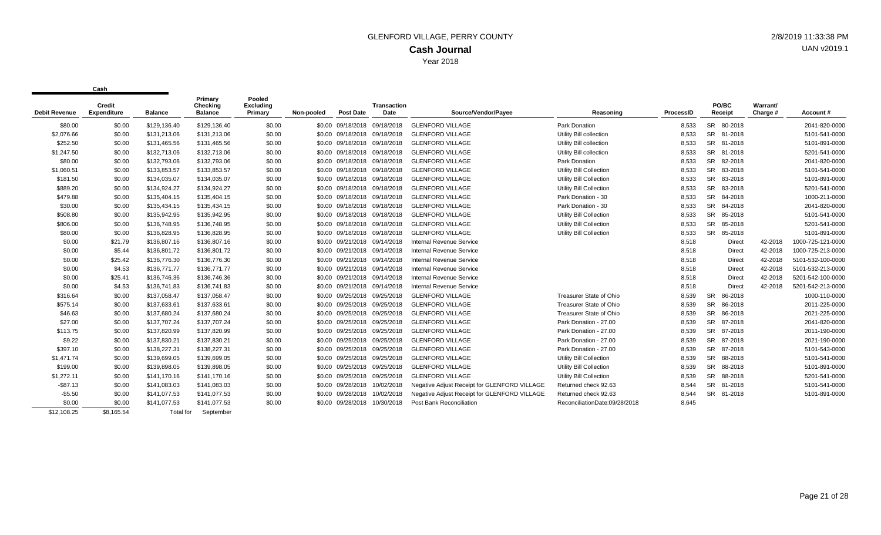| <b>Debit Revenue</b>  | Credit<br><b>Expenditure</b> | <b>Balance</b>               | Primary<br>Checking<br><b>Balance</b> | Pooled<br><b>Excluding</b><br>Primary | Non-pooled | <b>Post Date</b>             | <b>Transaction</b><br>Date   | Source/Vendor/Payee                                | Reasoning                      | ProcessID      | PO/BC<br>Receipt     | Warrant/<br>Charge # | Account #         |
|-----------------------|------------------------------|------------------------------|---------------------------------------|---------------------------------------|------------|------------------------------|------------------------------|----------------------------------------------------|--------------------------------|----------------|----------------------|----------------------|-------------------|
|                       |                              |                              |                                       |                                       |            |                              | \$0.00 09/18/2018 09/18/2018 |                                                    | <b>Park Donation</b>           |                | SR 80-2018           |                      | 2041-820-0000     |
| \$80.00<br>\$2.076.66 | \$0.00<br>\$0.00             | \$129,136.40<br>\$131.213.06 | \$129,136.40<br>\$131,213.06          | \$0.00<br>\$0.00                      |            | \$0.00 09/18/2018 09/18/2018 |                              | <b>GLENFORD VILLAGE</b><br><b>GLENFORD VILLAGE</b> | Utility Bill collection        | 8,533<br>8.533 | SR 81-2018           |                      | 5101-541-0000     |
| \$252.50              |                              |                              |                                       |                                       |            |                              |                              |                                                    |                                |                | SR 81-2018           |                      |                   |
|                       | \$0.00                       | \$131,465.56                 | \$131,465.56                          | \$0.00                                |            | \$0.00 09/18/2018 09/18/2018 |                              | <b>GLENFORD VILLAGE</b>                            | Utility Bill collection        | 8,533          |                      |                      | 5101-891-0000     |
| \$1,247.50            | \$0.00                       | \$132,713.06                 | \$132,713.06                          | \$0.00                                |            | \$0.00 09/18/2018            | 09/18/2018                   | <b>GLENFORD VILLAGE</b>                            | Utility Bill collection        | 8.533          | SR 81-2018           |                      | 5201-541-0000     |
| \$80.00               | \$0.00                       | \$132,793.06                 | \$132,793.06                          | \$0.00                                |            | \$0.00 09/18/2018 09/18/2018 |                              | <b>GLENFORD VILLAGE</b>                            | Park Donation                  | 8,533          | <b>SR</b><br>82-2018 |                      | 2041-820-0000     |
| \$1,060.51            | \$0.00                       | \$133,853.57                 | \$133,853.57                          | \$0.00                                |            | \$0.00 09/18/2018 09/18/2018 |                              | <b>GLENFORD VILLAGE</b>                            | <b>Utility Bill Collection</b> | 8,533          | <b>SR</b><br>83-2018 |                      | 5101-541-0000     |
| \$181.50              | \$0.00                       | \$134,035.07                 | \$134,035.07                          | \$0.00                                |            | \$0.00 09/18/2018            | 09/18/2018                   | <b>GLENFORD VILLAGE</b>                            | <b>Utility Bill Collection</b> | 8,533          | <b>SR</b><br>83-2018 |                      | 5101-891-0000     |
| \$889.20              | \$0.00                       | \$134,924.27                 | \$134,924.27                          | \$0.00                                |            | \$0.00 09/18/2018            | 09/18/2018                   | <b>GLENFORD VILLAGE</b>                            | <b>Utility Bill Collection</b> | 8,533          | <b>SR</b><br>83-2018 |                      | 5201-541-0000     |
| \$479.88              | \$0.00                       | \$135,404.15                 | \$135,404.15                          | \$0.00                                |            | \$0.00 09/18/2018            | 09/18/2018                   | <b>GLENFORD VILLAGE</b>                            | Park Donation - 30             | 8,533          | <b>SR</b><br>84-2018 |                      | 1000-211-0000     |
| \$30.00               | \$0.00                       | \$135,434.15                 | \$135,434.15                          | \$0.00                                |            | \$0.00 09/18/2018            | 09/18/2018                   | <b>GLENFORD VILLAGE</b>                            | Park Donation - 30             | 8,533          | <b>SR</b><br>84-2018 |                      | 2041-820-0000     |
| \$508.80              | \$0.00                       | \$135,942.95                 | \$135,942.95                          | \$0.00                                |            | \$0.00 09/18/2018 09/18/2018 |                              | <b>GLENFORD VILLAGE</b>                            | Utility Bill Collection        | 8,533          | <b>SR</b><br>85-2018 |                      | 5101-541-0000     |
| \$806.00              | \$0.00                       | \$136,748.95                 | \$136,748.95                          | \$0.00                                |            | \$0.00 09/18/2018 09/18/2018 |                              | <b>GLENFORD VILLAGE</b>                            | <b>Utility Bill Collection</b> | 8,533          | <b>SR</b><br>85-2018 |                      | 5201-541-0000     |
| \$80.00               | \$0.00                       | \$136,828.95                 | \$136,828.95                          | \$0.00                                |            | \$0.00 09/18/2018 09/18/2018 |                              | <b>GLENFORD VILLAGE</b>                            | Utility Bill Collection        | 8,533          | <b>SR</b><br>85-2018 |                      | 5101-891-0000     |
| \$0.00                | \$21.79                      | \$136,807.16                 | \$136,807.16                          | \$0.00                                |            | \$0.00 09/21/2018 09/14/2018 |                              | Internal Revenue Service                           |                                | 8,518          | Direct               | 42-2018              | 1000-725-121-0000 |
| \$0.00                | \$5.44                       | \$136,801.72                 | \$136,801.72                          | \$0.00                                |            | \$0.00 09/21/2018 09/14/2018 |                              | Internal Revenue Service                           |                                | 8,518          | <b>Direct</b>        | 42-2018              | 1000-725-213-0000 |
| \$0.00                | \$25.42                      | \$136,776.30                 | \$136,776.30                          | \$0.00                                |            | \$0.00 09/21/2018 09/14/2018 |                              | <b>Internal Revenue Service</b>                    |                                | 8,518          | <b>Direct</b>        | 42-2018              | 5101-532-100-0000 |
| \$0.00                | \$4.53                       | \$136,771.77                 | \$136,771.77                          | \$0.00                                |            | \$0.00 09/21/2018            | 09/14/2018                   | Internal Revenue Service                           |                                | 8,518          | Direct               | 42-2018              | 5101-532-213-0000 |
| \$0.00                | \$25.41                      | \$136,746.36                 | \$136,746.36                          | \$0.00                                |            | \$0.00 09/21/2018            | 09/14/2018                   | <b>Internal Revenue Service</b>                    |                                | 8,518          | Direct               | 42-2018              | 5201-542-100-0000 |
| \$0.00                | \$4.53                       | \$136,741.83                 | \$136,741.83                          | \$0.00                                |            | \$0.00 09/21/2018            | 09/14/2018                   | <b>Internal Revenue Service</b>                    |                                | 8,518          | <b>Direct</b>        | 42-2018              | 5201-542-213-0000 |
| \$316.64              | \$0.00                       | \$137,058.47                 | \$137,058.47                          | \$0.00                                |            | \$0.00 09/25/2018            | 09/25/2018                   | <b>GLENFORD VILLAGE</b>                            | <b>Treasurer State of Ohio</b> | 8,539          | 86-2018<br>SR        |                      | 1000-110-0000     |
| \$575.14              | \$0.00                       | \$137,633.61                 | \$137,633.61                          | \$0.00                                |            | \$0.00 09/25/2018            | 09/25/2018                   | <b>GLENFORD VILLAGE</b>                            | <b>Treasurer State of Ohio</b> | 8,539          | <b>SR</b><br>86-2018 |                      | 2011-225-0000     |
| \$46.63               | \$0.00                       | \$137,680.24                 | \$137,680.24                          | \$0.00                                |            | \$0.00 09/25/2018            | 09/25/2018                   | <b>GLENFORD VILLAGE</b>                            | <b>Treasurer State of Ohio</b> | 8,539          | <b>SR</b><br>86-2018 |                      | 2021-225-0000     |
| \$27.00               | \$0.00                       | \$137,707.24                 | \$137,707.24                          | \$0.00                                |            | \$0.00 09/25/2018            | 09/25/2018                   | <b>GLENFORD VILLAGE</b>                            | Park Donation - 27.00          | 8,539          | <b>SR</b><br>87-2018 |                      | 2041-820-0000     |
| \$113.75              | \$0.00                       | \$137,820.99                 | \$137,820.99                          | \$0.00                                |            | \$0.00 09/25/2018            | 09/25/2018                   | <b>GLENFORD VILLAGE</b>                            | Park Donation - 27.00          | 8.539          | SR 87-2018           |                      | 2011-190-0000     |
| \$9.22                | \$0.00                       | \$137,830.21                 | \$137,830.21                          | \$0.00                                |            | \$0.00 09/25/2018 09/25/2018 |                              | <b>GLENFORD VILLAGE</b>                            | Park Donation - 27.00          | 8.539          | SR 87-2018           |                      | 2021-190-0000     |
| \$397.10              | \$0.00                       | \$138,227.31                 | \$138,227.31                          | \$0.00                                |            | \$0.00 09/25/2018            | 09/25/2018                   | <b>GLENFORD VILLAGE</b>                            | Park Donation - 27.00          | 8,539          | SR 87-2018           |                      | 5101-543-0000     |
| \$1,471.74            | \$0.00                       | \$139.699.05                 | \$139,699.05                          | \$0.00                                |            | \$0.00 09/25/2018            | 09/25/2018                   | <b>GLENFORD VILLAGE</b>                            | <b>Utility Bill Collection</b> | 8,539          | SR 88-2018           |                      | 5101-541-0000     |
| \$199.00              | \$0.00                       | \$139,898.05                 | \$139,898.05                          | \$0.00                                |            | \$0.00 09/25/2018            | 09/25/2018                   | <b>GLENFORD VILLAGE</b>                            | <b>Utility Bill Collection</b> | 8,539          | SR 88-2018           |                      | 5101-891-0000     |
| \$1,272.11            | \$0.00                       | \$141,170.16                 | \$141,170.16                          | \$0.00                                |            | \$0.00 09/25/2018            | 09/25/2018                   | <b>GLENFORD VILLAGE</b>                            | <b>Utility Bill Collection</b> | 8,539          | SR 88-2018           |                      | 5201-541-0000     |
| $-$ \$87.13           | \$0.00                       | \$141.083.03                 | \$141.083.03                          | \$0.00                                |            | \$0.00 09/28/2018            | 10/02/2018                   | Negative Adjust Receipt for GLENFORD VILLAGE       | Returned check 92.63           | 8.544          | SR 81-2018           |                      | 5101-541-0000     |
| $-$5.50$              | \$0.00                       | \$141,077.53                 | \$141,077.53                          | \$0.00                                |            | \$0.00 09/28/2018            | 10/02/2018                   | Negative Adjust Receipt for GLENFORD VILLAGE       | Returned check 92.63           | 8,544          | SR 81-2018           |                      | 5101-891-0000     |
| \$0.00                | \$0.00                       | \$141,077.53                 | \$141,077.53                          | \$0.00                                |            | \$0.00 09/28/2018            | 10/30/2018                   | Post Bank Reconciliation                           | ReconciliationDate:09/28/2018  | 8,645          |                      |                      |                   |
| \$12,108.25           | \$8,165.54                   | Total for                    | September                             |                                       |            |                              |                              |                                                    |                                |                |                      |                      |                   |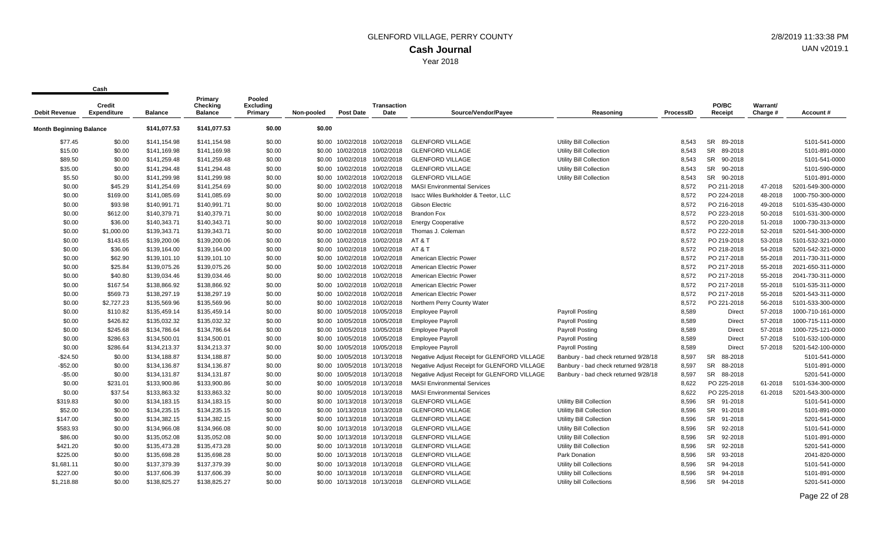|                                | <b>Credit</b>      |                | Primary<br>Checking | Pooled<br><b>Excluding</b> |            |                              | <b>Transaction</b>           |                                              |                                      |                  | PO/BC                | Warrant/ |                   |
|--------------------------------|--------------------|----------------|---------------------|----------------------------|------------|------------------------------|------------------------------|----------------------------------------------|--------------------------------------|------------------|----------------------|----------|-------------------|
| <b>Debit Revenue</b>           | <b>Expenditure</b> | <b>Balance</b> | <b>Balance</b>      | Primary                    | Non-pooled | <b>Post Date</b>             | Date                         | Source/Vendor/Payee                          | Reasoning                            | <b>ProcessID</b> | Receipt              | Charge # | Account#          |
| <b>Month Beginning Balance</b> |                    | \$141,077.53   | \$141,077.53        | \$0.00                     | \$0.00     |                              |                              |                                              |                                      |                  |                      |          |                   |
| \$77.45                        | \$0.00             | \$141,154.98   | \$141,154.98        | \$0.00                     |            | \$0.00 10/02/2018            | 10/02/2018                   | <b>GLENFORD VILLAGE</b>                      | Utility Bill Collection              | 8.543            | <b>SR</b><br>89-2018 |          | 5101-541-0000     |
| \$15.00                        | \$0.00             | \$141,169.98   | \$141,169.98        | \$0.00                     |            | \$0.00 10/02/2018            | 10/02/2018                   | <b>GLENFORD VILLAGE</b>                      | Utility Bill Collection              | 8.543            | <b>SR</b><br>89-2018 |          | 5101-891-0000     |
| \$89.50                        | \$0.00             | \$141,259.48   | \$141,259.48        | \$0.00                     |            | \$0.00 10/02/2018 10/02/2018 |                              | <b>GLENFORD VILLAGE</b>                      | <b>Utility Bill Collection</b>       | 8,543            | SR 90-2018           |          | 5101-541-0000     |
| \$35.00                        | \$0.00             | \$141,294.48   | \$141,294.48        | \$0.00                     |            | \$0.00 10/02/2018 10/02/2018 |                              | <b>GLENFORD VILLAGE</b>                      | Utility Bill Collection              | 8,543            | SR 90-2018           |          | 5101-590-0000     |
| \$5.50                         | \$0.00             | \$141,299.98   | \$141,299.98        | \$0.00                     |            | \$0.00 10/02/2018            | 10/02/2018                   | <b>GLENFORD VILLAGE</b>                      | Utility Bill Collection              | 8,543            | SR 90-2018           |          | 5101-891-0000     |
| \$0.00                         | \$45.29            | \$141,254.69   | \$141,254.69        | \$0.00                     |            | \$0.00 10/02/2018            | 10/02/2018                   | <b>MASI Environmental Services</b>           |                                      | 8,572            | PO 211-2018          | 47-2018  | 5201-549-300-0000 |
| \$0.00                         | \$169.00           | \$141,085.69   | \$141,085.69        | \$0.00                     |            | \$0.00 10/02/2018 10/02/2018 |                              | Isacc Wiles Burkholder & Teetor, LLC         |                                      | 8,572            | PO 224-2018          | 48-2018  | 1000-750-300-0000 |
| \$0.00                         | \$93.98            | \$140,991.71   | \$140,991.71        | \$0.00                     |            | \$0.00 10/02/2018            | 10/02/2018                   | <b>Gibson Electric</b>                       |                                      | 8,572            | PO 216-2018          | 49-2018  | 5101-535-430-0000 |
| \$0.00                         | \$612.00           | \$140,379.71   | \$140,379.71        | \$0.00                     |            | \$0.00 10/02/2018            | 10/02/2018                   | <b>Brandon Fox</b>                           |                                      | 8.572            | PO 223-2018          | 50-2018  | 5101-531-300-0000 |
| \$0.00                         | \$36.00            | \$140,343.71   | \$140,343.71        | \$0.00                     |            | \$0.00 10/02/2018 10/02/2018 |                              | <b>Energy Cooperative</b>                    |                                      | 8,572            | PO 220-2018          | 51-2018  | 1000-730-313-0000 |
| \$0.00                         | \$1,000.00         | \$139,343.71   | \$139,343.71        | \$0.00                     |            | \$0.00 10/02/2018            | 10/02/2018                   | Thomas J. Coleman                            |                                      | 8,572            | PO 222-2018          | 52-2018  | 5201-541-300-0000 |
| \$0.00                         | \$143.65           | \$139,200.06   | \$139,200.06        | \$0.00                     |            | \$0.00 10/02/2018            | 10/02/2018                   | AT&T                                         |                                      | 8,572            | PO 219-2018          | 53-2018  | 5101-532-321-0000 |
| \$0.00                         | \$36.06            | \$139,164.00   | \$139,164.00        | \$0.00                     |            |                              | \$0.00 10/02/2018 10/02/2018 | AT & T                                       |                                      | 8,572            | PO 218-2018          | 54-2018  | 5201-542-321-0000 |
| \$0.00                         | \$62.90            | \$139,101.10   | \$139,101.10        | \$0.00                     |            | \$0.00 10/02/2018 10/02/2018 |                              | American Electric Power                      |                                      | 8,572            | PO 217-2018          | 55-2018  | 2011-730-311-0000 |
| \$0.00                         | \$25.84            | \$139,075.26   | \$139,075.26        | \$0.00                     |            | \$0.00 10/02/2018            | 10/02/2018                   | American Electric Power                      |                                      | 8,572            | PO 217-2018          | 55-2018  | 2021-650-311-0000 |
| \$0.00                         | \$40.80            | \$139,034.46   | \$139,034.46        | \$0.00                     |            | \$0.00 10/02/2018            | 10/02/2018                   | American Electric Power                      |                                      | 8,572            | PO 217-2018          | 55-2018  | 2041-730-311-0000 |
| \$0.00                         | \$167.54           | \$138,866.92   | \$138,866.92        | \$0.00                     |            | \$0.00 10/02/2018            | 10/02/2018                   | American Electric Power                      |                                      | 8.572            | PO 217-2018          | 55-2018  | 5101-535-311-0000 |
| \$0.00                         | \$569.73           | \$138,297.19   | \$138,297.19        | \$0.00                     |            | \$0.00 10/02/2018            | 10/02/2018                   | American Electric Power                      |                                      | 8,572            | PO 217-2018          | 55-2018  | 5201-543-311-0000 |
| \$0.00                         | \$2,727.23         | \$135,569.96   | \$135,569.96        | \$0.00                     |            | \$0.00 10/02/2018            | 10/02/2018                   | Northern Perry County Water                  |                                      | 8,572            | PO 221-2018          | 56-2018  | 5101-533-300-0000 |
| \$0.00                         | \$110.82           | \$135,459.14   | \$135,459.14        | \$0.00                     |            | \$0.00 10/05/2018 10/05/2018 |                              | <b>Employee Payroll</b>                      | Payroll Posting                      | 8,589            | Direct               | 57-2018  | 1000-710-161-0000 |
| \$0.00                         | \$426.82           | \$135,032.32   | \$135,032.32        | \$0.00                     |            | \$0.00 10/05/2018 10/05/2018 |                              | <b>Employee Payroll</b>                      | Payroll Posting                      | 8,589            | Direct               | 57-2018  | 1000-715-111-0000 |
| \$0.00                         | \$245.68           | \$134,786.64   | \$134,786.64        | \$0.00                     |            | \$0.00 10/05/2018            | 10/05/2018                   | <b>Employee Payroll</b>                      | Payroll Posting                      | 8,589            | <b>Direct</b>        | 57-2018  | 1000-725-121-0000 |
| \$0.00                         | \$286.63           | \$134,500.01   | \$134,500.01        | \$0.00                     |            | \$0.00 10/05/2018 10/05/2018 |                              | <b>Employee Payroll</b>                      | Payroll Posting                      | 8,589            | <b>Direct</b>        | 57-2018  | 5101-532-100-0000 |
| \$0.00                         | \$286.64           | \$134,213.37   | \$134,213.37        | \$0.00                     |            | \$0.00 10/05/2018 10/05/2018 |                              | <b>Employee Payroll</b>                      | <b>Payroll Posting</b>               | 8,589            | <b>Direct</b>        | 57-2018  | 5201-542-100-0000 |
| $-$24.50$                      | \$0.00             | \$134,188.87   | \$134,188.87        | \$0.00                     |            | \$0.00 10/05/2018            | 10/13/2018                   | Negative Adjust Receipt for GLENFORD VILLAGE | Banbury - bad check returned 9/28/18 | 8,597            | <b>SR</b><br>88-2018 |          | 5101-541-0000     |
| $-$ \$52.00                    | \$0.00             | \$134,136.87   | \$134,136.87        | \$0.00                     |            | \$0.00 10/05/2018 10/13/2018 |                              | Negative Adjust Receipt for GLENFORD VILLAGE | Banbury - bad check returned 9/28/18 | 8,597            | SR<br>88-2018        |          | 5101-891-0000     |
| $-$5.00$                       | \$0.00             | \$134,131.87   | \$134,131.87        | \$0.00                     |            | \$0.00 10/05/2018 10/13/2018 |                              | Negative Adjust Receipt for GLENFORD VILLAGE | Banbury - bad check returned 9/28/18 | 8,597            | SR 88-2018           |          | 5201-541-0000     |
| \$0.00                         | \$231.01           | \$133,900.86   | \$133,900.86        | \$0.00                     |            | \$0.00 10/05/2018 10/13/2018 |                              | <b>MASI Environmental Services</b>           |                                      | 8,622            | PO 225-2018          | 61-2018  | 5101-534-300-0000 |
| \$0.00                         | \$37.54            | \$133,863.32   | \$133,863.32        | \$0.00                     |            | \$0.00 10/05/2018 10/13/2018 |                              | <b>MASI Environmental Services</b>           |                                      | 8,622            | PO 225-2018          | 61-2018  | 5201-543-300-0000 |
| \$319.83                       | \$0.00             | \$134,183.15   | \$134,183.15        | \$0.00                     |            | \$0.00 10/13/2018 10/13/2018 |                              | <b>GLENFORD VILLAGE</b>                      | <b>Utilitty Bill Collection</b>      | 8,596            | SR 91-2018           |          | 5101-541-0000     |
| \$52.00                        | \$0.00             | \$134,235.15   | \$134,235.15        | \$0.00                     |            | \$0.00 10/13/2018 10/13/2018 |                              | <b>GLENFORD VILLAGE</b>                      | Utilitty Bill Collection             | 8,596            | SR 91-2018           |          | 5101-891-0000     |
| \$147.00                       | \$0.00             | \$134,382.15   | \$134,382.15        | \$0.00                     |            | \$0.00 10/13/2018            | 10/13/2018                   | <b>GLENFORD VILLAGE</b>                      | <b>Utilitty Bill Collection</b>      | 8.596            | SR 91-2018           |          | 5201-541-0000     |
| \$583.93                       | \$0.00             | \$134,966.08   | \$134,966.08        | \$0.00                     |            | \$0.00 10/13/2018 10/13/2018 |                              | <b>GLENFORD VILLAGE</b>                      | Utility Bill Collection              | 8,596            | SR 92-2018           |          | 5101-541-0000     |
| \$86.00                        | \$0.00             | \$135,052.08   | \$135,052.08        | \$0.00                     |            | \$0.00 10/13/2018 10/13/2018 |                              | <b>GLENFORD VILLAGE</b>                      | Utility Bill Collection              | 8,596            | SR 92-2018           |          | 5101-891-0000     |
| \$421.20                       | \$0.00             | \$135,473.28   | \$135,473.28        | \$0.00                     |            | \$0.00 10/13/2018 10/13/2018 |                              | <b>GLENFORD VILLAGE</b>                      | Utility Bill Collection              | 8,596            | SR<br>92-2018        |          | 5201-541-0000     |
| \$225.00                       | \$0.00             | \$135,698.28   | \$135,698.28        | \$0.00                     |            | \$0.00 10/13/2018 10/13/2018 |                              | <b>GLENFORD VILLAGE</b>                      | Park Donation                        | 8,596            | SR 93-2018           |          | 2041-820-0000     |
| \$1,681.11                     | \$0.00             | \$137,379.39   | \$137,379.39        | \$0.00                     |            | \$0.00 10/13/2018            | 10/13/2018                   | <b>GLENFORD VILLAGE</b>                      | Utility bill Collections             | 8.596            | SR 94-2018           |          | 5101-541-0000     |
| \$227.00                       | \$0.00             | \$137,606.39   | \$137,606.39        | \$0.00                     |            | \$0.00 10/13/2018            | 10/13/2018                   | <b>GLENFORD VILLAGE</b>                      | <b>Utility bill Collections</b>      | 8.596            | SR 94-2018           |          | 5101-891-0000     |
| \$1,218.88                     | \$0.00             | \$138,825.27   | \$138,825.27        | \$0.00                     |            | \$0.00 10/13/2018 10/13/2018 |                              | <b>GLENFORD VILLAGE</b>                      | Utility bill Collections             | 8.596            | SR 94-2018           |          | 5201-541-0000     |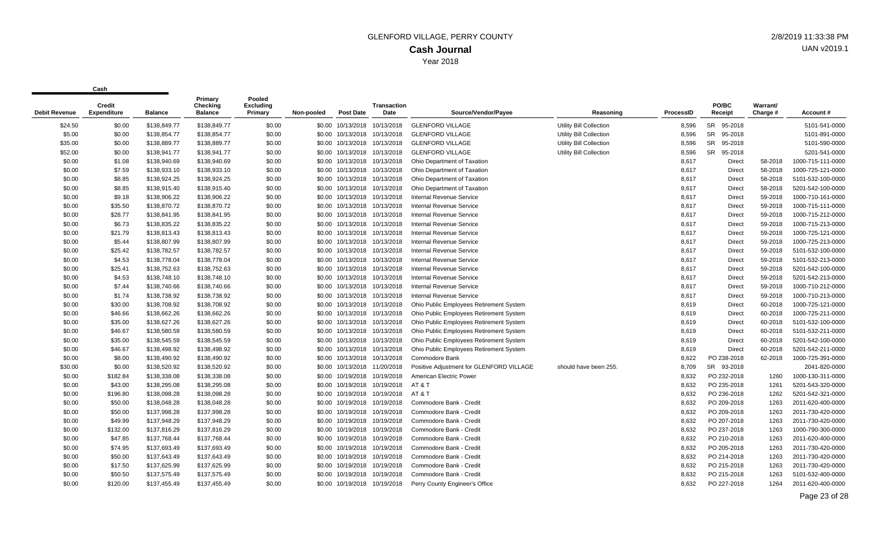| Debit Revenue | Credit<br><b>Expenditure</b> | <b>Balance</b> | Primary<br>Checking<br><b>Balance</b> | Pooled<br><b>Excluding</b><br>Primary | Non-pooled | <b>Post Date</b>             | <b>Transaction</b><br>Date   | Source/Vendor/Payee                      | Reasoning                      | ProcessID | PO/BC<br>Receipt | Warrant/<br>Charge # | Account#          |
|---------------|------------------------------|----------------|---------------------------------------|---------------------------------------|------------|------------------------------|------------------------------|------------------------------------------|--------------------------------|-----------|------------------|----------------------|-------------------|
| \$24.50       | \$0.00                       | \$138,849.77   | \$138,849.77                          | \$0.00                                |            |                              | \$0.00 10/13/2018 10/13/2018 | <b>GLENFORD VILLAGE</b>                  | <b>Utility Bill Collection</b> | 8,596     | SR 95-2018       |                      | 5101-541-0000     |
| \$5.00        | \$0.00                       | \$138,854.77   | \$138,854.77                          | \$0.00                                |            | \$0.00 10/13/2018 10/13/2018 |                              | <b>GLENFORD VILLAGE</b>                  | Utility Bill Collection        | 8,596     | SR 95-2018       |                      | 5101-891-0000     |
| \$35.00       | \$0.00                       | \$138,889.77   | \$138,889.77                          | \$0.00                                |            | \$0.00 10/13/2018 10/13/2018 |                              | <b>GLENFORD VILLAGE</b>                  | <b>Utility Bill Collection</b> | 8,596     | SR 95-2018       |                      | 5101-590-0000     |
| \$52.00       | \$0.00                       | \$138,941.77   | \$138,941.77                          | \$0.00                                |            | \$0.00 10/13/2018 10/13/2018 |                              | <b>GLENFORD VILLAGE</b>                  | <b>Utility Bill Collection</b> | 8,596     | SR 95-2018       |                      | 5201-541-0000     |
| \$0.00        | \$1.08                       | \$138,940.69   | \$138,940.69                          | \$0.00                                | \$0.00     |                              | 10/13/2018 10/13/2018        | Ohio Department of Taxation              |                                | 8,617     | Direct           | 58-2018              | 1000-715-111-0000 |
| \$0.00        | \$7.59                       | \$138,933.10   | \$138,933.10                          | \$0.00                                | \$0.00     |                              | 10/13/2018 10/13/2018        | Ohio Department of Taxation              |                                | 8,617     | <b>Direct</b>    | 58-2018              | 1000-725-121-0000 |
| \$0.00        | \$8.85                       | \$138,924.25   | \$138,924.25                          | \$0.00                                |            | \$0.00 10/13/2018 10/13/2018 |                              | Ohio Department of Taxation              |                                | 8,617     | Direct           | 58-2018              | 5101-532-100-0000 |
| \$0.00        | \$8.85                       | \$138,915.40   | \$138,915.40                          | \$0.00                                | \$0.00     |                              | 10/13/2018 10/13/2018        | Ohio Department of Taxation              |                                | 8,617     | Direct           | 58-2018              | 5201-542-100-0000 |
| \$0.00        | \$9.18                       | \$138,906.22   | \$138,906.22                          | \$0.00                                | \$0.00     |                              | 10/13/2018 10/13/2018        | <b>Internal Revenue Service</b>          |                                | 8,617     | Direct           | 59-2018              | 1000-710-161-0000 |
| \$0.00        | \$35.50                      | \$138,870.72   | \$138,870.72                          | \$0.00                                |            | \$0.00 10/13/2018 10/13/2018 |                              | <b>Internal Revenue Service</b>          |                                | 8,617     | Direct           | 59-2018              | 1000-715-111-0000 |
| \$0.00        | \$28.77                      | \$138,841.95   | \$138,841.95                          | \$0.00                                | \$0.00     |                              | 10/13/2018 10/13/2018        | <b>Internal Revenue Service</b>          |                                | 8,617     | <b>Direct</b>    | 59-2018              | 1000-715-212-0000 |
| \$0.00        | \$6.73                       | \$138,835.22   | \$138,835.22                          | \$0.00                                | \$0.00     |                              | 10/13/2018 10/13/2018        | <b>Internal Revenue Service</b>          |                                | 8,617     | Direct           | 59-2018              | 1000-715-213-0000 |
| \$0.00        | \$21.79                      | \$138,813.43   | \$138,813.43                          | \$0.00                                | \$0.00     |                              | 10/13/2018 10/13/2018        | <b>Internal Revenue Service</b>          |                                | 8,617     | Direct           | 59-2018              | 1000-725-121-0000 |
| \$0.00        | \$5.44                       | \$138,807.99   | \$138,807.99                          | \$0.00                                | \$0.00     |                              | 10/13/2018 10/13/2018        | Internal Revenue Service                 |                                | 8,617     | Direct           | 59-2018              | 1000-725-213-0000 |
| \$0.00        | \$25.42                      | \$138,782.57   | \$138,782.57                          | \$0.00                                | \$0.00     |                              | 10/13/2018 10/13/2018        | <b>Internal Revenue Service</b>          |                                | 8,617     | Direct           | 59-2018              | 5101-532-100-0000 |
| \$0.00        | \$4.53                       | \$138,778.04   | \$138,778.04                          | \$0.00                                |            | \$0.00 10/13/2018 10/13/2018 |                              | <b>Internal Revenue Service</b>          |                                | 8,617     | Direct           | 59-2018              | 5101-532-213-0000 |
| \$0.00        | \$25.41                      | \$138,752.63   | \$138,752.63                          | \$0.00                                |            | \$0.00 10/13/2018 10/13/2018 |                              | <b>Internal Revenue Service</b>          |                                | 8,617     | Direct           | 59-2018              | 5201-542-100-0000 |
| \$0.00        | \$4.53                       | \$138,748.10   | \$138,748.10                          | \$0.00                                | \$0.00     |                              | 10/13/2018 10/13/2018        | Internal Revenue Service                 |                                | 8,617     | Direct           | 59-2018              | 5201-542-213-0000 |
| \$0.00        | \$7.44                       | \$138,740.66   | \$138,740.66                          | \$0.00                                | \$0.00     |                              | 10/13/2018 10/13/2018        | Internal Revenue Service                 |                                | 8,617     | Direct           | 59-2018              | 1000-710-212-0000 |
| \$0.00        | \$1.74                       | \$138,738.92   | \$138,738.92                          | \$0.00                                | \$0.00     |                              | 10/13/2018 10/13/2018        | <b>Internal Revenue Service</b>          |                                | 8,617     | Direct           | 59-2018              | 1000-710-213-0000 |
| \$0.00        | \$30.00                      | \$138,708.92   | \$138,708.92                          | \$0.00                                | \$0.00     |                              | 10/13/2018 10/13/2018        | Ohio Public Employees Retirement System  |                                | 8,619     | <b>Direct</b>    | 60-2018              | 1000-725-121-0000 |
| \$0.00        | \$46.66                      | \$138,662.26   | \$138,662.26                          | \$0.00                                | \$0.00     |                              | 10/13/2018 10/13/2018        | Ohio Public Employees Retirement System  |                                | 8,619     | <b>Direct</b>    | 60-2018              | 1000-725-211-0000 |
| \$0.00        | \$35.00                      | \$138,627.26   | \$138,627.26                          | \$0.00                                |            | \$0.00 10/13/2018 10/13/2018 |                              | Ohio Public Employees Retirement System  |                                | 8,619     | <b>Direct</b>    | 60-2018              | 5101-532-100-0000 |
| \$0.00        | \$46.67                      | \$138,580.59   | \$138,580.59                          | \$0.00                                |            | \$0.00 10/13/2018 10/13/2018 |                              | Ohio Public Employees Retirement System  |                                | 8,619     | <b>Direct</b>    | 60-2018              | 5101-532-211-0000 |
| \$0.00        | \$35.00                      | \$138,545.59   | \$138,545.59                          | \$0.00                                | \$0.00     |                              | 10/13/2018 10/13/2018        | Ohio Public Employees Retirement System  |                                | 8,619     | <b>Direct</b>    | 60-2018              | 5201-542-100-0000 |
| \$0.00        | \$46.67                      | \$138,498.92   | \$138,498.92                          | \$0.00                                |            | \$0.00 10/13/2018 10/13/2018 |                              | Ohio Public Employees Retirement System  |                                | 8,619     | <b>Direct</b>    | 60-2018              | 5201-542-211-0000 |
| \$0.00        | \$8.00                       | \$138,490.92   | \$138,490.92                          | \$0.00                                |            | \$0.00 10/13/2018 10/13/2018 |                              | Commodore Bank                           |                                | 8,622     | PO 238-2018      | 62-2018              | 1000-725-391-0000 |
| \$30.00       | \$0.00                       | \$138,520.92   | \$138,520.92                          | \$0.00                                | \$0.00     |                              | 10/13/2018 11/20/2018        | Positive Adjustment for GLENFORD VILLAGE | should have been 255.          | 8,709     | SR 93-2018       |                      | 2041-820-0000     |
| \$0.00        | \$182.84                     | \$138,338.08   | \$138,338.08                          | \$0.00                                | \$0.00     |                              | 10/19/2018 10/19/2018        | American Electric Power                  |                                | 8,632     | PO 232-2018      | 1260                 | 1000-130-311-0000 |
| \$0.00        | \$43.00                      | \$138,295.08   | \$138,295.08                          | \$0.00                                |            |                              | \$0.00 10/19/2018 10/19/2018 | AT & T                                   |                                | 8,632     | PO 235-2018      | 1261                 | 5201-543-320-0000 |
| \$0.00        | \$196.80                     | \$138,098.28   | \$138,098.28                          | \$0.00                                | \$0.00     |                              | 10/19/2018 10/19/2018        | AT & T                                   |                                | 8,632     | PO 236-2018      | 1262                 | 5201-542-321-0000 |
| \$0.00        | \$50.00                      | \$138,048.28   | \$138,048.28                          | \$0.00                                | \$0.00     |                              | 10/19/2018 10/19/2018        | Commodore Bank - Credit                  |                                | 8,632     | PO 209-2018      | 1263                 | 2011-620-400-0000 |
| \$0.00        | \$50.00                      | \$137,998.28   | \$137,998.28                          | \$0.00                                | \$0.00     |                              | 10/19/2018 10/19/2018        | Commodore Bank - Credit                  |                                | 8,632     | PO 209-2018      | 1263                 | 2011-730-420-0000 |
| \$0.00        | \$49.99                      | \$137,948.29   | \$137,948.29                          | \$0.00                                |            | \$0.00 10/19/2018 10/19/2018 |                              | Commodore Bank - Credit                  |                                | 8,632     | PO 207-2018      | 1263                 | 2011-730-420-0000 |
| \$0.00        | \$132.00                     | \$137,816.29   | \$137,816.29                          | \$0.00                                | \$0.00     |                              | 10/19/2018 10/19/2018        | Commodore Bank - Credit                  |                                | 8,632     | PO 237-2018      | 1263                 | 1000-790-300-0000 |
| \$0.00        | \$47.85                      | \$137,768.44   | \$137,768.44                          | \$0.00                                |            | \$0.00 10/19/2018 10/19/2018 |                              | Commodore Bank - Credit                  |                                | 8.632     | PO 210-2018      | 1263                 | 2011-620-400-0000 |
| \$0.00        | \$74.95                      | \$137,693.49   | \$137,693.49                          | \$0.00                                |            | \$0.00 10/19/2018 10/19/2018 |                              | Commodore Bank - Credit                  |                                | 8,632     | PO 205-2018      | 1263                 | 2011-730-420-0000 |
| \$0.00        | \$50.00                      | \$137,643.49   | \$137,643.49                          | \$0.00                                | \$0.00     |                              | 10/19/2018 10/19/2018        | Commodore Bank - Credit                  |                                | 8,632     | PO 214-2018      | 1263                 | 2011-730-420-0000 |
| \$0.00        | \$17.50                      | \$137,625.99   | \$137,625.99                          | \$0.00                                | \$0.00     |                              | 10/19/2018 10/19/2018        | Commodore Bank - Credit                  |                                | 8,632     | PO 215-2018      | 1263                 | 2011-730-420-0000 |
| \$0.00        | \$50.50                      | \$137,575.49   | \$137,575.49                          | \$0.00                                | \$0.00     |                              | 10/19/2018 10/19/2018        | Commodore Bank - Credit                  |                                | 8,632     | PO 215-2018      | 1263                 | 5101-532-400-0000 |
| \$0.00        | \$120.00                     | \$137.455.49   | \$137,455,49                          | \$0.00                                |            | \$0.00 10/19/2018 10/19/2018 |                              | Perry County Engineer's Office           |                                | 8.632     | PO 227-2018      | 1264                 | 2011-620-400-0000 |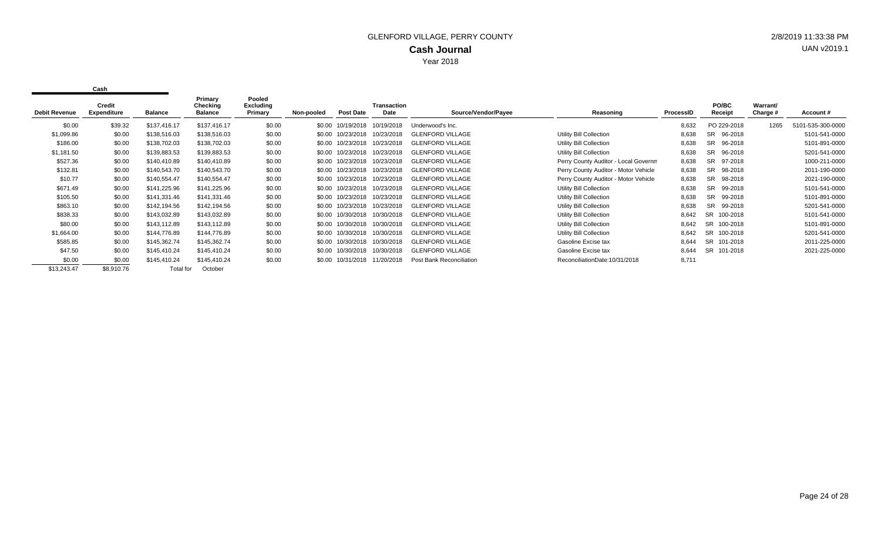| <b>Debit Revenue</b> | Credit<br><b>Expenditure</b> | Balance      | Primary<br>Checking<br><b>Balance</b> | Pooled<br>Excluding<br>Primary | Non-pooled | <b>Post Date</b>  | <b>Transaction</b><br>Date | Source/Vendor/Payee      | Reasoning                            | ProcessID | <b>PO/BC</b><br>Receipt | Warrant/<br>Charge # | Account#          |
|----------------------|------------------------------|--------------|---------------------------------------|--------------------------------|------------|-------------------|----------------------------|--------------------------|--------------------------------------|-----------|-------------------------|----------------------|-------------------|
| \$0.00               | \$39.32                      | \$137,416.17 | \$137,416.17                          | \$0.00                         | \$0.00     | 10/19/2018        | 10/19/2018                 | Underwood's Inc.         |                                      | 8,632     | PO 229-2018             | 1265                 | 5101-535-300-0000 |
| \$1,099.86           | \$0.00                       | \$138,516.03 | \$138,516.03                          | \$0.00                         |            | \$0.00 10/23/2018 | 0/23/2018                  | <b>GLENFORD VILLAGE</b>  | Utility Bill Collection              | 8,638     | <b>SR</b><br>96-2018    |                      | 5101-541-0000     |
| \$186.00             | \$0.00                       | \$138,702.03 | \$138,702.03                          | \$0.00                         |            | \$0.00 10/23/2018 | 10/23/2018                 | <b>GLENFORD VILLAGE</b>  | Utility Bill Collection              | 8,638     | <b>SR</b><br>96-2018    |                      | 5101-891-0000     |
| \$1,181.50           | \$0.00                       | \$139,883.53 | \$139,883.53                          | \$0.00                         |            | \$0.00 10/23/2018 | 10/23/2018                 | <b>GLENFORD VILLAGE</b>  | Utility Bill Collection              | 8,638     | 96-2018<br><b>SR</b>    |                      | 5201-541-0000     |
| \$527.36             | \$0.00                       | \$140,410.89 | \$140,410.89                          | \$0.00                         |            | \$0.00 10/23/2018 | 10/23/2018                 | <b>GLENFORD VILLAGE</b>  | Perry County Auditor - Local Governm | 8,638     | <b>SR</b><br>97-2018    |                      | 1000-211-0000     |
| \$132.81             | \$0.00                       | \$140,543.70 | \$140,543.70                          | \$0.00                         |            | \$0.00 10/23/2018 | 10/23/2018                 | <b>GLENFORD VILLAGE</b>  | Perry County Auditor - Motor Vehicle | 8,638     | SR<br>98-2018           |                      | 2011-190-0000     |
| \$10.77              | \$0.00                       | \$140,554.47 | \$140,554.47                          | \$0.00                         | \$0.00     | 10/23/2018        | 10/23/2018                 | <b>GLENFORD VILLAGE</b>  | Perry County Auditor - Motor Vehicle | 8,638     | <b>SR</b><br>98-2018    |                      | 2021-190-0000     |
| \$671.49             | \$0.00                       | \$141,225.96 | \$141,225.96                          | \$0.00                         | \$0.00     | 10/23/2018        | 10/23/2018                 | <b>GLENFORD VILLAGE</b>  | Utility Bill Collection              | 8,638     | SR.<br>99-2018          |                      | 5101-541-0000     |
| \$105.50             | \$0.00                       | \$141,331.46 | \$141,331.46                          | \$0.00                         | \$0.00     | 10/23/2018        | 10/23/2018                 | <b>GLENFORD VILLAGE</b>  | Utility Bill Collection              | 8,638     | <b>SR</b><br>99-2018    |                      | 5101-891-0000     |
| \$863.10             | \$0.00                       | \$142,194.56 | \$142,194.56                          | \$0.00                         | \$0.00     | 10/23/2018        | 0/23/2018                  | <b>GLENFORD VILLAGE</b>  | Utility Bill Collection              | 8,638     | <b>SR</b><br>99-2018    |                      | 5201-541-0000     |
| \$838.33             | \$0.00                       | \$143,032.89 | \$143,032.89                          | \$0.00                         |            | \$0.00 10/30/2018 | 10/30/2018                 | <b>GLENFORD VILLAGE</b>  | Utility Bill Collection              | 8,642     | SR.<br>100-2018         |                      | 5101-541-0000     |
| \$80.00              | \$0.00                       | \$143,112.89 | \$143,112.89                          | \$0.00                         |            | \$0.00 10/30/2018 | 10/30/2018                 | <b>GLENFORD VILLAGE</b>  | Utility Bill Collection              | 8,642     | 100-2018<br>SR.         |                      | 5101-891-0000     |
| \$1,664.00           | \$0.00                       | \$144,776.89 | \$144,776.89                          | \$0.00                         |            | \$0.00 10/30/2018 | 10/30/2018                 | <b>GLENFORD VILLAGE</b>  | Utility Bill Collection              | 8,642     | <b>SR</b><br>100-2018   |                      | 5201-541-0000     |
| \$585.85             | \$0.00                       | \$145,362.74 | \$145,362.74                          | \$0.00                         |            | \$0.00 10/30/2018 | 10/30/2018                 | <b>GLENFORD VILLAGE</b>  | Gasoline Excise tax                  | 8,644     | SR 101-2018             |                      | 2011-225-0000     |
| \$47.50              | \$0.00                       | \$145,410.24 | \$145,410.24                          | \$0.00                         |            | \$0.00 10/30/2018 | 10/30/2018                 | <b>GLENFORD VILLAGE</b>  | Gasoline Excise tax                  | 8,644     | SR 101-2018             |                      | 2021-225-0000     |
| \$0.00               | \$0.00                       | \$145,410.24 | \$145,410.24                          | \$0.00                         | \$0.00     | 10/31/2018        | 11/20/2018                 | Post Bank Reconciliation | ReconciliationDate:10/31/2018        | 8,711     |                         |                      |                   |
| \$13,243.47          | \$8,910.76                   | Total for    | October                               |                                |            |                   |                            |                          |                                      |           |                         |                      |                   |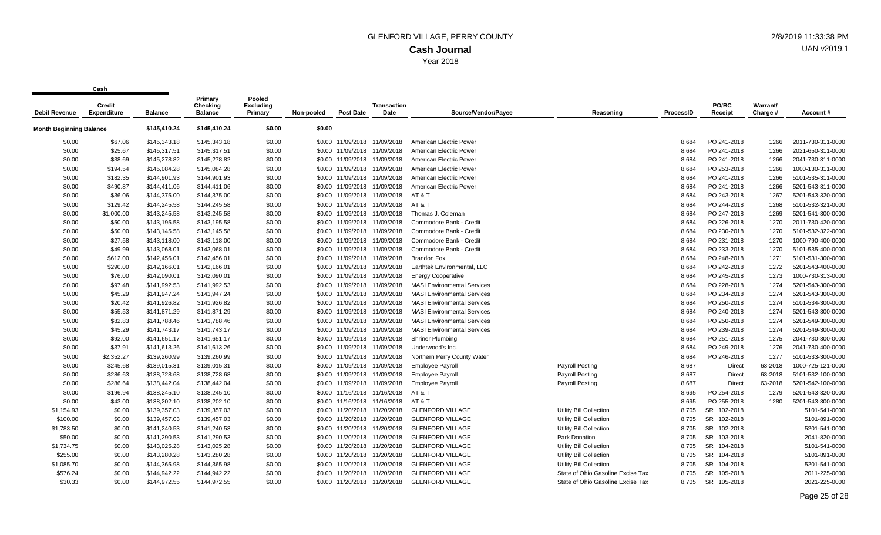| <b>Debit Revenue</b>    | <b>Credit</b><br><b>Expenditure</b> | <b>Balance</b> | Primary<br>Checking<br><b>Balance</b> | Pooled<br>Excluding<br>Primary | Non-pooled | <b>Post Date</b>             | <b>Transaction</b><br>Date   | Source/Vendor/Payee                | Reasoning                         | <b>ProcessID</b> | PO/BC<br>Receipt | Warrant/<br>Charge # | Account#          |
|-------------------------|-------------------------------------|----------------|---------------------------------------|--------------------------------|------------|------------------------------|------------------------------|------------------------------------|-----------------------------------|------------------|------------------|----------------------|-------------------|
| Month Beginning Balance |                                     | \$145,410.24   | \$145,410.24                          | \$0.00                         | \$0.00     |                              |                              |                                    |                                   |                  |                  |                      |                   |
|                         |                                     |                |                                       |                                |            |                              |                              |                                    |                                   |                  |                  |                      |                   |
| \$0.00                  | \$67.06                             | \$145,343.18   | \$145,343.18                          | \$0.00                         |            | \$0.00 11/09/2018            | 11/09/2018                   | American Electric Power            |                                   | 8,684            | PO 241-2018      | 1266                 | 2011-730-311-0000 |
| \$0.00                  | \$25.67                             | \$145,317.51   | \$145,317.51                          | \$0.00                         | \$0.00     | 11/09/2018                   | 11/09/2018                   | American Electric Power            |                                   | 8,684            | PO 241-2018      | 1266                 | 2021-650-311-0000 |
| \$0.00                  | \$38.69                             | \$145,278.82   | \$145,278.82                          | \$0.00                         |            | \$0.00 11/09/2018 11/09/2018 |                              | American Electric Power            |                                   | 8,684            | PO 241-2018      | 1266                 | 2041-730-311-0000 |
| \$0.00                  | \$194.54                            | \$145,084.28   | \$145,084.28                          | \$0.00                         |            | \$0.00 11/09/2018 11/09/2018 |                              | American Electric Power            |                                   | 8,684            | PO 253-2018      | 1266                 | 1000-130-311-0000 |
| \$0.00                  | \$182.35                            | \$144,901.93   | \$144,901.93                          | \$0.00                         | \$0.00     | 11/09/2018                   | 11/09/2018                   | American Electric Power            |                                   | 8,684            | PO 241-2018      | 1266                 | 5101-535-311-0000 |
| \$0.00                  | \$490.87                            | \$144,411.06   | \$144,411.06                          | \$0.00                         |            | \$0.00 11/09/2018 11/09/2018 |                              | American Electric Power            |                                   | 8,684            | PO 241-2018      | 1266                 | 5201-543-311-0000 |
| \$0.00                  | \$36.06                             | \$144,375.00   | \$144,375.00                          | \$0.00                         |            |                              | \$0.00 11/09/2018 11/09/2018 | AT & T                             |                                   | 8,684            | PO 243-2018      | 1267                 | 5201-543-320-0000 |
| \$0.00                  | \$129.42                            | \$144,245.58   | \$144,245.58                          | \$0.00                         |            | \$0.00 11/09/2018 11/09/2018 |                              | AT & T                             |                                   | 8,684            | PO 244-2018      | 1268                 | 5101-532-321-0000 |
| \$0.00                  | \$1,000.00                          | \$143,245.58   | \$143,245.58                          | \$0.00                         |            | \$0.00 11/09/2018            | 11/09/2018                   | Thomas J. Coleman                  |                                   | 8,684            | PO 247-2018      | 1269                 | 5201-541-300-0000 |
| \$0.00                  | \$50.00                             | \$143,195.58   | \$143,195.58                          | \$0.00                         |            | \$0.00 11/09/2018 11/09/2018 |                              | Commodore Bank - Credit            |                                   | 8,684            | PO 226-2018      | 1270                 | 2011-730-420-0000 |
| \$0.00                  | \$50.00                             | \$143,145.58   | \$143,145.58                          | \$0.00                         |            | \$0.00 11/09/2018 11/09/2018 |                              | Commodore Bank - Credit            |                                   | 8,684            | PO 230-2018      | 1270                 | 5101-532-322-0000 |
| \$0.00                  | \$27.58                             | \$143,118.00   | \$143,118.00                          | \$0.00                         | \$0.00     | 11/09/2018                   | 11/09/2018                   | Commodore Bank - Credit            |                                   | 8,684            | PO 231-2018      | 1270                 | 1000-790-400-0000 |
| \$0.00                  | \$49.99                             | \$143,068.01   | \$143,068.01                          | \$0.00                         |            | \$0.00 11/09/2018 11/09/2018 |                              | Commodore Bank - Credit            |                                   | 8,684            | PO 233-2018      | 1270                 | 5101-535-400-0000 |
| \$0.00                  | \$612.00                            | \$142,456.01   | \$142,456.01                          | \$0.00                         |            | \$0.00 11/09/2018 11/09/2018 |                              | <b>Brandon Fox</b>                 |                                   | 8,684            | PO 248-2018      | 1271                 | 5101-531-300-0000 |
| \$0.00                  | \$290.00                            | \$142,166.01   | \$142,166.01                          | \$0.00                         |            | \$0.00 11/09/2018 11/09/2018 |                              | Earthtek Environmental, LLC        |                                   | 8,684            | PO 242-2018      | 1272                 | 5201-543-400-0000 |
| \$0.00                  | \$76.00                             | \$142,090.01   | \$142,090.01                          | \$0.00                         |            | \$0.00 11/09/2018            | 11/09/2018                   | <b>Energy Cooperative</b>          |                                   | 8,684            | PO 245-2018      | 1273                 | 1000-730-313-0000 |
| \$0.00                  | \$97.48                             | \$141,992.53   | \$141,992.53                          | \$0.00                         |            | \$0.00 11/09/2018 11/09/2018 |                              | <b>MASI Environmental Services</b> |                                   | 8,684            | PO 228-2018      | 1274                 | 5201-543-300-0000 |
| \$0.00                  | \$45.29                             | \$141,947.24   | \$141,947.24                          | \$0.00                         |            | \$0.00 11/09/2018 11/09/2018 |                              | <b>MASI Environmental Services</b> |                                   | 8,684            | PO 234-2018      | 1274                 | 5201-543-300-0000 |
| \$0.00                  | \$20.42                             | \$141,926.82   | \$141,926.82                          | \$0.00                         | \$0.00     | 11/09/2018 11/09/2018        |                              | <b>MASI Environmental Services</b> |                                   | 8,684            | PO 250-2018      | 1274                 | 5101-534-300-0000 |
| \$0.00                  | \$55.53                             | \$141,871.29   | \$141,871.29                          | \$0.00                         |            | \$0.00 11/09/2018 11/09/2018 |                              | <b>MASI Environmental Services</b> |                                   | 8,684            | PO 240-2018      | 1274                 | 5201-543-300-0000 |
| \$0.00                  | \$82.83                             | \$141,788.46   | \$141,788.46                          | \$0.00                         |            | \$0.00 11/09/2018 11/09/2018 |                              | <b>MASI Environmental Services</b> |                                   | 8,684            | PO 250-2018      | 1274                 | 5201-549-300-0000 |
| \$0.00                  | \$45.29                             | \$141,743.17   | \$141,743.17                          | \$0.00                         | \$0.00     | 11/09/2018                   | 11/09/2018                   | <b>MASI Environmental Services</b> |                                   | 8,684            | PO 239-2018      | 1274                 | 5201-549-300-0000 |
| \$0.00                  | \$92.00                             | \$141,651.17   | \$141,651.17                          | \$0.00                         |            | \$0.00 11/09/2018 11/09/2018 |                              | <b>Shriner Plumbing</b>            |                                   | 8,684            | PO 251-2018      | 1275                 | 2041-730-300-0000 |
| \$0.00                  | \$37.91                             | \$141,613.26   | \$141,613.26                          | \$0.00                         |            | \$0.00 11/09/2018 11/09/2018 |                              | Underwood's Inc.                   |                                   | 8,684            | PO 249-2018      | 1276                 | 2041-730-400-0000 |
| \$0.00                  | \$2,352.27                          | \$139,260.99   | \$139,260.99                          | \$0.00                         |            | \$0.00 11/09/2018 11/09/2018 |                              | Northern Perry County Water        |                                   | 8,684            | PO 246-2018      | 1277                 | 5101-533-300-0000 |
| \$0.00                  | \$245.68                            | \$139,015.31   | \$139,015.31                          | \$0.00                         | \$0.00     | 11/09/2018 11/09/2018        |                              | <b>Employee Payroll</b>            | <b>Payroll Posting</b>            | 8,687            | Direct           | 63-2018              | 1000-725-121-0000 |
| \$0.00                  | \$286.63                            | \$138,728.68   | \$138,728.68                          | \$0.00                         |            | \$0.00 11/09/2018 11/09/2018 |                              | <b>Employee Payroll</b>            | <b>Payroll Posting</b>            | 8,687            | <b>Direct</b>    | 63-2018              | 5101-532-100-0000 |
| \$0.00                  | \$286.64                            | \$138,442.04   | \$138,442.04                          | \$0.00                         |            | \$0.00 11/09/2018 11/09/2018 |                              | <b>Employee Payroll</b>            | Payroll Posting                   | 8,687            | <b>Direct</b>    | 63-2018              | 5201-542-100-0000 |
| \$0.00                  | \$196.94                            | \$138,245.10   | \$138,245.10                          | \$0.00                         | \$0.00     | 11/16/2018                   | 11/16/2018                   | AT&T                               |                                   | 8,695            | PO 254-2018      | 1279                 | 5201-543-320-0000 |
| \$0.00                  | \$43.00                             | \$138,202.10   | \$138,202.10                          | \$0.00                         |            | \$0.00 11/16/2018 11/16/2018 |                              | AT&T                               |                                   | 8.695            | PO 255-2018      | 1280                 | 5201-543-300-0000 |
| \$1,154.93              | \$0.00                              | \$139,357.03   | \$139,357.03                          | \$0.00                         |            | \$0.00 11/20/2018 11/20/2018 |                              | <b>GLENFORD VILLAGE</b>            | Utility Bill Collection           | 8,705            | SR 102-2018      |                      | 5101-541-0000     |
| \$100.00                | \$0.00                              | \$139,457.03   | \$139,457.03                          | \$0.00                         |            | \$0.00 11/20/2018            | 11/20/2018                   | <b>GLENFORD VILLAGE</b>            | Utility Bill Collection           | 8,705            | SR 102-2018      |                      | 5101-891-0000     |
| \$1,783.50              | \$0.00                              | \$141,240.53   | \$141,240.53                          | \$0.00                         |            | \$0.00 11/20/2018            | 11/20/2018                   | <b>GLENFORD VILLAGE</b>            | <b>Utility Bill Collection</b>    | 8,705            | SR 102-2018      |                      | 5201-541-0000     |
| \$50.00                 | \$0.00                              | \$141,290.53   | \$141,290.53                          | \$0.00                         |            | \$0.00 11/20/2018 11/20/2018 |                              | <b>GLENFORD VILLAGE</b>            | <b>Park Donation</b>              | 8,705            | SR 103-2018      |                      | 2041-820-0000     |
| \$1,734.75              | \$0.00                              | \$143,025.28   | \$143,025.28                          | \$0.00                         |            | \$0.00 11/20/2018 11/20/2018 |                              | <b>GLENFORD VILLAGE</b>            | Utility Bill Collection           | 8,705            | SR 104-2018      |                      | 5101-541-0000     |
| \$255.00                | \$0.00                              | \$143,280.28   | \$143,280.28                          | \$0.00                         | \$0.00     | 11/20/2018                   | 11/20/2018                   | <b>GLENFORD VILLAGE</b>            | Utility Bill Collection           | 8.705            | SR 104-2018      |                      | 5101-891-0000     |
| \$1,085.70              | \$0.00                              | \$144,365.98   | \$144,365.98                          | \$0.00                         |            | \$0.00 11/20/2018 11/20/2018 |                              | <b>GLENFORD VILLAGE</b>            | Utility Bill Collection           | 8,705            | SR 104-2018      |                      | 5201-541-0000     |
| \$576.24                | \$0.00                              | \$144,942.22   | \$144,942.22                          | \$0.00                         |            | \$0.00 11/20/2018            | 11/20/2018                   | <b>GLENFORD VILLAGE</b>            | State of Ohio Gasoline Excise Tax | 8,705            | SR 105-2018      |                      | 2011-225-0000     |
| \$30.33                 | \$0.00                              | \$144,972.55   | \$144,972.55                          | \$0.00                         |            | \$0.00 11/20/2018            | 11/20/2018                   | <b>GLENFORD VILLAGE</b>            | State of Ohio Gasoline Excise Tax | 8.705            | SR 105-2018      |                      | 2021-225-0000     |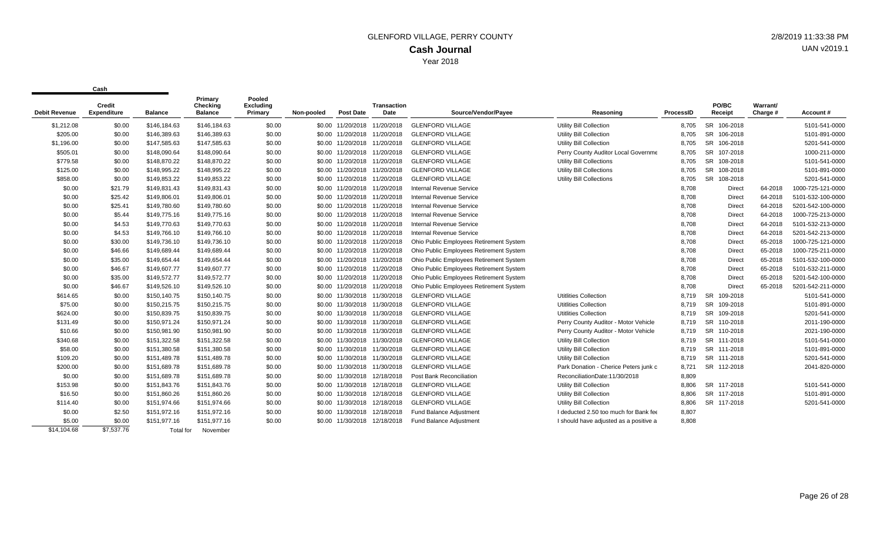|                      | Credit             |                | Primary<br>Checking | Pooled<br><b>Excluding</b> |            |                              | <b>Transaction</b> |                                         |                                        |           | PO/BC                 | Warrant/ |                   |
|----------------------|--------------------|----------------|---------------------|----------------------------|------------|------------------------------|--------------------|-----------------------------------------|----------------------------------------|-----------|-----------------------|----------|-------------------|
| <b>Debit Revenue</b> | <b>Expenditure</b> | <b>Balance</b> | <b>Balance</b>      | Primary                    | Non-pooled | <b>Post Date</b>             | Date               | Source/Vendor/Payee                     | Reasoning                              | ProcessID | Receipt               | Charge # | Account#          |
| \$1,212.08           | \$0.00             | \$146,184.63   | \$146,184.63        | \$0.00                     |            | \$0.00 11/20/2018 11/20/2018 |                    | <b>GLENFORD VILLAGE</b>                 | <b>Utility Bill Collection</b>         | 8,705     | <b>SR</b><br>106-2018 |          | 5101-541-0000     |
| \$205.00             | \$0.00             | \$146,389.63   | \$146,389.63        | \$0.00                     |            | \$0.00 11/20/2018 11/20/2018 |                    | <b>GLENFORD VILLAGE</b>                 | Utility Bill Collection                | 8,705     | <b>SR</b><br>106-2018 |          | 5101-891-0000     |
| \$1,196.00           | \$0.00             | \$147,585.63   | \$147,585.63        | \$0.00                     |            | \$0.00 11/20/2018 11/20/2018 |                    | <b>GLENFORD VILLAGE</b>                 | Utility Bill Collection                | 8,705     | <b>SR</b><br>106-2018 |          | 5201-541-0000     |
| \$505.01             | \$0.00             | \$148,090.64   | \$148,090.64        | \$0.00                     |            | \$0.00 11/20/2018 11/20/2018 |                    | <b>GLENFORD VILLAGE</b>                 | Perry County Auditor Local Governme    | 8,705     | <b>SR</b><br>107-2018 |          | 1000-211-0000     |
| \$779.58             | \$0.00             | \$148,870.22   | \$148,870.22        | \$0.00                     |            | \$0.00 11/20/2018 11/20/2018 |                    | <b>GLENFORD VILLAGE</b>                 | Utility Bill Collections               | 8.705     | <b>SR</b><br>108-2018 |          | 5101-541-0000     |
| \$125.00             | \$0.00             | \$148,995.22   | \$148,995.22        | \$0.00                     |            | \$0.00 11/20/2018 11/20/2018 |                    | <b>GLENFORD VILLAGE</b>                 | <b>Utility Bill Collections</b>        | 8,705     | <b>SR</b><br>108-2018 |          | 5101-891-0000     |
| \$858.00             | \$0.00             | \$149,853.22   | \$149,853.22        | \$0.00                     |            | \$0.00 11/20/2018 11/20/2018 |                    | <b>GLENFORD VILLAGE</b>                 | <b>Utility Bill Collections</b>        | 8.705     | <b>SR</b><br>108-2018 |          | 5201-541-0000     |
| \$0.00               | \$21.79            | \$149,831.43   | \$149,831.43        | \$0.00                     |            | \$0.00 11/20/2018 11/20/2018 |                    | Internal Revenue Service                |                                        | 8.708     | Direct                | 64-2018  | 1000-725-121-0000 |
| \$0.00               | \$25.42            | \$149,806.01   | \$149,806.01        | \$0.00                     |            | \$0.00 11/20/2018 11/20/2018 |                    | Internal Revenue Service                |                                        | 8.708     | Direct                | 64-2018  | 5101-532-100-0000 |
| \$0.00               | \$25.41            | \$149,780.60   | \$149,780.60        | \$0.00                     |            | \$0.00 11/20/2018 11/20/2018 |                    | Internal Revenue Service                |                                        | 8,708     | Direct                | 64-2018  | 5201-542-100-0000 |
| \$0.00               | \$5.44             | \$149,775.16   | \$149,775.16        | \$0.00                     |            | \$0.00 11/20/2018 11/20/2018 |                    | Internal Revenue Service                |                                        | 8,708     | <b>Direct</b>         | 64-2018  | 1000-725-213-0000 |
| \$0.00               | \$4.53             | \$149,770.63   | \$149,770.63        | \$0.00                     |            | \$0.00 11/20/2018 11/20/2018 |                    | <b>Internal Revenue Service</b>         |                                        | 8,708     | <b>Direct</b>         | 64-2018  | 5101-532-213-0000 |
| \$0.00               | \$4.53             | \$149,766.10   | \$149,766.10        | \$0.00                     |            | \$0.00 11/20/2018 11/20/2018 |                    | Internal Revenue Service                |                                        | 8,708     | Direct                | 64-2018  | 5201-542-213-0000 |
| \$0.00               | \$30.00            | \$149.736.10   | \$149,736.10        | \$0.00                     |            | \$0.00 11/20/2018 11/20/2018 |                    | Ohio Public Employees Retirement System |                                        | 8,708     | Direct                | 65-2018  | 1000-725-121-0000 |
| \$0.00               | \$46.66            | \$149,689.44   | \$149,689.44        | \$0.00                     |            | \$0.00 11/20/2018 11/20/2018 |                    | Ohio Public Employees Retirement System |                                        | 8,708     | <b>Direct</b>         | 65-2018  | 1000-725-211-0000 |
| \$0.00               | \$35.00            | \$149,654.44   | \$149,654.44        | \$0.00                     |            | \$0.00 11/20/2018 11/20/2018 |                    | Ohio Public Employees Retirement System |                                        | 8,708     | Direct                | 65-2018  | 5101-532-100-0000 |
| \$0.00               | \$46.67            | \$149,607.77   | \$149,607.77        | \$0.00                     |            | \$0.00 11/20/2018 11/20/2018 |                    | Ohio Public Employees Retirement System |                                        | 8,708     | Direct                | 65-2018  | 5101-532-211-0000 |
| \$0.00               | \$35.00            | \$149,572.77   | \$149,572.77        | \$0.00                     |            | \$0.00 11/20/2018 11/20/2018 |                    | Ohio Public Employees Retirement System |                                        | 8,708     | Direct                | 65-2018  | 5201-542-100-0000 |
| \$0.00               | \$46.67            | \$149,526.10   | \$149,526.10        | \$0.00                     |            | \$0.00 11/20/2018 11/20/2018 |                    | Ohio Public Employees Retirement System |                                        | 8,708     | Direct                | 65-2018  | 5201-542-211-0000 |
| \$614.65             | \$0.00             | \$150,140.75   | \$150,140.75        | \$0.00                     |            | \$0.00 11/30/2018            | 11/30/2018         | <b>GLENFORD VILLAGE</b>                 | <b>Utitlities Collection</b>           | 8,719     | 109-2018<br>SR        |          | 5101-541-0000     |
| \$75.00              | \$0.00             | \$150,215.75   | \$150,215.75        | \$0.00                     |            | \$0.00 11/30/2018            | 11/30/2018         | <b>GLENFORD VILLAGE</b>                 | <b>Utitlities Collection</b>           | 8,719     | <b>SR</b><br>109-2018 |          | 5101-891-0000     |
| \$624.00             | \$0.00             | \$150,839.75   | \$150,839.75        | \$0.00                     |            | \$0.00 11/30/2018            | 11/30/2018         | <b>GLENFORD VILLAGE</b>                 | <b>Utitlities Collection</b>           | 8,719     | <b>SR</b><br>109-2018 |          | 5201-541-0000     |
| \$131.49             | \$0.00             | \$150,971.24   | \$150,971.24        | \$0.00                     |            | \$0.00 11/30/2018            | 11/30/2018         | <b>GLENFORD VILLAGE</b>                 | Perry County Auditor - Motor Vehicle   | 8,719     | <b>SR</b><br>110-2018 |          | 2011-190-0000     |
| \$10.66              | \$0.00             | \$150,981.90   | \$150,981.90        | \$0.00                     |            | \$0.00 11/30/2018 11/30/2018 |                    | <b>GLENFORD VILLAGE</b>                 | Perry County Auditor - Motor Vehicle   | 8,719     | <b>SR</b><br>110-2018 |          | 2021-190-0000     |
| \$340.68             | \$0.00             | \$151,322.58   | \$151,322.58        | \$0.00                     |            | \$0.00 11/30/2018 11/30/2018 |                    | <b>GLENFORD VILLAGE</b>                 | Utility Bill Collection                | 8,719     | <b>SR</b><br>111-2018 |          | 5101-541-0000     |
| \$58.00              | \$0.00             | \$151,380.58   | \$151,380.58        | \$0.00                     |            | \$0.00 11/30/2018 11/30/2018 |                    | <b>GLENFORD VILLAGE</b>                 | Utility Bill Collection                | 8,719     | <b>SR</b><br>111-2018 |          | 5101-891-0000     |
| \$109.20             | \$0.00             | \$151,489.78   | \$151,489.78        | \$0.00                     |            | \$0.00 11/30/2018            | 11/30/2018         | <b>GLENFORD VILLAGE</b>                 | Utility Bill Collection                | 8,719     | <b>SR</b><br>111-2018 |          | 5201-541-0000     |
| \$200.00             | \$0.00             | \$151,689.78   | \$151,689.78        | \$0.00                     |            | \$0.00 11/30/2018            | 11/30/2018         | <b>GLENFORD VILLAGE</b>                 | Park Donation - Cherice Peters junk c  | 8,721     | SR 112-2018           |          | 2041-820-0000     |
| \$0.00               | \$0.00             | \$151,689.78   | \$151,689.78        | \$0.00                     |            | \$0.00 11/30/2018            | 12/18/2018         | Post Bank Reconciliation                | ReconciliationDate:11/30/2018          | 8,809     |                       |          |                   |
| \$153.98             | \$0.00             | \$151,843.76   | \$151,843.76        | \$0.00                     |            | \$0.00 11/30/2018            | 12/18/2018         | <b>GLENFORD VILLAGE</b>                 | Utility Bill Collection                | 8,806     | SR 117-2018           |          | 5101-541-0000     |
| \$16.50              | \$0.00             | \$151,860.26   | \$151,860.26        | \$0.00                     |            | \$0.00 11/30/2018            | 12/18/2018         | <b>GLENFORD VILLAGE</b>                 | Utility Bill Collection                | 8,806     | SR 117-2018           |          | 5101-891-0000     |
| \$114.40             | \$0.00             | \$151,974.66   | \$151,974.66        | \$0.00                     |            | \$0.00 11/30/2018            | 12/18/2018         | <b>GLENFORD VILLAGE</b>                 | Utility Bill Collection                | 8,806     | SR 117-2018           |          | 5201-541-0000     |
| \$0.00               | \$2.50             | \$151,972.16   | \$151,972.16        | \$0.00                     | \$0.00     | 11/30/2018                   | 12/18/2018         | <b>Fund Balance Adjustment</b>          | I deducted 2.50 too much for Bank fee  | 8,807     |                       |          |                   |
| \$5.00               | \$0.00             | \$151,977.16   | \$151,977.16        | \$0.00                     |            | \$0.00 11/30/2018            | 12/18/2018         | <b>Fund Balance Adjustment</b>          | I should have adjusted as a positive a | 8.808     |                       |          |                   |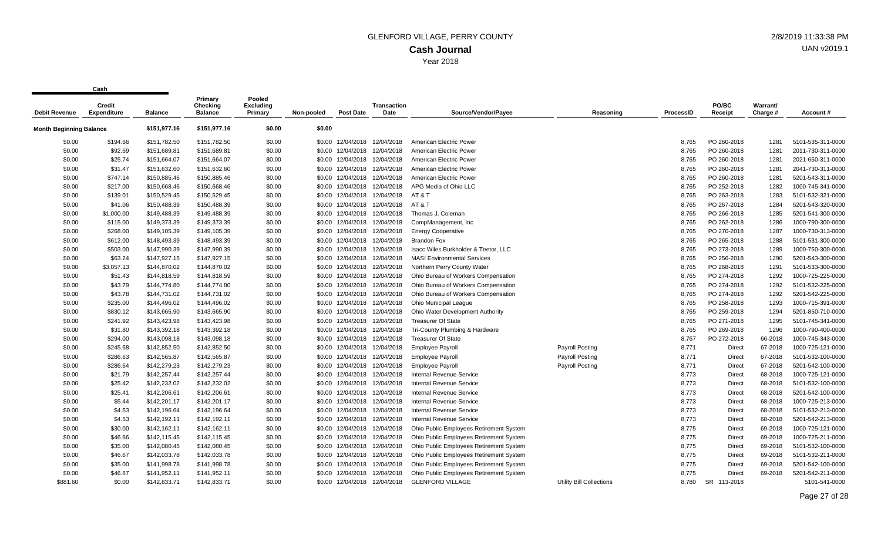**Cash**

 $\mathbf{r}$ 

| Debit Revenue                           | <b>Credit</b><br><b>Expenditure</b> | <b>Balance</b> | Primary<br>Checking<br><b>Balance</b> | Pooled<br><b>Excluding</b><br>Primary | Non-pooled | <b>Post Date</b>             | <b>Transaction</b><br>Date   | Source/Vendor/Payee                     | Reasoning                | <b>ProcessID</b> | PO/BC<br>Receipt | Warrant/<br>Charge # | Account#          |
|-----------------------------------------|-------------------------------------|----------------|---------------------------------------|---------------------------------------|------------|------------------------------|------------------------------|-----------------------------------------|--------------------------|------------------|------------------|----------------------|-------------------|
| \$151,977.16<br>Month Beginning Balance |                                     | \$151,977.16   | \$0.00                                | \$0.00                                |            |                              |                              |                                         |                          |                  |                  |                      |                   |
| \$0.00                                  | \$194.66                            | \$151,782.50   | \$151,782.50                          | \$0.00                                |            | \$0.00 12/04/2018            | 12/04/2018                   | American Electric Power                 |                          | 8,765            | PO 260-2018      | 1281                 | 5101-535-311-0000 |
| \$0.00                                  | \$92.69                             | \$151,689.81   | \$151,689.81                          | \$0.00                                |            | \$0.00 12/04/2018            | 12/04/2018                   | American Electric Power                 |                          | 8,765            | PO 260-2018      | 1281                 | 2011-730-311-0000 |
| \$0.00                                  | \$25.74                             | \$151,664.07   | \$151,664.07                          | \$0.00                                | \$0.00     | 12/04/2018                   | 12/04/2018                   | American Electric Power                 |                          | 8,765            | PO 260-2018      | 1281                 | 2021-650-311-0000 |
| \$0.00                                  | \$31.47                             | \$151,632.60   | \$151,632.60                          | \$0.00                                |            | \$0.00 12/04/2018 12/04/2018 |                              | American Electric Power                 |                          | 8,765            | PO 260-2018      | 1281                 | 2041-730-311-0000 |
| \$0.00                                  | \$747.14                            | \$150,885.46   | \$150,885.46                          | \$0.00                                |            | \$0.00 12/04/2018            | 12/04/2018                   | American Electric Power                 |                          | 8,765            | PO 260-2018      | 1281                 | 5201-543-311-0000 |
| \$0.00                                  | \$217.00                            | \$150,668.46   | \$150,668.46                          | \$0.00                                | \$0.00     | 12/04/2018                   | 12/04/2018                   | APG Media of Ohio LLC                   |                          | 8,765            | PO 252-2018      | 1282                 | 1000-745-341-0000 |
| \$0.00                                  | \$139.01                            | \$150,529.45   | \$150,529.45                          | \$0.00                                |            | \$0.00 12/04/2018            | 12/04/2018                   | AT & T                                  |                          | 8,765            | PO 263-2018      | 1283                 | 5101-532-321-0000 |
| \$0.00                                  | \$41.06                             | \$150,488.39   | \$150,488.39                          | \$0.00                                |            |                              | \$0.00 12/04/2018 12/04/2018 | AT & T                                  |                          | 8,765            | PO 267-2018      | 1284                 | 5201-543-320-0000 |
| \$0.00                                  | \$1,000.00                          | \$149,488.39   | \$149,488.39                          | \$0.00                                |            | \$0.00 12/04/2018 12/04/2018 |                              | Thomas J. Coleman                       |                          | 8,765            | PO 266-2018      | 1285                 | 5201-541-300-0000 |
| \$0.00                                  | \$115.00                            | \$149,373.39   | \$149,373.39                          | \$0.00                                |            | \$0.00 12/04/2018            | 12/04/2018                   | CompManagement, Inc.                    |                          | 8,765            | PO 262-2018      | 1286                 | 1000-790-300-0000 |
| \$0.00                                  | \$268.00                            | \$149,105.39   | \$149,105.39                          | \$0.00                                |            | \$0.00 12/04/2018 12/04/2018 |                              | <b>Energy Cooperative</b>               |                          | 8,765            | PO 270-2018      | 1287                 | 1000-730-313-0000 |
| \$0.00                                  | \$612.00                            | \$148,493.39   | \$148,493.39                          | \$0.00                                |            | \$0.00 12/04/2018            | 12/04/2018                   | <b>Brandon Fox</b>                      |                          | 8,765            | PO 265-2018      | 1288                 | 5101-531-300-0000 |
| \$0.00                                  | \$503.00                            | \$147,990.39   | \$147,990.39                          | \$0.00                                | \$0.00     | 12/04/2018                   | 12/04/2018                   | Isacc Wiles Burkholder & Teetor, LLC    |                          | 8,765            | PO 273-2018      | 1289                 | 1000-750-300-0000 |
| \$0.00                                  | \$63.24                             | \$147,927.15   | \$147,927.15                          | \$0.00                                |            | \$0.00 12/04/2018 12/04/2018 |                              | <b>MASI Environmental Services</b>      |                          | 8,765            | PO 256-2018      | 1290                 | 5201-543-300-0000 |
| \$0.00                                  | \$3,057.13                          | \$144,870.02   | \$144,870.02                          | \$0.00                                |            | \$0.00 12/04/2018 12/04/2018 |                              | Northern Perry County Water             |                          | 8,765            | PO 268-2018      | 1291                 | 5101-533-300-0000 |
| \$0.00                                  | \$51.43                             | \$144,818.59   | \$144,818.59                          | \$0.00                                |            | \$0.00 12/04/2018 12/04/2018 |                              | Ohio Bureau of Workers Compensation     |                          | 8,765            | PO 274-2018      | 1292                 | 1000-725-225-0000 |
| \$0.00                                  | \$43.79                             | \$144,774.80   | \$144,774.80                          | \$0.00                                |            | \$0.00 12/04/2018 12/04/2018 |                              | Ohio Bureau of Workers Compensation     |                          | 8,765            | PO 274-2018      | 1292                 | 5101-532-225-0000 |
| \$0.00                                  | \$43.78                             | \$144,731.02   | \$144,731.02                          | \$0.00                                |            | \$0.00 12/04/2018            | 12/04/2018                   | Ohio Bureau of Workers Compensation     |                          | 8,765            | PO 274-2018      | 1292                 | 5201-542-225-0000 |
| \$0.00                                  | \$235.00                            | \$144,496.02   | \$144,496.02                          | \$0.00                                |            | \$0.00 12/04/2018 12/04/2018 |                              | <b>Ohio Municipal League</b>            |                          | 8,765            | PO 258-2018      | 1293                 | 1000-715-391-0000 |
| \$0.00                                  | \$830.12                            | \$143,665.90   | \$143,665.90                          | \$0.00                                | \$0.00     | 12/04/2018                   | 12/04/2018                   | Ohio Water Development Authority        |                          | 8,765            | PO 259-2018      | 1294                 | 5201-850-710-0000 |
| \$0.00                                  | \$241.92                            | \$143,423.98   | \$143,423.98                          | \$0.00                                |            | \$0.00 12/04/2018 12/04/2018 |                              | <b>Treasurer Of State</b>               |                          | 8,765            | PO 271-2018      | 1295                 | 5101-745-341-0000 |
| \$0.00                                  | \$31.80                             | \$143,392.18   | \$143,392.18                          | \$0.00                                |            | \$0.00 12/04/2018 12/04/2018 |                              | Tri-County Plumbing & Hardware          |                          | 8,765            | PO 269-2018      | 1296                 | 1000-790-400-0000 |
| \$0.00                                  | \$294.00                            | \$143,098.18   | \$143,098.18                          | \$0.00                                |            | \$0.00 12/04/2018 12/04/2018 |                              | <b>Treasurer Of State</b>               |                          | 8,767            | PO 272-2018      | 66-2018              | 1000-745-343-0000 |
| \$0.00                                  | \$245.68                            | \$142,852.50   | \$142,852.50                          | \$0.00                                |            | \$0.00 12/04/2018 12/04/2018 |                              | <b>Employee Payroll</b>                 | <b>Payroll Posting</b>   | 8,771            | Direct           | 67-2018              | 1000-725-121-0000 |
| \$0.00                                  | \$286.63                            | \$142,565.87   | \$142,565.87                          | \$0.00                                |            | \$0.00 12/04/2018            | 12/04/2018                   | <b>Employee Payroll</b>                 | <b>Payroll Posting</b>   | 8,771            | Direct           | 67-2018              | 5101-532-100-0000 |
| \$0.00                                  | \$286.64                            | \$142,279.23   | \$142,279.23                          | \$0.00                                |            | \$0.00 12/04/2018            | 12/04/2018                   | <b>Employee Payroll</b>                 | <b>Payroll Posting</b>   | 8,771            | Direct           | 67-2018              | 5201-542-100-0000 |
| \$0.00                                  | \$21.79                             | \$142,257.44   | \$142,257.44                          | \$0.00                                | \$0.00     | 12/04/2018                   | 12/04/2018                   | <b>Internal Revenue Service</b>         |                          | 8,773            | Direct           | 68-2018              | 1000-725-121-0000 |
| \$0.00                                  | \$25.42                             | \$142,232.02   | \$142,232.02                          | \$0.00                                |            | \$0.00 12/04/2018 12/04/2018 |                              | <b>Internal Revenue Service</b>         |                          | 8,773            | Direct           | 68-2018              | 5101-532-100-0000 |
| \$0.00                                  | \$25.41                             | \$142,206.61   | \$142,206.61                          | \$0.00                                |            | \$0.00 12/04/2018            | 12/04/2018                   | <b>Internal Revenue Service</b>         |                          | 8,773            | Direct           | 68-2018              | 5201-542-100-0000 |
| \$0.00                                  | \$5.44                              | \$142,201.17   | \$142,201.17                          | \$0.00                                | \$0.00     | 12/04/2018                   | 12/04/2018                   | <b>Internal Revenue Service</b>         |                          | 8,773            | Direct           | 68-2018              | 1000-725-213-0000 |
| \$0.00                                  | \$4.53                              | \$142,196.64   | \$142,196.64                          | \$0.00                                |            | \$0.00 12/04/2018 12/04/2018 |                              | <b>Internal Revenue Service</b>         |                          | 8,773            | Direct           | 68-2018              | 5101-532-213-0000 |
| \$0.00                                  | \$4.53                              | \$142,192.11   | \$142,192.11                          | \$0.00                                |            | \$0.00 12/04/2018 12/04/2018 |                              | <b>Internal Revenue Service</b>         |                          | 8,773            | Direct           | 68-2018              | 5201-542-213-0000 |
| \$0.00                                  | \$30.00                             | \$142,162.11   | \$142,162.11                          | \$0.00                                |            | \$0.00 12/04/2018 12/04/2018 |                              | Ohio Public Employees Retirement System |                          | 8,775            | Direct           | 69-2018              | 1000-725-121-0000 |
| \$0.00                                  | \$46.66                             | \$142,115.45   | \$142,115.45                          | \$0.00                                |            | \$0.00 12/04/2018            | 12/04/2018                   | Ohio Public Employees Retirement System |                          | 8,775            | Direct           | 69-2018              | 1000-725-211-0000 |
| \$0.00                                  | \$35.00                             | \$142,080.45   | \$142,080.45                          | \$0.00                                |            | \$0.00 12/04/2018 12/04/2018 |                              | Ohio Public Employees Retirement System |                          | 8,775            | Direct           | 69-2018              | 5101-532-100-0000 |
| \$0.00                                  | \$46.67                             | \$142,033.78   | \$142,033.78                          | \$0.00                                |            | \$0.00 12/04/2018            | 12/04/2018                   | Ohio Public Employees Retirement System |                          | 8,775            | Direct           | 69-2018              | 5101-532-211-0000 |
| \$0.00                                  | \$35.00                             | \$141,998.78   | \$141,998.78                          | \$0.00                                | \$0.00     | 12/04/2018                   | 12/04/2018                   | Ohio Public Employees Retirement System |                          | 8,775            | Direct           | 69-2018              | 5201-542-100-0000 |
| \$0.00                                  | \$46.67                             | \$141,952.11   | \$141,952.11                          | \$0.00                                |            | \$0.00 12/04/2018 12/04/2018 |                              | Ohio Public Employees Retirement System |                          | 8,775            | Direct           | 69-2018              | 5201-542-211-0000 |
| \$881.60                                | \$0.00                              | \$142,833.71   | \$142,833.71                          | \$0.00                                |            | \$0.00 12/04/2018 12/04/2018 |                              | <b>GLENFORD VILLAGE</b>                 | Utility Bill Collections | 8,780            | SR<br>113-2018   |                      | 5101-541-0000     |